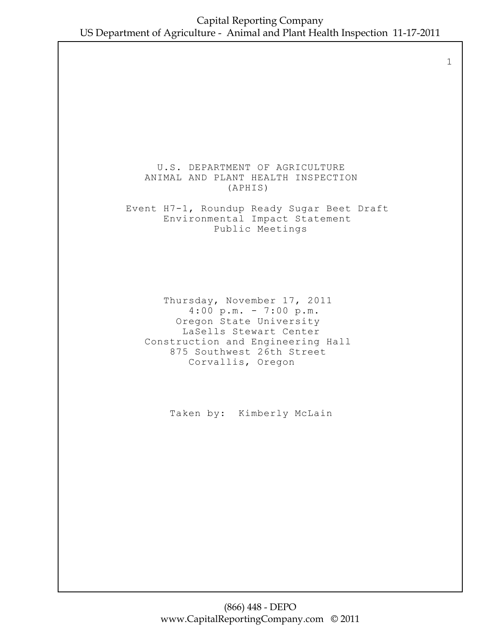1

#### U.S. DEPARTMENT OF AGRICULTURE ANIMAL AND PLANT HEALTH INSPECTION (APHIS)

 Event H7-1, Roundup Ready Sugar Beet Draft Environmental Impact Statement Public Meetings

 Thursday, November 17, 2011 4:00 p.m. - 7:00 p.m. Oregon State University LaSells Stewart Center Construction and Engineering Hall 875 Southwest 26th Street Corvallis, Oregon

Taken by: Kimberly McLain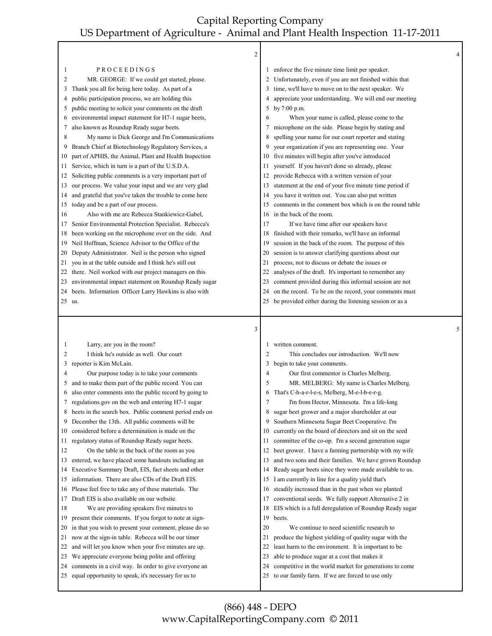|          | $\overline{\mathbf{c}}$                                                                                       |          |                                                                                                             | 4 |
|----------|---------------------------------------------------------------------------------------------------------------|----------|-------------------------------------------------------------------------------------------------------------|---|
| 1        | PROCEEDINGS                                                                                                   |          | enforce the five minute time limit per speaker.                                                             |   |
| 2        | MR. GEORGE: If we could get started, please.                                                                  |          | Unfortunately, even if you are not finished within that                                                     |   |
| 3        | Thank you all for being here today. As part of a                                                              |          | time, we'll have to move on to the next speaker. We                                                         |   |
| 4        | public participation process, we are holding this                                                             |          | appreciate your understanding. We will end our meeting                                                      |   |
| 5        | public meeting to solicit your comments on the draft                                                          | 5        | by 7:00 p.m.                                                                                                |   |
| 6        | environmental impact statement for H7-1 sugar beets,                                                          | 6        | When your name is called, please come to the                                                                |   |
| 7        | also known as Roundup Ready sugar beets.                                                                      | 7        | microphone on the side. Please begin by stating and                                                         |   |
| 8        | My name is Dick George and I'm Communications                                                                 | 8        | spelling your name for our court reporter and stating                                                       |   |
| 9        | Branch Chief at Biotechnology Regulatory Services, a                                                          | 9        | your organization if you are representing one. Your                                                         |   |
| 10       | part of APHIS, the Animal, Plant and Health Inspection                                                        | 10       | five minutes will begin after you've introduced                                                             |   |
| 11.      | Service, which in turn is a part of the U.S.D.A.                                                              | 11       | yourself. If you haven't done so already, please                                                            |   |
| 12       | Soliciting public comments is a very important part of                                                        | 12       | provide Rebecca with a written version of your                                                              |   |
| 13       | our process. We value your input and we are very glad                                                         | 13       | statement at the end of your five minute time period if                                                     |   |
| 14       | and grateful that you've taken the trouble to come here                                                       | 14       | you have it written out. You can also put written                                                           |   |
| 15       | today and be a part of our process.                                                                           | 15       | comments in the comment box which is on the round table                                                     |   |
| 16       | Also with me are Rebecca Stankiewicz-Gabel,                                                                   | 16       | in the back of the room.                                                                                    |   |
| 17       | Senior Environmental Protection Specialist. Rebecca's                                                         | 17       | If we have time after our speakers have                                                                     |   |
| 18       | been working on the microphone over on the side. And                                                          | 18       | finished with their remarks, we'll have an informal                                                         |   |
| 19       | Neil Hoffman, Science Advisor to the Office of the                                                            | 19       | session in the back of the room. The purpose of this                                                        |   |
| 20       | Deputy Administrator. Neil is the person who signed                                                           | 20       | session is to answer clarifying questions about our                                                         |   |
| 21       | you in at the table outside and I think he's still out                                                        | 21       | process, not to discuss or debate the issues or                                                             |   |
| 22       | there. Neil worked with our project managers on this                                                          | 22       | analyses of the draft. It's important to remember any                                                       |   |
| 23       | environmental impact statement on Roundup Ready sugar                                                         | 23       | comment provided during this informal session are not                                                       |   |
| 24       | beets. Information Officer Larry Hawkins is also with                                                         | 24       | on the record. To be on the record, your comments must                                                      |   |
|          | 25 us.                                                                                                        | 25       | be provided either during the listening session or as a                                                     |   |
|          |                                                                                                               |          |                                                                                                             |   |
|          |                                                                                                               |          |                                                                                                             |   |
|          | 3                                                                                                             |          |                                                                                                             | 5 |
|          |                                                                                                               |          |                                                                                                             |   |
| 1        | Larry, are you in the room?                                                                                   | 1        | written comment.                                                                                            |   |
| 2        | I think he's outside as well. Our court                                                                       | 2        | This concludes our introduction. We'll now                                                                  |   |
| 3        | reporter is Kim McLain.                                                                                       | 3        | begin to take your comments.                                                                                |   |
| 4        | Our purpose today is to take your comments                                                                    | 4        | Our first commentor is Charles Melberg.                                                                     |   |
| 5        | and to make them part of the public record. You can                                                           | 5        | MR. MELBERG: My name is Charles Melberg.                                                                    |   |
| 6        | also enter comments into the public record by going to                                                        | 6        | That's C-h-a-r-l-e-s, Melberg, M-e-l-b-e-r-g.                                                               |   |
|          | regulations gov on the web and entering H7-1 sugar                                                            |          | I'm from Hector, Minnesota. I'm a life-long                                                                 |   |
| 8        | beets in the search box. Public comment period ends on                                                        | 8        | sugar beet grower and a major shareholder at our                                                            |   |
| 9        | December the 13th. All public comments will be                                                                | 9        | Southern Minnesota Sugar Beet Cooperative. I'm                                                              |   |
| 10       | considered before a determination is made on the                                                              | 10       | currently on the board of directors and sit on the seed                                                     |   |
| 11       | regulatory status of Roundup Ready sugar beets.                                                               | 11       | committee of the co-op. I'm a second generation sugar                                                       |   |
| 12       | On the table in the back of the room as you                                                                   | 12       | beet grower. I have a farming partnership with my wife                                                      |   |
| 13       | entered, we have placed some handouts including an                                                            | 13       | and two sons and their families. We have grown Roundup                                                      |   |
| 14       | Executive Summary Draft, EIS, fact sheets and other                                                           | 14       | Ready sugar beets since they were made available to us.                                                     |   |
| 15       | information. There are also CDs of the Draft EIS.                                                             | 15       | I am currently in line for a quality yield that's                                                           |   |
| 16       | Please feel free to take any of these materials. The                                                          | 16       | steadily increased than in the past when we planted                                                         |   |
| 17       | Draft EIS is also available on our website.                                                                   | 17       | conventional seeds. We fully support Alternative 2 in                                                       |   |
| 18       | We are providing speakers five minutes to                                                                     | 18       | EIS which is a full deregulation of Roundup Ready sugar                                                     |   |
| 19       | present their comments. If you forgot to note at sign-                                                        | 19       | beets.                                                                                                      |   |
| 20       | in that you wish to present your comment, please do so                                                        | 20       | We continue to need scientific research to                                                                  |   |
| 21       | now at the sign-in table. Rebecca will be our timer                                                           | 21       | produce the highest yielding of quality sugar with the                                                      |   |
| 22       | and will let you know when your five minutes are up.                                                          | 22       | least harm to the environment. It is important to be                                                        |   |
| 23       | We appreciate everyone being polite and offering                                                              | 23       | able to produce sugar at a cost that makes it                                                               |   |
| 24<br>25 | comments in a civil way. In order to give everyone an<br>equal opportunity to speak, it's necessary for us to | 24<br>25 | competitive in the world market for generations to come<br>to our family farm. If we are forced to use only |   |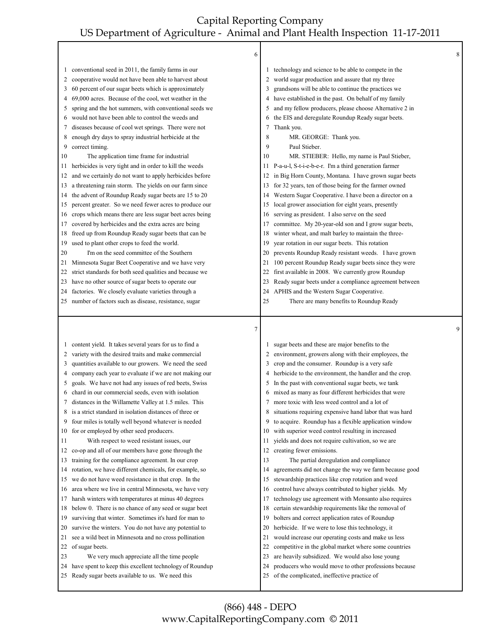|        | 6                                                                                                               |    |                                                                                                           | 8 |
|--------|-----------------------------------------------------------------------------------------------------------------|----|-----------------------------------------------------------------------------------------------------------|---|
| 1      | conventional seed in 2011, the family farms in our                                                              |    | technology and science to be able to compete in the                                                       |   |
| 2      | cooperative would not have been able to harvest about                                                           | 2  | world sugar production and assure that my three                                                           |   |
| 3      | 60 percent of our sugar beets which is approximately                                                            | 3  | grandsons will be able to continue the practices we                                                       |   |
| 4      | 69,000 acres. Because of the cool, wet weather in the                                                           | 4  | have established in the past. On behalf of my family                                                      |   |
| 5      | spring and the hot summers, with conventional seeds we                                                          | 5  | and my fellow producers, please choose Alternative 2 in                                                   |   |
| 6      | would not have been able to control the weeds and                                                               | 6  | the EIS and deregulate Roundup Ready sugar beets.                                                         |   |
| 7      | diseases because of cool wet springs. There were not                                                            | 7  | Thank you.                                                                                                |   |
| 8      | enough dry days to spray industrial herbicide at the                                                            | 8  | MR. GEORGE: Thank you.                                                                                    |   |
| 9      | correct timing.                                                                                                 | 9  | Paul Stieber.                                                                                             |   |
| 10     | The application time frame for industrial                                                                       | 10 | MR. STIEBER: Hello, my name is Paul Stieber,                                                              |   |
| 11     | herbicides is very tight and in order to kill the weeds                                                         | 11 | P-a-u-l, S-t-i-e-b-e-r. I'm a third generation farmer                                                     |   |
| 12     | and we certainly do not want to apply herbicides before                                                         | 12 | in Big Horn County, Montana. I have grown sugar beets                                                     |   |
| 13     | a threatening rain storm. The yields on our farm since                                                          | 13 | for 32 years, ten of those being for the farmer owned                                                     |   |
| 14     | the advent of Roundup Ready sugar beets are 15 to 20                                                            | 14 | Western Sugar Cooperative. I have been a director on a                                                    |   |
| 15     | percent greater. So we need fewer acres to produce our                                                          | 15 | local grower association for eight years, presently                                                       |   |
| 16     | crops which means there are less sugar beet acres being                                                         | 16 | serving as president. I also serve on the seed                                                            |   |
| 17     | covered by herbicides and the extra acres are being                                                             | 17 | committee. My 20-year-old son and I grow sugar beets,                                                     |   |
| 18     | freed up from Roundup Ready sugar beets that can be                                                             | 18 | winter wheat, and malt barley to maintain the three-                                                      |   |
| 19     | used to plant other crops to feed the world.                                                                    | 19 | year rotation in our sugar beets. This rotation                                                           |   |
| 20     | I'm on the seed committee of the Southern                                                                       | 20 | prevents Roundup Ready resistant weeds. I have grown                                                      |   |
| 21     | Minnesota Sugar Beet Cooperative and we have very                                                               | 21 | 100 percent Roundup Ready sugar beets since they were                                                     |   |
| 22     | strict standards for both seed qualities and because we                                                         | 22 | first available in 2008. We currently grow Roundup                                                        |   |
| 23     | have no other source of sugar beets to operate our                                                              | 23 | Ready sugar beets under a compliance agreement between                                                    |   |
| 24     | factories. We closely evaluate varieties through a                                                              | 24 | APHIS and the Western Sugar Cooperative.                                                                  |   |
|        | 25 number of factors such as disease, resistance, sugar                                                         | 25 | There are many benefits to Roundup Ready                                                                  |   |
|        |                                                                                                                 |    |                                                                                                           |   |
|        |                                                                                                                 |    |                                                                                                           |   |
|        | $\tau$                                                                                                          |    |                                                                                                           | 9 |
|        |                                                                                                                 |    |                                                                                                           |   |
| 1<br>2 | content yield. It takes several years for us to find a                                                          | 2  | sugar beets and these are major benefits to the                                                           |   |
| 3      | variety with the desired traits and make commercial<br>quantities available to our growers. We need the seed    | 3  | environment, growers along with their employees, the                                                      |   |
| 4      |                                                                                                                 | 4  | crop and the consumer. Roundup is a very safe                                                             |   |
| 5      | company each year to evaluate if we are not making our                                                          | 5  | herbicide to the environment, the handler and the crop.                                                   |   |
| 6      | goals. We have not had any issues of red beets, Swiss                                                           | 6  | In the past with conventional sugar beets, we tank                                                        |   |
| 7      | chard in our commercial seeds, even with isolation<br>distances in the Willamette Valley at 1.5 miles. This     | 7  | mixed as many as four different herbicides that were                                                      |   |
| 8      |                                                                                                                 | 8  | more toxic with less weed control and a lot of<br>situations requiring expensive hand labor that was hard |   |
| 9      | is a strict standard in isolation distances of three or<br>four miles is totally well beyond whatever is needed | 9  | to acquire. Roundup has a flexible application window                                                     |   |
| 10     | for or employed by other seed producers.                                                                        | 10 | with superior weed control resulting in increased                                                         |   |
| 11     | With respect to weed resistant issues, our                                                                      | 11 | yields and does not require cultivation, so we are                                                        |   |
| 12     | co-op and all of our members have gone through the                                                              | 12 | creating fewer emissions.                                                                                 |   |
| 13     | training for the compliance agreement. In our crop                                                              | 13 | The partial deregulation and compliance                                                                   |   |
| 14     | rotation, we have different chemicals, for example, so                                                          | 14 | agreements did not change the way we farm because good                                                    |   |
| 15     | we do not have weed resistance in that crop. In the                                                             | 15 | stewardship practices like crop rotation and weed                                                         |   |
| 16     | area where we live in central Minnesota, we have very                                                           | 16 | control have always contributed to higher yields. My                                                      |   |
| 17     | harsh winters with temperatures at minus 40 degrees                                                             | 17 | technology use agreement with Monsanto also requires                                                      |   |
| 18     | below 0. There is no chance of any seed or sugar beet                                                           | 18 | certain stewardship requirements like the removal of                                                      |   |
| 19     | surviving that winter. Sometimes it's hard for man to                                                           | 19 | bolters and correct application rates of Roundup                                                          |   |
| 20     | survive the winters. You do not have any potential to                                                           | 20 | herbicide. If we were to lose this technology, it                                                         |   |
| 21     | see a wild beet in Minnesota and no cross pollination                                                           | 21 | would increase our operating costs and make us less                                                       |   |
| 22     | of sugar beets.                                                                                                 | 22 | competitive in the global market where some countries                                                     |   |
| 23     | We very much appreciate all the time people                                                                     | 23 | are heavily subsidized. We would also lose young                                                          |   |
| 24     | have spent to keep this excellent technology of Roundup                                                         | 24 | producers who would move to other professions because                                                     |   |
|        | 25 Ready sugar beets available to us. We need this                                                              | 25 | of the complicated, ineffective practice of                                                               |   |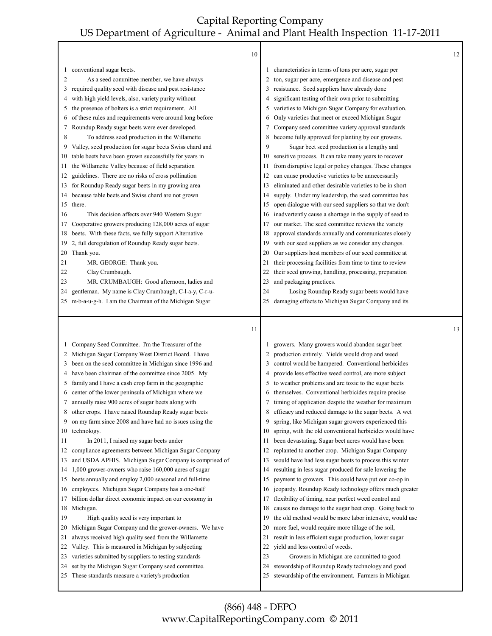┰

Г

|              | 10                                                                                                  |          |                                                                                                         | 12 |
|--------------|-----------------------------------------------------------------------------------------------------|----------|---------------------------------------------------------------------------------------------------------|----|
| 1            | conventional sugar beets.                                                                           |          | characteristics in terms of tons per acre, sugar per                                                    |    |
| 2            | As a seed committee member, we have always                                                          | 2        | ton, sugar per acre, emergence and disease and pest                                                     |    |
| 3            | required quality seed with disease and pest resistance                                              | 3        | resistance. Seed suppliers have already done                                                            |    |
| 4            | with high yield levels, also, variety purity without                                                | 4        | significant testing of their own prior to submitting                                                    |    |
| 5            | the presence of bolters is a strict requirement. All                                                | 5        | varieties to Michigan Sugar Company for evaluation.                                                     |    |
| 6            | of these rules and requirements were around long before                                             | 6        | Only varieties that meet or exceed Michigan Sugar                                                       |    |
| 7            | Roundup Ready sugar beets were ever developed.                                                      | 7        | Company seed committee variety approval standards                                                       |    |
| 8            | To address seed production in the Willamette                                                        | 8        | become fully approved for planting by our growers.                                                      |    |
| 9            | Valley, seed production for sugar beets Swiss chard and                                             | 9        | Sugar beet seed production is a lengthy and                                                             |    |
| 10           | table beets have been grown successfully for years in                                               | 10       | sensitive process. It can take many years to recover                                                    |    |
| 11           | the Willamette Valley because of field separation                                                   | 11       | from disruptive legal or policy changes. These changes                                                  |    |
| 12           | guidelines. There are no risks of cross pollination                                                 | 12       | can cause productive varieties to be unnecessarily                                                      |    |
| 13           | for Roundup Ready sugar beets in my growing area                                                    | 13       | eliminated and other desirable varieties to be in short                                                 |    |
| 14           | because table beets and Swiss chard are not grown                                                   | 14       | supply. Under my leadership, the seed committee has                                                     |    |
| 15           | there.                                                                                              | 15       | open dialogue with our seed suppliers so that we don't                                                  |    |
| 16           | This decision affects over 940 Western Sugar                                                        | 16       | inadvertently cause a shortage in the supply of seed to                                                 |    |
| 17           | Cooperative growers producing 128,000 acres of sugar                                                | 17       | our market. The seed committee reviews the variety                                                      |    |
| 18           | beets. With these facts, we fully support Alternative                                               | 18       | approval standards annually and communicates closely                                                    |    |
| 19           | 2, full deregulation of Roundup Ready sugar beets.                                                  | 19       | with our seed suppliers as we consider any changes.                                                     |    |
| 20           | Thank you.                                                                                          | 20       | Our suppliers host members of our seed committee at                                                     |    |
| 21           | MR. GEORGE: Thank you.                                                                              | 21       | their processing facilities from time to time to review                                                 |    |
| 22           | Clay Crumbaugh.                                                                                     | 22       | their seed growing, handling, processing, preparation                                                   |    |
| 23           | MR. CRUMBAUGH: Good afternoon, ladies and                                                           | 23       | and packaging practices.                                                                                |    |
| 24           | gentleman. My name is Clay Crumbaugh, C-l-a-y, C-r-u-                                               | 24       | Losing Roundup Ready sugar beets would have                                                             |    |
| 25           | m-b-a-u-g-h. I am the Chairman of the Michigan Sugar                                                | 25       | damaging effects to Michigan Sugar Company and its                                                      |    |
|              |                                                                                                     |          |                                                                                                         |    |
|              |                                                                                                     |          |                                                                                                         |    |
|              | 11                                                                                                  |          |                                                                                                         | 13 |
|              |                                                                                                     |          |                                                                                                         |    |
| $\mathbf{I}$ | Company Seed Committee. I'm the Treasurer of the                                                    |          | growers. Many growers would abandon sugar beet                                                          |    |
| 2            | Michigan Sugar Company West District Board. I have                                                  |          | production entirely. Yields would drop and weed                                                         |    |
| 3            | been on the seed committee in Michigan since 1996 and                                               | 3        | control would be hampered. Conventional herbicides                                                      |    |
| 4            | have been chairman of the committee since 2005. My                                                  | 4        | provide less effective weed control, are more subject                                                   |    |
| 5            | family and I have a cash crop farm in the geographic                                                | 5        | to weather problems and are toxic to the sugar beets                                                    |    |
| 6            | center of the lower peninsula of Michigan where we                                                  | 6        | themselves. Conventional herbicides require precise                                                     |    |
| 7            | annually raise 900 acres of sugar beets along with                                                  | 7        | timing of application despite the weather for maximum                                                   |    |
| 8            | other crops. I have raised Roundup Ready sugar beets                                                | 8        | efficacy and reduced damage to the sugar beets. A wet                                                   |    |
| 9            | on my farm since 2008 and have had no issues using the                                              | 9        | spring, like Michigan sugar growers experienced this                                                    |    |
| 10           | technology.                                                                                         | 10       | spring, with the old conventional herbicides would have                                                 |    |
| 11           | In 2011, I raised my sugar beets under                                                              | 11       | been devastating. Sugar beet acres would have been                                                      |    |
| 12           | compliance agreements between Michigan Sugar Company                                                | 12       | replanted to another crop. Michigan Sugar Company                                                       |    |
| 13           | and USDA APHIS. Michigan Sugar Company is comprised of                                              | 13       | would have had less sugar beets to process this winter                                                  |    |
| 14           | 1,000 grower-owners who raise 160,000 acres of sugar                                                | 14       | resulting in less sugar produced for sale lowering the                                                  |    |
| 15           | beets annually and employ 2,000 seasonal and full-time                                              | 15       | payment to growers. This could have put our co-op in                                                    |    |
| 16           | employees. Michigan Sugar Company has a one-half                                                    | 16       | jeopardy. Roundup Ready technology offers much greater                                                  |    |
| 17           | billion dollar direct economic impact on our economy in                                             | 17       | flexibility of timing, near perfect weed control and                                                    |    |
| 18           | Michigan.                                                                                           | 18       | causes no damage to the sugar beet crop. Going back to                                                  |    |
| 19           | High quality seed is very important to                                                              | 19       | the old method would be more labor intensive, would use                                                 |    |
| 20           | Michigan Sugar Company and the grower-owners. We have                                               | 20       | more fuel, would require more tillage of the soil,                                                      |    |
| 21           | always received high quality seed from the Willamette                                               | 21       | result in less efficient sugar production, lower sugar                                                  |    |
| 22           | Valley. This is measured in Michigan by subjecting                                                  | 22       | yield and less control of weeds.                                                                        |    |
| 23           | varieties submitted by suppliers to testing standards                                               | 23       | Growers in Michigan are committed to good                                                               |    |
| 24<br>25     | set by the Michigan Sugar Company seed committee.<br>These standards measure a variety's production | 24<br>25 | stewardship of Roundup Ready technology and good<br>stewardship of the environment. Farmers in Michigan |    |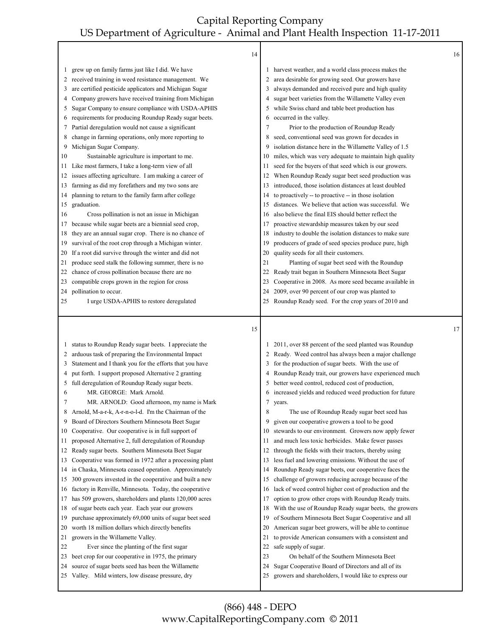|          | 14                                                                                                          |          |                                                                                                                  | 16 |
|----------|-------------------------------------------------------------------------------------------------------------|----------|------------------------------------------------------------------------------------------------------------------|----|
| $\perp$  | grew up on family farms just like I did. We have                                                            |          | 1 harvest weather, and a world class process makes the                                                           |    |
| 2        | received training in weed resistance management. We                                                         | 2        | area desirable for growing seed. Our growers have                                                                |    |
| 3        | are certified pesticide applicators and Michigan Sugar                                                      | 3        | always demanded and received pure and high quality                                                               |    |
| 4        | Company growers have received training from Michigan                                                        | 4        | sugar beet varieties from the Willamette Valley even                                                             |    |
| 5        | Sugar Company to ensure compliance with USDA-APHIS                                                          | 5        | while Swiss chard and table beet production has                                                                  |    |
| 6        | requirements for producing Roundup Ready sugar beets.                                                       | 6        | occurred in the valley.                                                                                          |    |
| 7        | Partial deregulation would not cause a significant                                                          | 7        | Prior to the production of Roundup Ready                                                                         |    |
| 8        | change in farming operations, only more reporting to                                                        | 8        | seed, conventional seed was grown for decades in                                                                 |    |
| 9        | Michigan Sugar Company.                                                                                     | 9        | isolation distance here in the Willamette Valley of 1.5                                                          |    |
| 10       | Sustainable agriculture is important to me.                                                                 | 10       | miles, which was very adequate to maintain high quality                                                          |    |
| 11       | Like most farmers, I take a long-term view of all                                                           | 11       | seed for the buyers of that seed which is our growers.                                                           |    |
| 12       | issues affecting agriculture. I am making a career of                                                       | 12       | When Roundup Ready sugar beet seed production was                                                                |    |
| 13       | farming as did my forefathers and my two sons are                                                           | 13       | introduced, those isolation distances at least doubled                                                           |    |
| 14       | planning to return to the family farm after college                                                         | 14       | to proactively -- to proactive -- in those isolation                                                             |    |
| 15       | graduation.                                                                                                 | 15       | distances. We believe that action was successful. We                                                             |    |
| 16       | Cross pollination is not an issue in Michigan                                                               | 16       | also believe the final EIS should better reflect the                                                             |    |
| 17       | because while sugar beets are a biennial seed crop,                                                         | 17       | proactive stewardship measures taken by our seed                                                                 |    |
| 18       | they are an annual sugar crop. There is no chance of                                                        | 18       | industry to double the isolation distances to make sure                                                          |    |
| 19       | survival of the root crop through a Michigan winter.                                                        | 19       | producers of grade of seed species produce pure, high                                                            |    |
| 20       | If a root did survive through the winter and did not                                                        | 20       | quality seeds for all their customers.                                                                           |    |
| 21       | produce seed stalk the following summer, there is no                                                        | 21       | Planting of sugar beet seed with the Roundup                                                                     |    |
| 22       | chance of cross pollination because there are no                                                            | 22       | Ready trait began in Southern Minnesota Beet Sugar                                                               |    |
| 23       | compatible crops grown in the region for cross                                                              | 23       | Cooperative in 2008. As more seed became available in                                                            |    |
| 24       | pollination to occur.                                                                                       | 24       | 2009, over 90 percent of our crop was planted to                                                                 |    |
| 25       | I urge USDA-APHIS to restore deregulated                                                                    | 25       | Roundup Ready seed. For the crop years of 2010 and                                                               |    |
|          |                                                                                                             |          |                                                                                                                  |    |
|          | 15                                                                                                          |          |                                                                                                                  | 17 |
| $\perp$  |                                                                                                             | 1        |                                                                                                                  |    |
| 2        | status to Roundup Ready sugar beets. I appreciate the<br>arduous task of preparing the Environmental Impact |          | 2011, over 88 percent of the seed planted was Roundup<br>2 Ready. Weed control has always been a major challenge |    |
| 3        | Statement and I thank you for the efforts that you have                                                     | 3        | for the production of sugar beets. With the use of                                                               |    |
| 4        | put forth. I support proposed Alternative 2 granting                                                        | 4        | Roundup Ready trait, our growers have experienced much                                                           |    |
| 5        | full deregulation of Roundup Ready sugar beets.                                                             | 5        | better weed control, reduced cost of production,                                                                 |    |
| 6        | MR. GEORGE: Mark Arnold.                                                                                    |          | increased yields and reduced weed production for future                                                          |    |
| 7        | MR. ARNOLD: Good afternoon, my name is Mark                                                                 | 7        | vears.                                                                                                           |    |
| 8        | Arnold, M-a-r-k, A-r-n-o-l-d. I'm the Chairman of the                                                       | 8        | The use of Roundup Ready sugar beet seed has                                                                     |    |
| 9        | Board of Directors Southern Minnesota Beet Sugar                                                            | 9        | given our cooperative growers a tool to be good                                                                  |    |
| 10       | Cooperative. Our cooperative is in full support of                                                          | 10       | stewards to our environment. Growers now apply fewer                                                             |    |
| 11       | proposed Alternative 2, full deregulation of Roundup                                                        | 11       | and much less toxic herbicides. Make fewer passes                                                                |    |
| 12       | Ready sugar beets. Southern Minnesota Beet Sugar                                                            | 12       | through the fields with their tractors, thereby using                                                            |    |
| 13       | Cooperative was formed in 1972 after a processing plant                                                     | 13       | less fuel and lowering emissions. Without the use of                                                             |    |
| 14       | in Chaska, Minnesota ceased operation. Approximately                                                        | 14       | Roundup Ready sugar beets, our cooperative faces the                                                             |    |
| 15       | 300 growers invested in the cooperative and built a new                                                     | 15       | challenge of growers reducing acreage because of the                                                             |    |
| 16       | factory in Renville, Minnesota. Today, the cooperative                                                      | 16       | lack of weed control higher cost of production and the                                                           |    |
| 17       | has 509 growers, shareholders and plants 120,000 acres                                                      | 17       | option to grow other crops with Roundup Ready traits.                                                            |    |
| 18       | of sugar beets each year. Each year our growers                                                             | 18       | With the use of Roundup Ready sugar beets, the growers                                                           |    |
| 19       | purchase approximately 69,000 units of sugar beet seed                                                      | 19       | of Southern Minnesota Beet Sugar Cooperative and all                                                             |    |
| 20       | worth 18 million dollars which directly benefits                                                            | 20       | American sugar beet growers, will be able to continue                                                            |    |
| 21       | growers in the Willamette Valley.                                                                           | 21       | to provide American consumers with a consistent and                                                              |    |
| 22       | Ever since the planting of the first sugar                                                                  | 22       | safe supply of sugar.                                                                                            |    |
| 23       | beet crop for our cooperative in 1975, the primary                                                          | 23       | On behalf of the Southern Minnesota Beet                                                                         |    |
| 24<br>25 | source of sugar beets seed has been the Willamette<br>Valley. Mild winters, low disease pressure, dry       | 24<br>25 | Sugar Cooperative Board of Directors and all of its<br>growers and shareholders, I would like to express our     |    |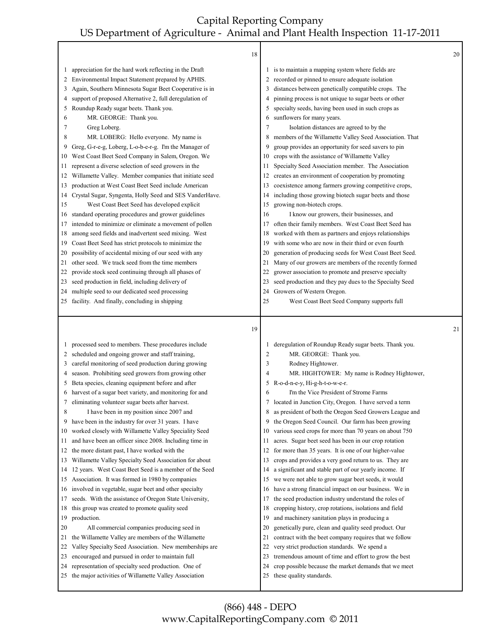|          | 18                                                                                                           |                |                                                                                   | 20 |
|----------|--------------------------------------------------------------------------------------------------------------|----------------|-----------------------------------------------------------------------------------|----|
| 1        | appreciation for the hard work reflecting in the Draft                                                       | $\mathbf{I}$   | is to maintain a mapping system where fields are                                  |    |
| 2        | Environmental Impact Statement prepared by APHIS.                                                            | 2              | recorded or pinned to ensure adequate isolation                                   |    |
| 3        | Again, Southern Minnesota Sugar Beet Cooperative is in                                                       | 3              | distances between genetically compatible crops. The                               |    |
| 4        | support of proposed Alternative 2, full deregulation of                                                      | 4              | pinning process is not unique to sugar beets or other                             |    |
| 5        | Roundup Ready sugar beets. Thank you.                                                                        | 5              | specialty seeds, having been used in such crops as                                |    |
| 6        | MR. GEORGE: Thank you.                                                                                       | 6              | sunflowers for many years.                                                        |    |
| 7        | Greg Loberg.                                                                                                 | 7              | Isolation distances are agreed to by the                                          |    |
| 8        | MR. LOBERG: Hello everyone. My name is                                                                       | 8              | members of the Willamette Valley Seed Association. That                           |    |
| 9        | Greg, G-r-e-g, Loberg, L-o-b-e-r-g. I'm the Manager of                                                       | 9              | group provides an opportunity for seed savers to pin                              |    |
| 10       | West Coast Beet Seed Company in Salem, Oregon. We                                                            | 10             | crops with the assistance of Willamette Valley                                    |    |
| 11       | represent a diverse selection of seed growers in the                                                         | 11             | Specialty Seed Association member. The Association                                |    |
| 12       | Willamette Valley. Member companies that initiate seed                                                       | 12             | creates an environment of cooperation by promoting                                |    |
| 13       | production at West Coast Beet Seed include American                                                          | 13             | coexistence among farmers growing competitive crops,                              |    |
| 14       | Crystal Sugar, Syngenta, Holly Seed and SES VanderHave.                                                      | 14             | including those growing biotech sugar beets and those                             |    |
| 15       | West Coast Beet Seed has developed explicit                                                                  | 15             | growing non-biotech crops.                                                        |    |
| 16       | standard operating procedures and grower guidelines                                                          | 16             | I know our growers, their businesses, and                                         |    |
| 17       | intended to minimize or eliminate a movement of pollen                                                       | 17             | often their family members. West Coast Beet Seed has                              |    |
| 18       | among seed fields and inadvertent seed mixing. West                                                          | 18             | worked with them as partners and enjoys relationships                             |    |
| 19       | Coast Beet Seed has strict protocols to minimize the                                                         | 19             | with some who are now in their third or even fourth                               |    |
| 20       | possibility of accidental mixing of our seed with any                                                        | 20             | generation of producing seeds for West Coast Beet Seed.                           |    |
| 21       | other seed. We track seed from the time members                                                              | 21             | Many of our growers are members of the recently formed                            |    |
| 22       | provide stock seed continuing through all phases of                                                          | 22             | grower association to promote and preserve specialty                              |    |
| 23       | seed production in field, including delivery of                                                              | 23             | seed production and they pay dues to the Specialty Seed                           |    |
| 24       | multiple seed to our dedicated seed processing                                                               | 24             | Growers of Western Oregon.                                                        |    |
| 25       | facility. And finally, concluding in shipping                                                                | 25             | West Coast Beet Seed Company supports full                                        |    |
|          |                                                                                                              |                |                                                                                   |    |
|          | 19                                                                                                           |                |                                                                                   | 21 |
| 1        | processed seed to members. These procedures include                                                          |                | deregulation of Roundup Ready sugar beets. Thank you.                             |    |
| 2        | scheduled and ongoing grower and staff training,                                                             | $\overline{c}$ | MR. GEORGE: Thank you.                                                            |    |
| 3        | careful monitoring of seed production during growing                                                         | 3              | Rodney Hightower.                                                                 |    |
| 4        | season. Prohibiting seed growers from growing other                                                          | 4              | MR. HIGHTOWER: My name is Rodney Hightower,                                       |    |
| 5        | Beta species, cleaning equipment before and after                                                            | 5<br>6         | R-o-d-n-e-y, Hi-g-h-t-o-w-e-r.<br>I'm the Vice President of Strome Farms          |    |
| 7        | harvest of a sugar beet variety, and monitoring for and                                                      | 7              | located in Junction City, Oregon. I have served a term                            |    |
| 8        | eliminating volunteer sugar beets after harvest.<br>I have been in my position since 2007 and                | 8              | as president of both the Oregon Seed Growers League and                           |    |
| 9        | have been in the industry for over 31 years. I have                                                          | 9              | the Oregon Seed Council. Our farm has been growing                                |    |
| 10       | worked closely with Willamette Valley Speciality Seed                                                        | 10             | various seed crops for more than 70 years on about 750                            |    |
| 11       | and have been an officer since 2008. Including time in                                                       | 11             | acres. Sugar beet seed has been in our crop rotation                              |    |
| 12       | the more distant past, I have worked with the                                                                | 12             | for more than 35 years. It is one of our higher-value                             |    |
| 13       | Willamette Valley Specialty Seed Association for about                                                       | 13             | crops and provides a very good return to us. They are                             |    |
| 14       | 12 years. West Coast Beet Seed is a member of the Seed                                                       | 14             | a significant and stable part of our yearly income. If                            |    |
| 15       | Association. It was formed in 1980 by companies                                                              | 15             | we were not able to grow sugar beet seeds, it would                               |    |
| 16       | involved in vegetable, sugar beet and other specialty                                                        | 16             | have a strong financial impact on our business. We in                             |    |
| 17       | seeds. With the assistance of Oregon State University,                                                       | 17             | the seed production industry understand the roles of                              |    |
| 18       | this group was created to promote quality seed                                                               | 18             | cropping history, crop rotations, isolations and field                            |    |
| 19       | production.                                                                                                  | 19             | and machinery sanitation plays in producing a                                     |    |
| 20       | All commercial companies producing seed in                                                                   | 20             | genetically pure, clean and quality seed product. Our                             |    |
| 21       | the Willamette Valley are members of the Willamette                                                          | 21             | contract with the beet company requires that we follow                            |    |
| 22       | Valley Specialty Seed Association. New memberships are                                                       | 22             | very strict production standards. We spend a                                      |    |
| 23       | encouraged and pursued in order to maintain full                                                             | 23             | tremendous amount of time and effort to grow the best                             |    |
| 24<br>25 | representation of specialty seed production. One of<br>the major activities of Willamette Valley Association | 24<br>25       | crop possible because the market demands that we meet<br>these quality standards. |    |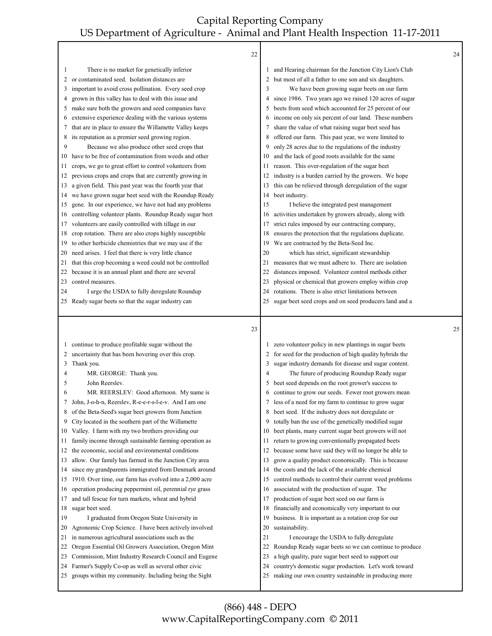|    | 22                                                                                                            |          |                                                                                                                  | 24 |
|----|---------------------------------------------------------------------------------------------------------------|----------|------------------------------------------------------------------------------------------------------------------|----|
| 1  | There is no market for genetically inferior                                                                   |          | and Hearing chairman for the Junction City Lion's Club                                                           |    |
| 2  | or contaminated seed. Isolation distances are                                                                 | 2        | but most of all a father to one son and six daughters.                                                           |    |
| 3  | important to avoid cross pollination. Every seed crop                                                         | 3        | We have been growing sugar beets on our farm                                                                     |    |
| 4  | grown in this valley has to deal with this issue and                                                          | 4        | since 1986. Two years ago we raised 120 acres of sugar                                                           |    |
| 5  | make sure both the growers and seed companies have                                                            | 5        | beets from seed which accounted for 25 percent of our                                                            |    |
| 6  | extensive experience dealing with the various systems                                                         | 6        | income on only six percent of our land. These numbers                                                            |    |
| 7  | that are in place to ensure the Willamette Valley keeps                                                       | 7        | share the value of what raising sugar beet seed has                                                              |    |
| 8  | its reputation as a premier seed growing region.                                                              | 8        | offered our farm. This past year, we were limited to                                                             |    |
| 9  | Because we also produce other seed crops that                                                                 | 9        | only 28 acres due to the regulations of the industry                                                             |    |
| 10 | have to be free of contamination from weeds and other                                                         | 10       | and the lack of good roots available for the same                                                                |    |
| 11 | crops, we go to great effort to control volunteers from                                                       | 11       | reason. This over-regulation of the sugar beet                                                                   |    |
| 12 | previous crops and crops that are currently growing in                                                        | 12       | industry is a burden carried by the growers. We hope                                                             |    |
| 13 | a given field. This past year was the fourth year that                                                        | 13       | this can be relieved through deregulation of the sugar                                                           |    |
| 14 | we have grown sugar beet seed with the Roundup Ready                                                          | 14       | beet industry.                                                                                                   |    |
| 15 | gene. In our experience, we have not had any problems                                                         | 15       | I believe the integrated pest management                                                                         |    |
| 16 | controlling volunteer plants. Roundup Ready sugar beet                                                        | 16       | activities undertaken by growers already, along with                                                             |    |
| 17 | volunteers are easily controlled with tillage in our                                                          | 17       | strict rules imposed by our contracting company,                                                                 |    |
| 18 | crop rotation. There are also crops highly susceptible                                                        | 18       | ensures the protection that the regulations duplicate.                                                           |    |
| 19 | to other herbicide chemistries that we may use if the                                                         | 19       | We are contracted by the Beta-Seed Inc.                                                                          |    |
| 20 | need arises. I feel that there is very little chance                                                          | 20       | which has strict, significant stewardship                                                                        |    |
| 21 | that this crop becoming a weed could not be controlled                                                        | 21       | measures that we must adhere to. There are isolation                                                             |    |
| 22 | because it is an annual plant and there are several                                                           | 22       | distances imposed. Volunteer control methods either                                                              |    |
| 23 | control measures.                                                                                             | 23       | physical or chemical that growers employ within crop                                                             |    |
| 24 | I urge the USDA to fully deregulate Roundup                                                                   | 24       | rotations. There is also strict limitations between                                                              |    |
| 25 | Ready sugar beets so that the sugar industry can                                                              | 25       | sugar beet seed crops and on seed producers land and a                                                           |    |
|    |                                                                                                               |          |                                                                                                                  |    |
|    | 23                                                                                                            |          |                                                                                                                  | 25 |
| 1  |                                                                                                               |          |                                                                                                                  |    |
| 2  | continue to produce profitable sugar without the<br>uncertainty that has been hovering over this crop.        |          | zero volunteer policy in new plantings in sugar beets<br>for seed for the production of high quality hybrids the |    |
| 3  | Thank you.                                                                                                    | 3        | sugar industry demands for disease and sugar content.                                                            |    |
| 4  | MR. GEORGE: Thank you.                                                                                        | 4        | The future of producing Roundup Ready sugar                                                                      |    |
| 5  | John Reerslev.                                                                                                | 5        | beet seed depends on the root grower's success to                                                                |    |
| 6  | MR. REERSLEV: Good afternoon. My name is                                                                      | 6        | continue to grow our seeds. Fewer root growers mean                                                              |    |
| 7  | John, J-o-h-n, Reerslev, R-e-e-r-s-l-e-v. And I am one                                                        | 7        | less of a need for my farm to continue to grow sugar                                                             |    |
| 8  | of the Beta-Seed's sugar beet growers from Junction                                                           | 8        | beet seed. If the industry does not deregulate or                                                                |    |
| 9  | City located in the southern part of the Willamette                                                           | 9        | totally ban the use of the genetically modified sugar                                                            |    |
| 10 | Valley. I farm with my two brothers providing our                                                             | 10       | beet plants, many current sugar beet growers will not                                                            |    |
| 11 | family income through sustainable farming operation as                                                        | 11       | return to growing conventionally propagated beets                                                                |    |
| 12 | the economic, social and environmental conditions                                                             | 12       | because some have said they will no longer be able to                                                            |    |
| 13 | allow. Our family has farmed in the Junction City area                                                        | 13       | grow a quality product economically. This is because                                                             |    |
| 14 | since my grandparents immigrated from Denmark around                                                          | 14       | the costs and the lack of the available chemical                                                                 |    |
| 15 | 1910. Over time, our farm has evolved into a 2,000 acre                                                       | 15       | control methods to control their current weed problems                                                           |    |
| 16 | operation producing peppermint oil, perennial rye grass                                                       | 16       | associated with the production of sugar. The                                                                     |    |
| 17 | and tall fescue for turn markets, wheat and hybrid                                                            | 17       | production of sugar beet seed on our farm is                                                                     |    |
| 18 | sugar beet seed.                                                                                              | 18       | financially and economically very important to our                                                               |    |
| 19 | I graduated from Oregon State University in                                                                   | 19       | business. It is important as a rotation crop for our                                                             |    |
| 20 | Agronomic Crop Science. I have been actively involved                                                         | 20       | sustainability.                                                                                                  |    |
| 21 | in numerous agricultural associations such as the                                                             | 21       | I encourage the USDA to fully deregulate                                                                         |    |
| 22 | Oregon Essential Oil Growers Association, Oregon Mint                                                         | 22       | Roundup Ready sugar beets so we can continue to produce                                                          |    |
| 23 | Commission, Mint Industry Research Council and Eugene                                                         | 23       | a high quality, pure sugar beet seed to support our                                                              |    |
| 24 | Farmer's Supply Co-op as well as several other civic<br>groups within my community. Including being the Sight | 24<br>25 | country's domestic sugar production. Let's work toward<br>making our own country sustainable in producing more   |    |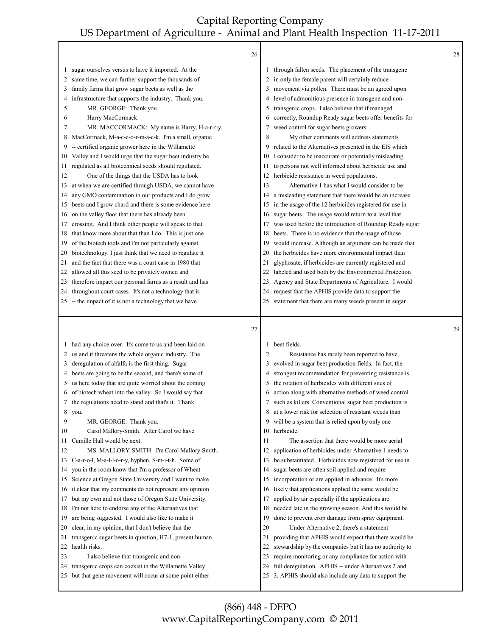|          | 26                                                                                                              |                |                                                                                                              | 28 |
|----------|-----------------------------------------------------------------------------------------------------------------|----------------|--------------------------------------------------------------------------------------------------------------|----|
| 1        | sugar ourselves versus to have it imported. At the                                                              |                | through fallen seeds. The placement of the transgene                                                         |    |
| 2        | same time, we can further support the thousands of                                                              | 2              | in only the female parent will certainly reduce                                                              |    |
| 3        | family farms that grow sugar beets as well as the                                                               | 3              | movement via pollen. There must be an agreed upon                                                            |    |
| 4        | infrastructure that supports the industry. Thank you.                                                           | 4              | level of admonitious presence in transgene and non-                                                          |    |
| 5        | MR. GEORGE: Thank you.                                                                                          | 5              | transgenic crops. I also believe that if managed                                                             |    |
| 6        | Harry MacCormack.                                                                                               | 6              | correctly, Roundup Ready sugar beets offer benefits for                                                      |    |
| 7        | MR. MACCORMACK: My name is Harry, H-a-r-r-y,                                                                    | 7              | weed control for sugar beets growers.                                                                        |    |
| 8        | MacCormack, M-a-c-c-o-r-m-a-c-k. I'm a small, organic                                                           | 8              | My other comments will address statements                                                                    |    |
| 9        | -- certified organic grower here in the Willamette                                                              | 9              | related to the Alternatives presented in the EIS which                                                       |    |
| 10       | Valley and I would urge that the sugar beet industry be                                                         | 10             | I consider to be inaccurate or potentially misleading                                                        |    |
| 11       | regulated as all biotechnical seeds should regulated.                                                           | 11             | to persons not well informed about herbicide use and                                                         |    |
| 12       | One of the things that the USDA has to look                                                                     | 12             | herbicide resistance in weed populations.                                                                    |    |
| 13       | at when we are certified through USDA, we cannot have                                                           | 13             | Alternative 1 has what I would consider to be                                                                |    |
|          | any GMO contamination in our products and I do grow                                                             | 14             | a misleading statement that there would be an increase                                                       |    |
| 14       | beets and I grow chard and there is some evidence here                                                          |                |                                                                                                              |    |
| 15       |                                                                                                                 | 15             | in the usage of the 12 herbicides registered for use in                                                      |    |
| 16       | on the valley floor that there has already been                                                                 | 16             | sugar beets. The usage would return to a level that                                                          |    |
| 17       | crossing. And I think other people will speak to that                                                           | 17             | was used before the introduction of Roundup Ready sugar                                                      |    |
| 18       | that know more about that than I do. This is just one                                                           | 18             | beets. There is no evidence that the usage of those                                                          |    |
| 19       | of the biotech tools and I'm not particularly against                                                           | 19             | would increase. Although an argument can be made that                                                        |    |
| 20       | biotechnology. I just think that we need to regulate it                                                         | 20             | the herbicides have more environmental impact than                                                           |    |
| 21       | and the fact that there was a court case in 1980 that                                                           | 21             | glyphosate, if herbicides are currently registered and                                                       |    |
| 22       | allowed all this seed to be privately owned and                                                                 | 22             | labeled and used both by the Environmental Protection                                                        |    |
| 23       | therefore impact our personal farms as a result and has                                                         | 23             | Agency and State Departments of Agriculture. I would                                                         |    |
| 24       | throughout court cases. It's not a technology that is                                                           | 24             | request that the APHIS provide data to support the                                                           |    |
| 25       | -- the impact of it is not a technology that we have                                                            | 25             | statement that there are many weeds present in sugar                                                         |    |
|          |                                                                                                                 |                |                                                                                                              |    |
|          |                                                                                                                 |                |                                                                                                              |    |
|          | 27                                                                                                              |                |                                                                                                              | 29 |
|          |                                                                                                                 | 1              |                                                                                                              |    |
| 1        | had any choice over. It's come to us and been laid on                                                           | $\overline{2}$ | beet fields.                                                                                                 |    |
| 2        | us and it threatens the whole organic industry. The                                                             |                | Resistance has rarely been reported to have                                                                  |    |
| 3        | deregulation of alfalfa is the first thing. Sugar                                                               | 3              | evolved in sugar beet production fields. In fact, the                                                        |    |
| 4        | beets are going to be the second, and there's some of                                                           | 4              | strongest recommendation for preventing resistance is                                                        |    |
| 5        | us here today that are quite worried about the coming                                                           | 5              | the rotation of herbicides with different sites of                                                           |    |
| 6        | of biotech wheat into the valley. So I would say that                                                           | 6              | action along with alternative methods of weed control                                                        |    |
| 7        | the regulations need to stand and that's it. Thank                                                              | 7              | such as killers. Conventional sugar beet production is                                                       |    |
| 8        | you.                                                                                                            | 8              | at a lower risk for selection of resistant weeds than                                                        |    |
| 9        | MR. GEORGE: Thank you.                                                                                          | 9              | will be a system that is relied upon by only one                                                             |    |
| 10       | Carol Mallory-Smith. After Carol we have                                                                        | 10             | herbicide.                                                                                                   |    |
| 11       | Camille Hall would be next.                                                                                     | 11             | The assertion that there would be more aerial                                                                |    |
| 12       | MS. MALLORY-SMITH: I'm Carol Mallory-Smith.                                                                     | 12             | application of herbicides under Alternative 1 needs to                                                       |    |
| 13       | C-a-r-o-l, M-a-l-l-o-r-y, hyphen, S-m-i-t-h. Some of                                                            | 13             | be substantiated. Herbicides now registered for use in                                                       |    |
| 14       | you in the room know that I'm a professor of Wheat                                                              | 14             | sugar beets are often soil applied and require                                                               |    |
| 15       | Science at Oregon State University and I want to make                                                           | 15             | incorporation or are applied in advance. It's more                                                           |    |
| 16       | it clear that my comments do not represent any opinion                                                          | 16             | likely that applications applied the same would be                                                           |    |
| 17       | but my own and not those of Oregon State University.                                                            | 17             | applied by air especially if the applications are                                                            |    |
| 18       | I'm not here to endorse any of the Alternatives that                                                            | 18             | needed late in the growing season. And this would be                                                         |    |
| 19       | are being suggested. I would also like to make it                                                               | 19             | done to prevent crop damage from spray equipment.                                                            |    |
| 20       | clear, in my opinion, that I don't believe that the                                                             | 20             | Under Alternative 2, there's a statement                                                                     |    |
| 21       | transgenic sugar beets in question, H7-1, present human                                                         | 21             | providing that APHIS would expect that there would be                                                        |    |
| 22       | health risks.                                                                                                   | 22             | stewardship by the companies but it has no authority to                                                      |    |
| 23       | I also believe that transgenic and non-                                                                         | 23             | require monitoring or any compliance for action with                                                         |    |
| 24<br>25 | transgenic crops can coexist in the Willamette Valley<br>but that gene movement will occur at some point either | 24<br>25       | full deregulation. APHIS -- under Alternatives 2 and<br>3, APHIS should also include any data to support the |    |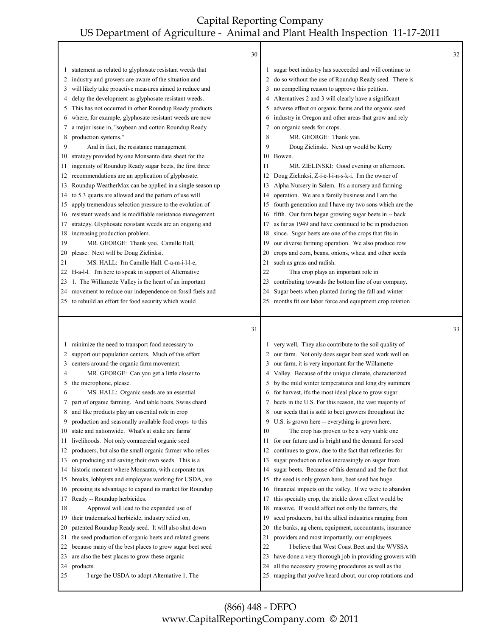|          | 30                                                         |          |                                                                                                                | 32 |
|----------|------------------------------------------------------------|----------|----------------------------------------------------------------------------------------------------------------|----|
| $\perp$  | statement as related to glyphosate resistant weeds that    | 1        | sugar beet industry has succeeded and will continue to                                                         |    |
| 2        | industry and growers are aware of the situation and        | 2        | do so without the use of Roundup Ready seed. There is                                                          |    |
| 3        | will likely take proactive measures aimed to reduce and    | 3        | no compelling reason to approve this petition.                                                                 |    |
| 4        | delay the development as glyphosate resistant weeds.       | 4        | Alternatives 2 and 3 will clearly have a significant                                                           |    |
| 5        | This has not occurred in other Roundup Ready products      | 5        | adverse effect on organic farms and the organic seed                                                           |    |
| 6        | where, for example, glyphosate resistant weeds are now     | 6        | industry in Oregon and other areas that grow and rely                                                          |    |
| 7        | a major issue in, "soybean and cotton Roundup Ready        | 7        | on organic seeds for crops.                                                                                    |    |
| 8        | production systems."                                       | 8        | MR. GEORGE: Thank you.                                                                                         |    |
| 9        | And in fact, the resistance management                     | 9        | Doug Zielinski. Next up would be Kerry                                                                         |    |
| 10       | strategy provided by one Monsanto data sheet for the       |          | 10 Bowen.                                                                                                      |    |
| 11       | ingenuity of Roundup Ready sugar beets, the first three    | 11       | MR. ZIELINSKI: Good evening or afternoon.                                                                      |    |
| 12       | recommendations are an application of glyphosate.          | 12       | Doug Zielinksi, Z-i-e-l-i-n-s-k-i. I'm the owner of                                                            |    |
| 13       | Roundup WeatherMax can be applied in a single season up    | 13       | Alpha Nursery in Salem. It's a nursery and farming                                                             |    |
| 14       | to 5.3 quarts are allowed and the pattern of use will      | 14       | operation. We are a family business and I am the                                                               |    |
| 15       | apply tremendous selection pressure to the evolution of    | 15       | fourth generation and I have my two sons which are the                                                         |    |
| 16       | resistant weeds and is modifiable resistance management    | 16       | fifth. Our farm began growing sugar beets in -- back                                                           |    |
| 17       | strategy. Glyphosate resistant weeds are an ongoing and    | 17       | as far as 1949 and have continued to be in production                                                          |    |
| 18       | increasing production problem.                             | 18       | since. Sugar beets are one of the crops that fits in                                                           |    |
| 19       | MR. GEORGE: Thank you. Camille Hall,                       | 19       | our diverse farming operation. We also produce row                                                             |    |
| 20       | please. Next will be Doug Zielinksi.                       | 20       | crops and corn, beans, onions, wheat and other seeds                                                           |    |
| 21       | MS. HALL: I'm Camille Hall. C-a-m-i-l-l-e,                 | 21       | such as grass and radish.                                                                                      |    |
|          | 22 H-a-l-l. I'm here to speak in support of Alternative    | 22       | This crop plays an important role in                                                                           |    |
| 23       | 1. The Willamette Valley is the heart of an important      | 23       | contributing towards the bottom line of our company.                                                           |    |
|          | 24 movement to reduce our independence on fossil fuels and | 24       | Sugar beets when planted during the fall and winter                                                            |    |
|          | 25 to rebuild an effort for food security which would      | 25       | months fit our labor force and equipment crop rotation                                                         |    |
|          |                                                            |          |                                                                                                                |    |
|          |                                                            |          |                                                                                                                |    |
|          | 31                                                         |          |                                                                                                                | 33 |
| $\perp$  |                                                            |          |                                                                                                                |    |
|          | minimize the need to transport food necessary to           | 2        | very well. They also contribute to the soil quality of                                                         |    |
| 2        | support our population centers. Much of this effort        | 3        | our farm. Not only does sugar beet seed work well on                                                           |    |
| 3        | centers around the organic farm movement.                  |          | our farm, it is very important for the Willamette                                                              |    |
| 4        | MR. GEORGE: Can you get a little closer to                 | 4        | Valley. Because of the unique climate, characterized                                                           |    |
| 5        | the microphone, please.                                    | 5        | by the mild winter temperatures and long dry summers                                                           |    |
| 6        | MS. HALL: Organic seeds are an essential                   | 6        | for harvest, it's the most ideal place to grow sugar                                                           |    |
| 7        | part of organic farming. And table beets, Swiss chard      | 7        | beets in the U.S. For this reason, the vast majority of                                                        |    |
| 8        | and like products play an essential role in crop           | 8        | our seeds that is sold to beet growers throughout the                                                          |    |
| 9        | production and seasonally available food crops to this     | 9        | U.S. is grown here -- everything is grown here.                                                                |    |
| 10       | state and nationwide. What's at stake are farms'           | 10       | The crop has proven to be a very viable one                                                                    |    |
| 11       | livelihoods. Not only commercial organic seed              | 11       | for our future and is bright and the demand for seed                                                           |    |
| 12       | producers, but also the small organic farmer who relies    | 12       | continues to grow, due to the fact that refineries for                                                         |    |
| 13       | on producing and saving their own seeds. This is a         | 13       | sugar production relies increasingly on sugar from                                                             |    |
| 14       | historic moment where Monsanto, with corporate tax         | 14       | sugar beets. Because of this demand and the fact that                                                          |    |
| 15       | breaks, lobbyists and employees working for USDA, are      | 15       | the seed is only grown here, beet seed has huge                                                                |    |
| 16       | pressing its advantage to expand its market for Roundup    | 16       | financial impacts on the valley. If we were to abandon                                                         |    |
| 17       | Ready -- Roundup herbicides.                               | 17       | this specialty crop, the trickle down effect would be                                                          |    |
| 18       | Approval will lead to the expanded use of                  | 18       | massive. If would affect not only the farmers, the                                                             |    |
| 19       | their trademarked herbicide, industry relied on,           | 19       | seed producers, but the allied industries ranging from                                                         |    |
| 20       | patented Roundup Ready seed. It will also shut down        | 20       | the banks, ag chem, equipment, accountants, insurance                                                          |    |
| 21       | the seed production of organic beets and related greens    | 21       | providers and most importantly, our employees.                                                                 |    |
| 22       | because many of the best places to grow sugar beet seed    | $22\,$   | I believe that West Coast Beet and the WVSSA                                                                   |    |
| 23       | are also the best places to grow these organic             | 23       | have done a very thorough job in providing growers with                                                        |    |
| 24<br>25 | products.<br>I urge the USDA to adopt Alternative 1. The   | 24<br>25 | all the necessary growing procedures as well as the<br>mapping that you've heard about, our crop rotations and |    |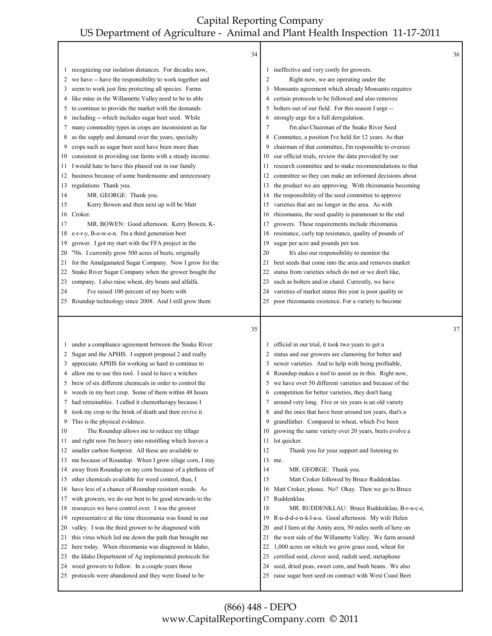|              | 34                                                                                                              |                         |                                                                                                                 | 36 |
|--------------|-----------------------------------------------------------------------------------------------------------------|-------------------------|-----------------------------------------------------------------------------------------------------------------|----|
|              | 1 recognizing our isolation distances. For decades now,                                                         |                         | 1 ineffective and very costly for growers.                                                                      |    |
| 2            | we have -- have the responsibility to work together and                                                         | $\overline{\mathbf{c}}$ | Right now, we are operating under the                                                                           |    |
| 3            | seem to work just fine protecting all species. Farms                                                            | 3                       | Monsanto agreement which already Monsanto requires                                                              |    |
| 4            | like mine in the Willamette Valley need to be to able                                                           | 4                       | certain protocols to be followed and also removes                                                               |    |
| 5.           | to continue to provide the market with the demands                                                              | 5                       | bolters out of our field. For this reason I urge --                                                             |    |
| 6            | including -- which includes sugar beet seed. While                                                              | 6                       | strongly urge for a full deregulation.                                                                          |    |
| 7            | many commodity types in crops are inconsistent as far                                                           | 7                       | I'm also Chairman of the Snake River Seed                                                                       |    |
| 8            | as the supply and demand over the years, specialty                                                              | 8                       | Committee, a position I've held for 12 years. As that                                                           |    |
| 9            | crops such as sugar beet seed have been more than                                                               | 9                       | chairman of that committee, I'm responsible to oversee                                                          |    |
| 10           | consistent in providing our farms with a steady income.                                                         | 10                      | our official trials, review the data provided by our                                                            |    |
| 11.          | would hate to have this phased out in our family                                                                | 11                      | research committee and to make recommendations to that                                                          |    |
| 12           | business because of some burdensome and unnecessary                                                             | 12                      | committee so they can make an informed decisions about                                                          |    |
|              | 13 regulations Thank you.                                                                                       | 13                      | the product we are approving. With rhizomania becoming                                                          |    |
| 14           | MR. GEORGE: Thank you.                                                                                          | 14                      | the responsibility of the seed committee to approve                                                             |    |
| 15           | Kerry Bowen and then next up will be Matt                                                                       | 15                      | varieties that are no longer in the area. As with                                                               |    |
|              | 16 Croker.                                                                                                      | 16                      | rhizomania, the seed quality is paramount to the end                                                            |    |
| 17           | MR. BOWEN: Good afternoon. Kerry Bowen, K-                                                                      | 17                      | growers. These requirements include rhizomania                                                                  |    |
| 18           | e-r-r-y, B-o-w-e-n. I'm a third generation beet                                                                 | 18                      | resistance, curly top resistance, quality of pounds of                                                          |    |
| 19           | grower. I got my start with the FFA project in the                                                              | 19                      | sugar per acre and pounds per ton.                                                                              |    |
| 20           | '70s. I currently grow 500 acres of beets, originally                                                           | 20                      | It's also our responsibility to monitor the                                                                     |    |
| 21           | for the Amalgamated Sugar Company. Now I grow for the                                                           | 21                      | beet seeds that come into the area and removes market                                                           |    |
| 22           | Snake River Sugar Company when the grower bought the                                                            | 22                      | status from varieties which do not or we don't like,                                                            |    |
| 23           | company. I also raise wheat, dry beans and alfalfa.                                                             | 23                      | such as bolters and/or chard. Currently, we have                                                                |    |
| 24           | I've raised 100 percent of my beets with                                                                        | 24                      | varieties of market status this year is poor quality or                                                         |    |
|              | 25 Roundup technology since 2008. And I still grow them                                                         | 25                      | poor rhizomania existence. For a variety to become                                                              |    |
|              |                                                                                                                 |                         |                                                                                                                 |    |
|              |                                                                                                                 |                         |                                                                                                                 |    |
|              | 35                                                                                                              |                         |                                                                                                                 | 37 |
| $\mathbf{I}$ | under a compliance agreement between the Snake River                                                            |                         | official in our trial, it took two years to get a                                                               |    |
| 2            | Sugar and the APHIS. I support proposal 2 and really                                                            |                         | 2 status and our growers are clamoring for better and                                                           |    |
| 3            | appreciate APHIS for working so hard to continue to                                                             | 3                       | newer varieties. And to help with being profitable,                                                             |    |
| 4            | allow me to use this tool. I used to have a witches                                                             | 4                       | Roundup makes a tool to assist us in this. Right now,                                                           |    |
| 5            | brew of six different chemicals in order to control the                                                         | 5                       | we have over 50 different varieties and because of the                                                          |    |
| 6            | weeds in my beet crop. Some of them within 48 hours                                                             | 6                       | competition for better varieties, they don't hang                                                               |    |
| 7            | had retrainables. I called it chemotherapy because I                                                            | 7                       | around very long. Five or six years is an old variety                                                           |    |
| 8            | took my crop to the brink of death and then revive it.                                                          | 8                       | and the ones that have been around ten years, that's a                                                          |    |
| 9            | This is the physical evidence.                                                                                  | 9                       | grandfather. Compared to wheat, which I've been                                                                 |    |
| 10           | The Roundup allows me to reduce my tillage                                                                      | 10                      | growing the same variety over 20 years, beets evolve a                                                          |    |
| 11           | and right now I'm heavy into rototilling which leaves a                                                         | 11                      |                                                                                                                 |    |
| 12           |                                                                                                                 | 12                      | lot quicker.<br>Thank you for your support and listening to                                                     |    |
| 13           | smaller carbon footprint. All these are available to                                                            |                         | 13 me.                                                                                                          |    |
| 14           | me because of Roundup. When I grow silage corn, I stay<br>away from Roundup on my corn because of a plethora of | 14                      | MR. GEORGE: Thank you.                                                                                          |    |
| 15           |                                                                                                                 | 15                      | Matt Croker followed by Bruce Ruddenklau.                                                                       |    |
| 16           | other chemicals available for weed control, thus, I<br>have less of a chance of Roundup resistant weeds. As     | 16                      | Matt Croker, please. No? Okay. Then we go to Bruce                                                              |    |
| 17           |                                                                                                                 | 17                      | Ruddenklau.                                                                                                     |    |
| 18           | with growers, we do our best to be good stewards to the<br>resources we have control over. I was the grower     |                         | MR. RUDDENKLAU: Bruce Ruddenklau, B-r-u-c-e,                                                                    |    |
| 19           |                                                                                                                 | 18<br>19                |                                                                                                                 |    |
| 20           | representative at the time rhizomania was found in our                                                          | 20                      | R-u-d-d-e-n-k-l-a-u. Good afternoon. My wife Helen                                                              |    |
| 21           | valley. I was the third grower to be diagnosed with                                                             | 21                      | and I farm at the Amity area, 50 miles north of here on                                                         |    |
|              | this virus which led me down the path that brought me                                                           |                         | the west side of the Willamette Valley. We farm around                                                          |    |
| 22           | here today. When rhizomania was diagnosed in Idaho,                                                             | 22                      | 1,000 acres on which we grow grass seed, wheat for                                                              |    |
| 23           | the Idaho Department of Ag implemented protocols for                                                            | 23                      | certified seed, clover seed, radish seed, metaphone                                                             |    |
| 24<br>25     | weed growers to follow. In a couple years those<br>protocols were abandoned and they were found to be           | 24<br>25                | seed, dried peas, sweet corn, and bush beans. We also<br>raise sugar beet seed on contract with West Coast Beet |    |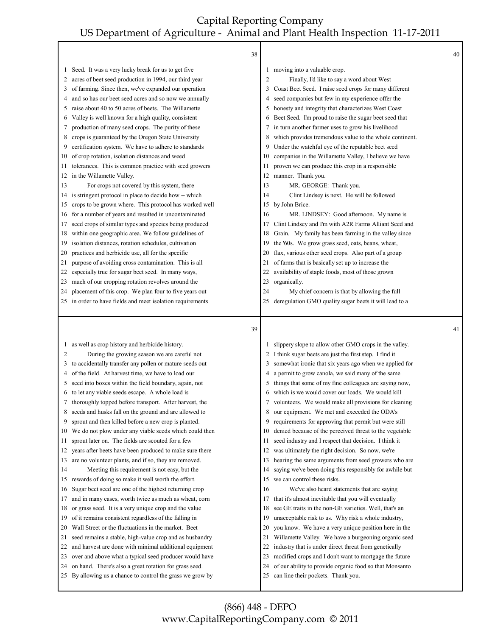┰

Г

| moving into a valuable crop.<br>Seed. It was a very lucky break for us to get five<br>1<br>1<br>acres of beet seed production in 1994, our third year<br>Finally, I'd like to say a word about West<br>2<br>2<br>Coast Beet Seed. I raise seed crops for many different<br>of farming. Since then, we've expanded our operation<br>3<br>3<br>seed companies but few in my experience offer the<br>and so has our beet seed acres and so now we annually<br>4<br>4<br>honesty and integrity that characterizes West Coast<br>raise about 40 to 50 acres of beets. The Willamette<br>5<br>5<br>Beet Seed. I'm proud to raise the sugar beet seed that<br>Valley is well known for a high quality, consistent<br>6<br>6<br>in turn another farmer uses to grow his livelihood<br>production of many seed crops. The purity of these<br>7<br>7<br>which provides tremendous value to the whole continent.<br>crops is guaranteed by the Oregon State University<br>8<br>8<br>Under the watchful eye of the reputable beet seed<br>certification system. We have to adhere to standards<br>9<br>9<br>companies in the Willamette Valley, I believe we have<br>of crop rotation, isolation distances and weed<br>10<br>10<br>tolerances. This is common practice with seed growers<br>proven we can produce this crop in a responsible<br>11<br>11 |    |
|----------------------------------------------------------------------------------------------------------------------------------------------------------------------------------------------------------------------------------------------------------------------------------------------------------------------------------------------------------------------------------------------------------------------------------------------------------------------------------------------------------------------------------------------------------------------------------------------------------------------------------------------------------------------------------------------------------------------------------------------------------------------------------------------------------------------------------------------------------------------------------------------------------------------------------------------------------------------------------------------------------------------------------------------------------------------------------------------------------------------------------------------------------------------------------------------------------------------------------------------------------------------------------------------------------------------------------------------|----|
|                                                                                                                                                                                                                                                                                                                                                                                                                                                                                                                                                                                                                                                                                                                                                                                                                                                                                                                                                                                                                                                                                                                                                                                                                                                                                                                                              |    |
|                                                                                                                                                                                                                                                                                                                                                                                                                                                                                                                                                                                                                                                                                                                                                                                                                                                                                                                                                                                                                                                                                                                                                                                                                                                                                                                                              |    |
|                                                                                                                                                                                                                                                                                                                                                                                                                                                                                                                                                                                                                                                                                                                                                                                                                                                                                                                                                                                                                                                                                                                                                                                                                                                                                                                                              |    |
|                                                                                                                                                                                                                                                                                                                                                                                                                                                                                                                                                                                                                                                                                                                                                                                                                                                                                                                                                                                                                                                                                                                                                                                                                                                                                                                                              |    |
|                                                                                                                                                                                                                                                                                                                                                                                                                                                                                                                                                                                                                                                                                                                                                                                                                                                                                                                                                                                                                                                                                                                                                                                                                                                                                                                                              |    |
|                                                                                                                                                                                                                                                                                                                                                                                                                                                                                                                                                                                                                                                                                                                                                                                                                                                                                                                                                                                                                                                                                                                                                                                                                                                                                                                                              |    |
|                                                                                                                                                                                                                                                                                                                                                                                                                                                                                                                                                                                                                                                                                                                                                                                                                                                                                                                                                                                                                                                                                                                                                                                                                                                                                                                                              |    |
|                                                                                                                                                                                                                                                                                                                                                                                                                                                                                                                                                                                                                                                                                                                                                                                                                                                                                                                                                                                                                                                                                                                                                                                                                                                                                                                                              |    |
|                                                                                                                                                                                                                                                                                                                                                                                                                                                                                                                                                                                                                                                                                                                                                                                                                                                                                                                                                                                                                                                                                                                                                                                                                                                                                                                                              |    |
|                                                                                                                                                                                                                                                                                                                                                                                                                                                                                                                                                                                                                                                                                                                                                                                                                                                                                                                                                                                                                                                                                                                                                                                                                                                                                                                                              |    |
|                                                                                                                                                                                                                                                                                                                                                                                                                                                                                                                                                                                                                                                                                                                                                                                                                                                                                                                                                                                                                                                                                                                                                                                                                                                                                                                                              |    |
| in the Willamette Valley.<br>12 manner. Thank you.<br>12                                                                                                                                                                                                                                                                                                                                                                                                                                                                                                                                                                                                                                                                                                                                                                                                                                                                                                                                                                                                                                                                                                                                                                                                                                                                                     |    |
| For crops not covered by this system, there<br>13<br>MR. GEORGE: Thank you.<br>13                                                                                                                                                                                                                                                                                                                                                                                                                                                                                                                                                                                                                                                                                                                                                                                                                                                                                                                                                                                                                                                                                                                                                                                                                                                            |    |
| is stringent protocol in place to decide how -- which<br>14<br>Clint Lindsey is next. He will be followed<br>14                                                                                                                                                                                                                                                                                                                                                                                                                                                                                                                                                                                                                                                                                                                                                                                                                                                                                                                                                                                                                                                                                                                                                                                                                              |    |
| crops to be grown where. This protocol has worked well<br>15 by John Brice.<br>15                                                                                                                                                                                                                                                                                                                                                                                                                                                                                                                                                                                                                                                                                                                                                                                                                                                                                                                                                                                                                                                                                                                                                                                                                                                            |    |
| for a number of years and resulted in uncontaminated<br>MR. LINDSEY: Good afternoon. My name is<br>16<br>16                                                                                                                                                                                                                                                                                                                                                                                                                                                                                                                                                                                                                                                                                                                                                                                                                                                                                                                                                                                                                                                                                                                                                                                                                                  |    |
| seed crops of similar types and species being produced<br>Clint Lindsey and I'm with A2R Farms Alliant Seed and<br>17<br>17                                                                                                                                                                                                                                                                                                                                                                                                                                                                                                                                                                                                                                                                                                                                                                                                                                                                                                                                                                                                                                                                                                                                                                                                                  |    |
| within one geographic area. We follow guidelines of<br>Grain. My family has been farming in the valley since<br>18<br>18                                                                                                                                                                                                                                                                                                                                                                                                                                                                                                                                                                                                                                                                                                                                                                                                                                                                                                                                                                                                                                                                                                                                                                                                                     |    |
| isolation distances, rotation schedules, cultivation<br>the '60s. We grow grass seed, oats, beans, wheat,<br>19<br>19                                                                                                                                                                                                                                                                                                                                                                                                                                                                                                                                                                                                                                                                                                                                                                                                                                                                                                                                                                                                                                                                                                                                                                                                                        |    |
| practices and herbicide use, all for the specific<br>flax, various other seed crops. Also part of a group<br>20<br>20                                                                                                                                                                                                                                                                                                                                                                                                                                                                                                                                                                                                                                                                                                                                                                                                                                                                                                                                                                                                                                                                                                                                                                                                                        |    |
| purpose of avoiding cross contamination. This is all<br>of farms that is basically set up to increase the<br>21<br>21                                                                                                                                                                                                                                                                                                                                                                                                                                                                                                                                                                                                                                                                                                                                                                                                                                                                                                                                                                                                                                                                                                                                                                                                                        |    |
| especially true for sugar beet seed. In many ways,<br>availability of staple foods, most of those grown<br>22<br>22                                                                                                                                                                                                                                                                                                                                                                                                                                                                                                                                                                                                                                                                                                                                                                                                                                                                                                                                                                                                                                                                                                                                                                                                                          |    |
| much of our cropping rotation revolves around the<br>organically.<br>23<br>23                                                                                                                                                                                                                                                                                                                                                                                                                                                                                                                                                                                                                                                                                                                                                                                                                                                                                                                                                                                                                                                                                                                                                                                                                                                                |    |
| My chief concern is that by allowing the full<br>placement of this crop. We plan four to five years out<br>24<br>24                                                                                                                                                                                                                                                                                                                                                                                                                                                                                                                                                                                                                                                                                                                                                                                                                                                                                                                                                                                                                                                                                                                                                                                                                          |    |
| 25 in order to have fields and meet isolation requirements<br>deregulation GMO quality sugar beets it will lead to a<br>25                                                                                                                                                                                                                                                                                                                                                                                                                                                                                                                                                                                                                                                                                                                                                                                                                                                                                                                                                                                                                                                                                                                                                                                                                   |    |
| 39                                                                                                                                                                                                                                                                                                                                                                                                                                                                                                                                                                                                                                                                                                                                                                                                                                                                                                                                                                                                                                                                                                                                                                                                                                                                                                                                           | 41 |
| as well as crop history and herbicide history.<br>slippery slope to allow other GMO crops in the valley.<br>1                                                                                                                                                                                                                                                                                                                                                                                                                                                                                                                                                                                                                                                                                                                                                                                                                                                                                                                                                                                                                                                                                                                                                                                                                                |    |
|                                                                                                                                                                                                                                                                                                                                                                                                                                                                                                                                                                                                                                                                                                                                                                                                                                                                                                                                                                                                                                                                                                                                                                                                                                                                                                                                              |    |
| 2<br>2                                                                                                                                                                                                                                                                                                                                                                                                                                                                                                                                                                                                                                                                                                                                                                                                                                                                                                                                                                                                                                                                                                                                                                                                                                                                                                                                       |    |
| I think sugar beets are just the first step. I find it<br>During the growing season we are careful not<br>3<br>3                                                                                                                                                                                                                                                                                                                                                                                                                                                                                                                                                                                                                                                                                                                                                                                                                                                                                                                                                                                                                                                                                                                                                                                                                             |    |
| somewhat ironic that six years ago when we applied for<br>to accidentally transfer any pollen or mature seeds out<br>4<br>4                                                                                                                                                                                                                                                                                                                                                                                                                                                                                                                                                                                                                                                                                                                                                                                                                                                                                                                                                                                                                                                                                                                                                                                                                  |    |
| a permit to grow canola, we said many of the same<br>of the field. At harvest time, we have to load our<br>things that some of my fine colleagues are saying now,<br>seed into boxes within the field boundary, again, not<br>5<br>5                                                                                                                                                                                                                                                                                                                                                                                                                                                                                                                                                                                                                                                                                                                                                                                                                                                                                                                                                                                                                                                                                                         |    |
| which is we would cover our loads. We would kill<br>to let any viable seeds escape. A whole load is<br>6<br>6                                                                                                                                                                                                                                                                                                                                                                                                                                                                                                                                                                                                                                                                                                                                                                                                                                                                                                                                                                                                                                                                                                                                                                                                                                |    |
| volunteers. We would make all provisions for cleaning<br>thoroughly topped before transport. After harvest, the<br>7<br>7                                                                                                                                                                                                                                                                                                                                                                                                                                                                                                                                                                                                                                                                                                                                                                                                                                                                                                                                                                                                                                                                                                                                                                                                                    |    |
| our equipment. We met and exceeded the ODA's<br>seeds and husks fall on the ground and are allowed to<br>8<br>8                                                                                                                                                                                                                                                                                                                                                                                                                                                                                                                                                                                                                                                                                                                                                                                                                                                                                                                                                                                                                                                                                                                                                                                                                              |    |
| requirements for approving that permit but were still<br>sprout and then killed before a new crop is planted.<br>9<br>9                                                                                                                                                                                                                                                                                                                                                                                                                                                                                                                                                                                                                                                                                                                                                                                                                                                                                                                                                                                                                                                                                                                                                                                                                      |    |
| We do not plow under any viable seeds which could then<br>denied because of the perceived threat to the vegetable<br>10<br>10                                                                                                                                                                                                                                                                                                                                                                                                                                                                                                                                                                                                                                                                                                                                                                                                                                                                                                                                                                                                                                                                                                                                                                                                                |    |
| seed industry and I respect that decision. I think it<br>sprout later on. The fields are scouted for a few<br>11<br>11                                                                                                                                                                                                                                                                                                                                                                                                                                                                                                                                                                                                                                                                                                                                                                                                                                                                                                                                                                                                                                                                                                                                                                                                                       |    |
| was ultimately the right decision. So now, we're<br>years after beets have been produced to make sure there<br>12<br>12                                                                                                                                                                                                                                                                                                                                                                                                                                                                                                                                                                                                                                                                                                                                                                                                                                                                                                                                                                                                                                                                                                                                                                                                                      |    |
| hearing the same arguments from seed growers who are<br>are no volunteer plants, and if so, they are removed.<br>13<br>13                                                                                                                                                                                                                                                                                                                                                                                                                                                                                                                                                                                                                                                                                                                                                                                                                                                                                                                                                                                                                                                                                                                                                                                                                    |    |
| saying we've been doing this responsibly for awhile but<br>Meeting this requirement is not easy, but the<br>14<br>14                                                                                                                                                                                                                                                                                                                                                                                                                                                                                                                                                                                                                                                                                                                                                                                                                                                                                                                                                                                                                                                                                                                                                                                                                         |    |
| rewards of doing so make it well worth the effort.<br>we can control these risks.<br>15<br>15                                                                                                                                                                                                                                                                                                                                                                                                                                                                                                                                                                                                                                                                                                                                                                                                                                                                                                                                                                                                                                                                                                                                                                                                                                                |    |
| We've also heard statements that are saying<br>Sugar beet seed are one of the highest returning crop<br>16<br>16                                                                                                                                                                                                                                                                                                                                                                                                                                                                                                                                                                                                                                                                                                                                                                                                                                                                                                                                                                                                                                                                                                                                                                                                                             |    |
| and in many cases, worth twice as much as wheat, corn<br>that it's almost inevitable that you will eventually<br>17<br>17                                                                                                                                                                                                                                                                                                                                                                                                                                                                                                                                                                                                                                                                                                                                                                                                                                                                                                                                                                                                                                                                                                                                                                                                                    |    |
| see GE traits in the non-GE varieties. Well, that's an<br>or grass seed. It is a very unique crop and the value<br>18<br>18                                                                                                                                                                                                                                                                                                                                                                                                                                                                                                                                                                                                                                                                                                                                                                                                                                                                                                                                                                                                                                                                                                                                                                                                                  |    |
| of it remains consistent regardless of the falling in<br>unacceptable risk to us. Why risk a whole industry,<br>19<br>19                                                                                                                                                                                                                                                                                                                                                                                                                                                                                                                                                                                                                                                                                                                                                                                                                                                                                                                                                                                                                                                                                                                                                                                                                     |    |
| Wall Street or the fluctuations in the market. Beet<br>you know. We have a very unique position here in the<br>20<br>20                                                                                                                                                                                                                                                                                                                                                                                                                                                                                                                                                                                                                                                                                                                                                                                                                                                                                                                                                                                                                                                                                                                                                                                                                      |    |
| Willamette Valley. We have a burgeoning organic seed<br>seed remains a stable, high-value crop and as husbandry<br>21<br>21                                                                                                                                                                                                                                                                                                                                                                                                                                                                                                                                                                                                                                                                                                                                                                                                                                                                                                                                                                                                                                                                                                                                                                                                                  |    |
| industry that is under direct threat from genetically<br>and harvest are done with minimal additional equipment<br>22<br>22                                                                                                                                                                                                                                                                                                                                                                                                                                                                                                                                                                                                                                                                                                                                                                                                                                                                                                                                                                                                                                                                                                                                                                                                                  |    |
| over and above what a typical seed producer would have<br>modified crops and I don't want to mortgage the future<br>23<br>23                                                                                                                                                                                                                                                                                                                                                                                                                                                                                                                                                                                                                                                                                                                                                                                                                                                                                                                                                                                                                                                                                                                                                                                                                 |    |
| on hand. There's also a great rotation for grass seed.<br>of our ability to provide organic food so that Monsanto<br>24<br>24<br>By allowing us a chance to control the grass we grow by<br>can line their pockets. Thank you.<br>25<br>25                                                                                                                                                                                                                                                                                                                                                                                                                                                                                                                                                                                                                                                                                                                                                                                                                                                                                                                                                                                                                                                                                                   |    |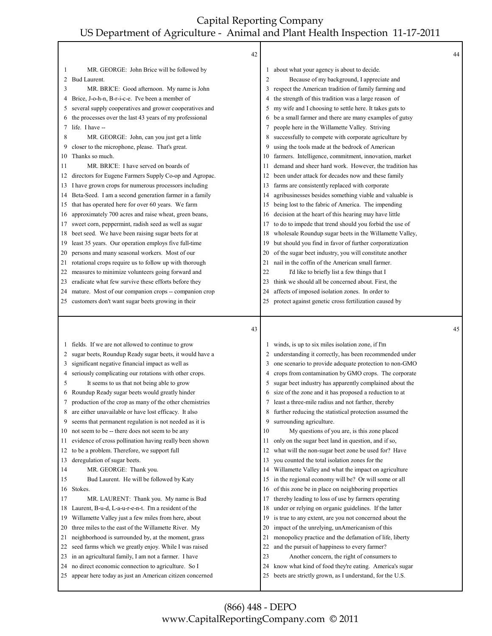|          | 42                                                                                                            |                         |                                                                                                                   | 44 |
|----------|---------------------------------------------------------------------------------------------------------------|-------------------------|-------------------------------------------------------------------------------------------------------------------|----|
| 1        | MR. GEORGE: John Brice will be followed by                                                                    |                         | about what your agency is about to decide.                                                                        |    |
| 2        | Bud Laurent.                                                                                                  | $\overline{\mathbf{c}}$ | Because of my background, I appreciate and                                                                        |    |
| 3        | MR. BRICE: Good afternoon. My name is John                                                                    | 3                       | respect the American tradition of family farming and                                                              |    |
| 4        | Brice, J-o-h-n, B-r-i-c-e. I've been a member of                                                              | 4                       | the strength of this tradition was a large reason of                                                              |    |
| 5        | several supply cooperatives and grower cooperatives and                                                       | 5                       | my wife and I choosing to settle here. It takes guts to                                                           |    |
|          | the processes over the last 43 years of my professional                                                       | 6                       | be a small farmer and there are many examples of gutsy                                                            |    |
| 7        | life. I have --                                                                                               | 7                       | people here in the Willamette Valley. Striving                                                                    |    |
| 8        | MR. GEORGE: John, can you just get a little                                                                   | 8                       | successfully to compete with corporate agriculture by                                                             |    |
| 9        | closer to the microphone, please. That's great.                                                               | 9                       | using the tools made at the bedrock of American                                                                   |    |
| 10       | Thanks so much.                                                                                               | 10                      | farmers. Intelligence, commitment, innovation, market                                                             |    |
| 11       | MR. BRICE: I have served on boards of                                                                         | -14                     | demand and sheer hard work. However, the tradition has                                                            |    |
| 12       | directors for Eugene Farmers Supply Co-op and Agropac.                                                        | 12                      | been under attack for decades now and these family                                                                |    |
| 13.      | I have grown crops for numerous processors including                                                          | 13                      | farms are consistently replaced with corporate                                                                    |    |
| 14       | Beta-Seed. I am a second generation farmer in a family                                                        | 14                      | agribusinesses besides something viable and valuable is                                                           |    |
| 15       | that has operated here for over 60 years. We farm                                                             | 15                      | being lost to the fabric of America. The impending                                                                |    |
| 16       | approximately 700 acres and raise wheat, green beans,                                                         | 16                      | decision at the heart of this hearing may have little                                                             |    |
| 17       | sweet corn, peppermint, radish seed as well as sugar                                                          | 17                      | to do to impede that trend should you forbid the use of                                                           |    |
| 18       | beet seed. We have been raising sugar beets for at                                                            | 18                      | wholesale Roundup sugar beets in the Willamette Valley,                                                           |    |
| 19       | least 35 years. Our operation employs five full-time                                                          | 19                      | but should you find in favor of further corporatization                                                           |    |
| 20       | persons and many seasonal workers. Most of our                                                                | 20                      | of the sugar beet industry, you will constitute another                                                           |    |
| 21       | rotational crops require us to follow up with thorough                                                        | 21                      | nail in the coffin of the American small farmer.                                                                  |    |
| 22       | measures to minimize volunteers going forward and                                                             | 22                      | I'd like to briefly list a few things that I                                                                      |    |
| 23       | eradicate what few survive these efforts before they                                                          | 23                      | think we should all be concerned about. First, the                                                                |    |
| 24       | mature. Most of our companion crops -- companion crop                                                         | 24                      | affects of imposed isolation zones. In order to                                                                   |    |
| 25       | customers don't want sugar beets growing in their                                                             | 25                      | protect against genetic cross fertilization caused by                                                             |    |
|          |                                                                                                               |                         |                                                                                                                   |    |
|          | 43                                                                                                            |                         |                                                                                                                   | 45 |
| 1        |                                                                                                               |                         |                                                                                                                   |    |
| 2        | fields. If we are not allowed to continue to grow                                                             |                         | winds, is up to six miles isolation zone, if I'm                                                                  |    |
| 3        | sugar beets, Roundup Ready sugar beets, it would have a<br>significant negative financial impact as well as   | 3                       | understanding it correctly, has been recommended under<br>one scenario to provide adequate protection to non-GMO  |    |
| 4        | seriously complicating our rotations with other crops.                                                        | 4                       | crops from contamination by GMO crops. The corporate                                                              |    |
| 5        | It seems to us that not being able to grow                                                                    | 5                       | sugar beet industry has apparently complained about the                                                           |    |
| 6        | Roundup Ready sugar beets would greatly hinder                                                                | 6                       | size of the zone and it has proposed a reduction to at                                                            |    |
| 7        | production of the crop as many of the other chemistries                                                       | 7                       | least a three-mile radius and not farther, thereby                                                                |    |
| 8        | are either unavailable or have lost efficacy. It also                                                         | 8                       | further reducing the statistical protection assumed the                                                           |    |
| 9        | seems that permanent regulation is not needed as it is                                                        | 9                       | surrounding agriculture.                                                                                          |    |
| 10       | not seem to be -- there does not seem to be any                                                               | 10                      | My questions of you are, is this zone placed                                                                      |    |
| 11       | evidence of cross pollination having really been shown                                                        | 11                      | only on the sugar beet land in question, and if so,                                                               |    |
| 12       | to be a problem. Therefore, we support full                                                                   | 12                      | what will the non-sugar beet zone be used for? Have                                                               |    |
| 13       | deregulation of sugar beets.                                                                                  | 13                      | you counted the total isolation zones for the                                                                     |    |
| 14       | MR. GEORGE: Thank you.                                                                                        | 14                      | Willamette Valley and what the impact on agriculture                                                              |    |
| 15       | Bud Laurent. He will be followed by Katy                                                                      | 15                      | in the regional economy will be? Or will some or all                                                              |    |
| 16       | Stokes.                                                                                                       | 16                      | of this zone be in place on neighboring properties                                                                |    |
| 17       | MR. LAURENT: Thank you. My name is Bud                                                                        | 17                      | thereby leading to loss of use by farmers operating                                                               |    |
| 18       | Laurent, B-u-d, L-a-u-r-e-n-t. I'm a resident of the                                                          | 18                      | under or relying on organic guidelines. If the latter                                                             |    |
| 19       | Willamette Valley just a few miles from here, about                                                           | 19                      | is true to any extent, are you not concerned about the                                                            |    |
| 20       | three miles to the east of the Willamette River. My                                                           | 20                      | impact of the unrelying, unAmericanism of this                                                                    |    |
| 21       | neighborhood is surrounded by, at the moment, grass                                                           | 21                      | monopolicy practice and the defamation of life, liberty                                                           |    |
| 22       | seed farms which we greatly enjoy. While I was raised                                                         | 22                      | and the pursuit of happiness to every farmer?                                                                     |    |
| 23       | in an agricultural family, I am not a farmer. I have                                                          | 23                      | Another concern, the right of consumers to                                                                        |    |
| 24<br>25 | no direct economic connection to agriculture. So I<br>appear here today as just an American citizen concerned | 24<br>25                | know what kind of food they're eating. America's sugar<br>beets are strictly grown, as I understand, for the U.S. |    |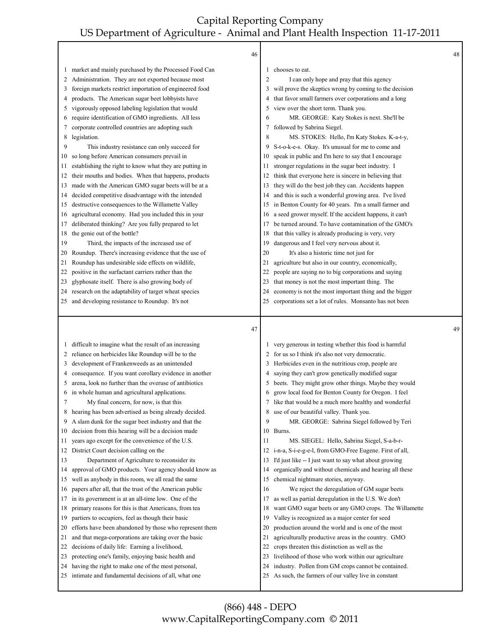Г

|              | 46                                                                                                        |                |                                                                                                            | 48 |
|--------------|-----------------------------------------------------------------------------------------------------------|----------------|------------------------------------------------------------------------------------------------------------|----|
| $\mathbf{I}$ | market and mainly purchased by the Processed Food Can                                                     | 1              | chooses to eat.                                                                                            |    |
| 2            | Administration. They are not exported because most                                                        | $\overline{2}$ | I can only hope and pray that this agency                                                                  |    |
| 3            | foreign markets restrict importation of engineered food                                                   | 3              | will prove the skeptics wrong by coming to the decision                                                    |    |
| 4            | products. The American sugar beet lobbyists have                                                          | 4              | that favor small farmers over corporations and a long                                                      |    |
| 5            | vigorously opposed labeling legislation that would                                                        |                | view over the short term. Thank you.                                                                       |    |
| 6            | require identification of GMO ingredients. All less                                                       | 6              | MR. GEORGE: Katy Stokes is next. She'll be                                                                 |    |
| 7            | corporate controlled countries are adopting such                                                          | 7              | followed by Sabrina Siegel.                                                                                |    |
| 8            | legislation.                                                                                              | 8              | MS. STOKES: Hello, I'm Katy Stokes. K-a-t-y,                                                               |    |
| 9            | This industry resistance can only succeed for                                                             | 9              | S-t-o-k-e-s. Okay. It's unusual for me to come and                                                         |    |
| 10           | so long before American consumers prevail in                                                              | 10             | speak in public and I'm here to say that I encourage                                                       |    |
| 11           | establishing the right to know what they are putting in                                                   | 11             | stronger regulations in the sugar beet industry. I                                                         |    |
| 12           | their mouths and bodies. When that happens, products                                                      | 12             | think that everyone here is sincere in believing that                                                      |    |
| 13           | made with the American GMO sugar beets will be at a                                                       | 13             | they will do the best job they can. Accidents happen                                                       |    |
| 14           | decided competitive disadvantage with the intended                                                        | 14             | and this is such a wonderful growing area. I've lived                                                      |    |
| 15           | destructive consequences to the Willamette Valley                                                         | 15             | in Benton County for 40 years. I'm a small farmer and                                                      |    |
| 16           | agricultural economy. Had you included this in your                                                       | 16             | a seed grower myself. If the accident happens, it can't                                                    |    |
| 17           | deliberated thinking? Are you fully prepared to let                                                       | 17             | be turned around. To have contamination of the GMO's                                                       |    |
| 18           | the genie out of the bottle?                                                                              | 18             | that this valley is already producing is very, very                                                        |    |
| 19           | Third, the impacts of the increased use of                                                                | 19             | dangerous and I feel very nervous about it.                                                                |    |
| 20           | Roundup. There's increasing evidence that the use of                                                      | 20             | It's also a historic time not just for                                                                     |    |
| 21           | Roundup has undesirable side effects on wildlife,                                                         | 21             | agriculture but also in our country, economically,                                                         |    |
| 22           | positive in the surfactant carriers rather than the                                                       | 22             | people are saying no to big corporations and saying                                                        |    |
| 23           | glyphosate itself. There is also growing body of                                                          | 23             | that money is not the most important thing. The                                                            |    |
| 24           | research on the adaptability of target wheat species                                                      | 24             | economy is not the most important thing and the bigger                                                     |    |
| 25           | and developing resistance to Roundup. It's not                                                            | 25             | corporations set a lot of rules. Monsanto has not been                                                     |    |
|              |                                                                                                           |                |                                                                                                            |    |
|              |                                                                                                           |                |                                                                                                            |    |
|              | 47                                                                                                        |                |                                                                                                            | 49 |
|              |                                                                                                           |                |                                                                                                            |    |
| $\perp$      | difficult to imagine what the result of an increasing                                                     | 1              | very generous in testing whether this food is harmful                                                      |    |
| 2            | reliance on herbicides like Roundup will be to the                                                        |                | for us so I think it's also not very democratic.                                                           |    |
| 3            | development of Frankenweeds as an unintended                                                              |                | 3 Herbicides even in the nutritious crop, people are                                                       |    |
| 4            | consequence. If you want corollary evidence in another                                                    | 4              | saying they can't grow genetically modified sugar                                                          |    |
| 5            | arena, look no further than the overuse of antibiotics                                                    | 5              | beets. They might grow other things. Maybe they would                                                      |    |
| 6            | in whole human and agricultural applications.                                                             | 6              | grow local food for Benton County for Oregon. I feel                                                       |    |
| 7            | My final concern, for now, is that this                                                                   | 7              | like that would be a much more healthy and wonderful                                                       |    |
| 8            | hearing has been advertised as being already decided.                                                     |                | 8 use of our beautiful valley. Thank you.                                                                  |    |
| 9            | A slam dunk for the sugar beet industry and that the                                                      | 9              | MR. GEORGE: Sabrina Siegel followed by Teri                                                                |    |
| 10           | decision from this hearing will be a decision made                                                        |                | 10 Burns.                                                                                                  |    |
| 11           | years ago except for the convenience of the U.S.                                                          | 11             | MS. SIEGEL: Hello, Sabrina Siegel, S-a-b-r-                                                                |    |
| 12           | District Court decision calling on the                                                                    | 12             | i-n-a, S-i-e-g-e-l, from GMO-Free Eugene. First of all,                                                    |    |
| 13           | Department of Agriculture to reconsider its                                                               | 13             | I'd just like -- I just want to say what about growing                                                     |    |
| 14           | approval of GMO products. Your agency should know as                                                      | 14             | organically and without chemicals and hearing all these                                                    |    |
| 15           | well as anybody in this room, we all read the same                                                        | 15             | chemical nightmare stories, anyway.                                                                        |    |
| 16           | papers after all, that the trust of the American public                                                   | 16             | We reject the deregulation of GM sugar beets                                                               |    |
| 17           | in its government is at an all-time low. One of the                                                       | 17             | as well as partial deregulation in the U.S. We don't                                                       |    |
| 18           | primary reasons for this is that Americans, from tea                                                      | 18             | want GMO sugar beets or any GMO crops. The Willamette                                                      |    |
| 19           | partiers to occupiers, feel as though their basic                                                         | 19             | Valley is recognized as a major center for seed                                                            |    |
| 20           | efforts have been abandoned by those who represent them                                                   | 20             | production around the world and is one of the most                                                         |    |
| 21           | and that mega-corporations are taking over the basic                                                      | 21             | agriculturally productive areas in the country. GMO                                                        |    |
| 22           | decisions of daily life: Earning a livelihood,                                                            | 22             | crops threaten this distinction as well as the                                                             |    |
| 23           | protecting one's family, enjoying basic health and                                                        | 23             | livelihood of those who work within our agriculture                                                        |    |
| 24<br>25     | having the right to make one of the most personal,<br>intimate and fundamental decisions of all, what one | 24<br>25       | industry. Pollen from GM crops cannot be contained.<br>As such, the farmers of our valley live in constant |    |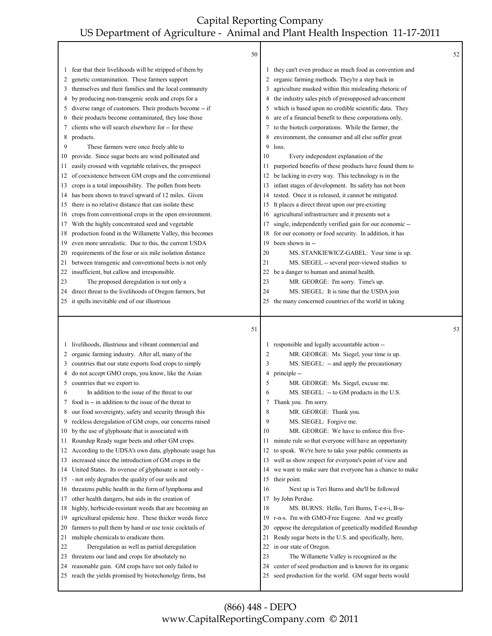|          | 50                                                                                                         |          |                                                                                                               | 52 |
|----------|------------------------------------------------------------------------------------------------------------|----------|---------------------------------------------------------------------------------------------------------------|----|
| 1        | fear that their livelihoods will be stripped of them by                                                    |          | they can't even produce as much food as convention and                                                        |    |
| 2        | genetic contamination. These farmers support                                                               | 2        | organic farming methods. They're a step back in                                                               |    |
| 3        | themselves and their families and the local community                                                      | 3        | agriculture masked within this misleading rhetoric of                                                         |    |
| 4        | by producing non-transgenic seeds and crops for a                                                          |          | the industry sales pitch of presupposed advancement                                                           |    |
| 5        | diverse range of customers. Their products become -- if                                                    | 5        | which is based upon no credible scientific data. They                                                         |    |
| 6        | their products become contaminated, they lose those                                                        | 6        | are of a financial benefit to these corporations only,                                                        |    |
| 7        | clients who will search elsewhere for -- for these                                                         | 7        | to the biotech corporations. While the farmer, the                                                            |    |
| 8        | products.                                                                                                  | 8        | environment, the consumer and all else suffer great                                                           |    |
| 9        | These farmers were once freely able to                                                                     | 9        | loss.                                                                                                         |    |
| 10       | provide. Since sugar beets are wind pollinated and                                                         | 10       | Every independent explanation of the                                                                          |    |
| 11       | easily crossed with vegetable relatives, the prospect                                                      | 11       | purported benefits of these products have found them to                                                       |    |
| 12       | of coexistence between GM crops and the conventional                                                       | 12       | be lacking in every way. This technology is in the                                                            |    |
| 13       | crops is a total impossibility. The pollen from beets                                                      | 13       | infant stages of development. Its safety has not been                                                         |    |
| 14       | has been shown to travel upward of 12 miles. Given                                                         | 14       | tested. Once it is released, it cannot be mitigated.                                                          |    |
| 15       | there is no relative distance that can isolate these                                                       | 15       | It places a direct threat upon our pre-existing                                                               |    |
| 16       | crops from conventional crops in the open environment.                                                     | 16       | agricultural infrastructure and it presents not a                                                             |    |
| 17       | With the highly concentrated seed and vegetable                                                            | 17       | single, independently verified gain for our economic --                                                       |    |
| 18       | production found in the Willamette Valley, this becomes                                                    | 18       | for our economy or food security. In addition, it has                                                         |    |
| 19       | even more unrealistic. Due to this, the current USDA                                                       | 19       | been shown in --                                                                                              |    |
| 20       | requirements of the four or six mile isolation distance                                                    | 20       | MS. STANKIEWICZ-GABEL: Your time is up.                                                                       |    |
| 21       | between transgenic and conventional beets is not only                                                      | 21       | MS. SIEGEL -- several peer-viewed studies to                                                                  |    |
| 22       | insufficient, but callow and irresponsible.                                                                | 22       | be a danger to human and animal health.                                                                       |    |
| 23       | The proposed deregulation is not only a                                                                    | 23       | MR. GEORGE: I'm sorry. Time's up.                                                                             |    |
| 24       | direct threat to the livelihoods of Oregon farmers, but                                                    | 24       | MS. SIEGEL: It is time that the USDA join                                                                     |    |
|          | 25 it spells inevitable end of our illustrious                                                             | 25       | the many concerned countries of the world in taking                                                           |    |
|          |                                                                                                            |          |                                                                                                               |    |
|          |                                                                                                            |          |                                                                                                               |    |
|          | 51                                                                                                         |          |                                                                                                               | 53 |
|          |                                                                                                            |          |                                                                                                               |    |
| 1<br>2   | livelihoods, illustrious and vibrant commercial and                                                        | 2        | 1 responsible and legally accountable action --                                                               |    |
| 3        | organic farming industry. After all, many of the                                                           | 3        | MR. GEORGE: Ms. Siegel, your time is up.                                                                      |    |
| 4        | countries that our state exports food crops to simply                                                      | 4        | MS. SIEGEL: -- and apply the precautionary<br>principle --                                                    |    |
| 5        | do not accept GMO crops, you know, like the Asian<br>countries that we export to.                          | 5        | MR. GEORGE: Ms. Siegel, excuse me.                                                                            |    |
| 6        | In addition to the issue of the threat to our                                                              | 6        | MS. SIEGEL: -- to GM products in the U.S.                                                                     |    |
|          | food is -- in addition to the issue of the threat to                                                       | 7        | Thank you. I'm sorry.                                                                                         |    |
| 8        | our food sovereignty, safety and security through this                                                     | 8        | MR. GEORGE: Thank you.                                                                                        |    |
| 9        | reckless deregulation of GM crops, our concerns raised                                                     | 9        | MS. SIEGEL: Forgive me.                                                                                       |    |
| 10       | by the use of glyphosate that is associated with                                                           | 10       | MR. GEORGE: We have to enforce this five-                                                                     |    |
| 11       | Roundup Ready sugar beets and other GM crops.                                                              | 11       | minute rule so that everyone will have an opportunity                                                         |    |
| 12       | According to the UDSA's own data, glyphosate usage has                                                     | 12       | to speak. We're here to take your public comments as                                                          |    |
| 13       | increased since the introduction of GM crops in the                                                        | 13       | well as show respect for everyone's point of view and                                                         |    |
| 14       | United States. Its overuse of glyphosate is not only -                                                     | 14       | we want to make sure that everyone has a chance to make                                                       |    |
| 15       | - not only degrades the quality of our soils and                                                           | 15       | their point.                                                                                                  |    |
| 16       | threatens public health in the form of lymphoma and                                                        | 16       | Next up is Teri Burns and she'll be followed                                                                  |    |
| 17       | other health dangers, but aids in the creation of                                                          | 17       | by John Perdue.                                                                                               |    |
| 18       | highly, herbicide-resistant weeds that are becoming an                                                     | 18       | MS. BURNS: Hello, Teri Burns, T-e-r-i, B-u-                                                                   |    |
| 19       | agricultural epidemic here. These thicker weeds force                                                      | 19       | r-n-s. I'm with GMO-Free Eugene. And we greatly                                                               |    |
| 20       | farmers to pull them by hand or use toxic cocktails of                                                     | 20       | oppose the deregulation of genetically modified Roundup                                                       |    |
| 21       | multiple chemicals to eradicate them.                                                                      | 21       | Ready sugar beets in the U.S. and specifically, here,                                                         |    |
| 22       | Deregulation as well as partial deregulation                                                               | 22       | in our state of Oregon.                                                                                       |    |
| 23       | threatens our land and crops for absolutely no                                                             | 23       | The Willamette Valley is recognized as the                                                                    |    |
| 24<br>25 | reasonable gain. GM crops have not only failed to<br>reach the yields promised by biotechonolgy firms, but | 24<br>25 | center of seed production and is known for its organic<br>seed production for the world. GM sugar beets would |    |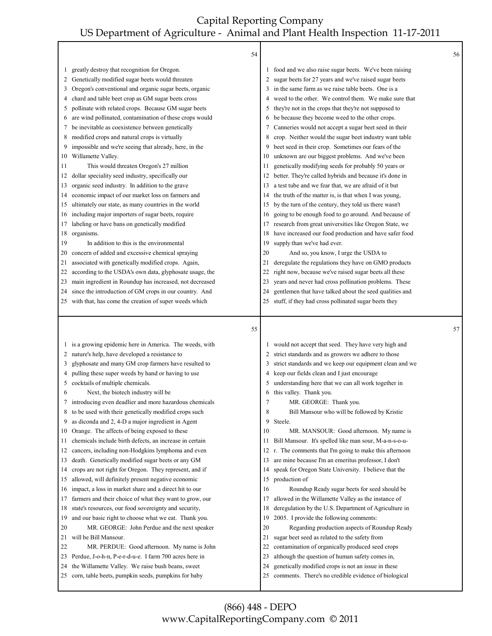|         | 54                                                                                                       |    |                                                                                                             | 56 |
|---------|----------------------------------------------------------------------------------------------------------|----|-------------------------------------------------------------------------------------------------------------|----|
| 1       | greatly destroy that recognition for Oregon.                                                             |    | food and we also raise sugar beets. We've been raising                                                      |    |
| 2       | Genetically modified sugar beets would threaten                                                          |    | sugar beets for 27 years and we've raised sugar beets                                                       |    |
| 3       | Oregon's conventional and organic sugar beets, organic                                                   | 3  | in the same farm as we raise table beets. One is a                                                          |    |
| 4       | chard and table beet crop as GM sugar beets cross                                                        | 4  | weed to the other. We control them. We make sure that                                                       |    |
| 5       | pollinate with related crops. Because GM sugar beets                                                     | 5  | they're not in the crops that they're not supposed to                                                       |    |
| 6       | are wind pollinated, contamination of these crops would                                                  | 6  | be because they become weed to the other crops.                                                             |    |
| 7       | be inevitable as coexistence between genetically                                                         | 7  | Canneries would not accept a sugar beet seed in their                                                       |    |
| 8       | modified crops and natural crops is virtually                                                            | 8  | crop. Neither would the sugar beet industry want table                                                      |    |
| 9       | impossible and we're seeing that already, here, in the                                                   | 9  | beet seed in their crop. Sometimes our fears of the                                                         |    |
| 10      | Willamette Valley.                                                                                       | 10 | unknown are our biggest problems. And we've been                                                            |    |
| 11      | This would threaten Oregon's 27 million                                                                  | 11 | genetically modifying seeds for probably 50 years or                                                        |    |
| 12      | dollar speciality seed industry, specifically our                                                        | 12 | better. They're called hybrids and because it's done in                                                     |    |
| 13      | organic seed industry. In addition to the grave                                                          | 13 | a test tube and we fear that, we are afraid of it but                                                       |    |
| 14      | economic impact of our market loss on farmers and                                                        | 14 | the truth of the matter is, is that when I was young,                                                       |    |
| 15      | ultimately our state, as many countries in the world                                                     | 15 | by the turn of the century, they told us there wasn't                                                       |    |
| 16      | including major importers of sugar beets, require                                                        | 16 | going to be enough food to go around. And because of                                                        |    |
| 17      | labeling or have bans on genetically modified                                                            | 17 | research from great universities like Oregon State, we                                                      |    |
| 18      | organisms.                                                                                               | 18 | have increased our food production and have safer food                                                      |    |
| 19      | In addition to this is the environmental                                                                 | 19 | supply than we've had ever.                                                                                 |    |
| 20      | concern of added and excessive chemical spraying                                                         | 20 | And so, you know, I urge the USDA to                                                                        |    |
| 21      | associated with genetically modified crops. Again,                                                       | 21 | deregulate the regulations they have on GMO products                                                        |    |
| 22      | according to the USDA's own data, glyphosate usage, the                                                  | 22 | right now, because we've raised sugar beets all these                                                       |    |
| 23      | main ingredient in Roundup has increased, not decreased                                                  | 23 | years and never had cross pollination problems. These                                                       |    |
| 24      | since the introduction of GM crops in our country. And                                                   | 24 | gentlemen that have talked about the seed qualities and                                                     |    |
| 25      | with that, has come the creation of super weeds which                                                    | 25 | stuff, if they had cross pollinated sugar beets they                                                        |    |
|         |                                                                                                          |    |                                                                                                             |    |
|         | 55                                                                                                       |    |                                                                                                             | 57 |
| $\perp$ |                                                                                                          |    |                                                                                                             |    |
| 2       | is a growing epidemic here in America. The weeds, with                                                   |    | would not accept that seed. They have very high and                                                         |    |
| 3       | nature's help, have developed a resistance to<br>glyphosate and many GM crop farmers have resulted to    | 3  | strict standards and as growers we adhere to those                                                          |    |
| 4       | pulling these super weeds by hand or having to use                                                       | 4  | strict standards and we keep our equipment clean and we<br>keep our fields clean and I just encourage       |    |
| 5       | cocktails of multiple chemicals.                                                                         | 5  | understanding here that we can all work together in                                                         |    |
| 6       | Next, the biotech industry will be                                                                       | 6  | this valley. Thank you.                                                                                     |    |
| 7       | introducing even deadlier and more hazardous chemicals                                                   | 7  | MR. GEORGE: Thank you.                                                                                      |    |
| 8       | to be used with their genetically modified crops such                                                    | 8  | Bill Mansour who will be followed by Kristie                                                                |    |
| 9       | as diconda and 2, 4-D a major ingredient in Agent                                                        | 9  | Steele.                                                                                                     |    |
| 10      | Orange. The affects of being exposed to these                                                            | 10 | MR. MANSOUR: Good afternoon. My name is                                                                     |    |
| 11      | chemicals include birth defects, an increase in certain                                                  | 11 | Bill Mansour. It's spelled like man sour, M-a-n-s-o-u-                                                      |    |
| 12      | cancers, including non-Hodgkins lymphoma and even                                                        |    | 12 r. The comments that I'm going to make this afternoon                                                    |    |
| 13      | death. Genetically modified sugar beets or any GM                                                        | 13 | are mine because I'm an emeritus professor, I don't                                                         |    |
| 14      | crops are not right for Oregon. They represent, and if                                                   | 14 | speak for Oregon State University. I believe that the                                                       |    |
| 15      | allowed, will definitely present negative economic                                                       | 15 | production of                                                                                               |    |
| 16      | impact, a loss in market share and a direct hit to our                                                   | 16 | Roundup Ready sugar beets for seed should be                                                                |    |
| 17      | farmers and their choice of what they want to grow, our                                                  | 17 | allowed in the Willamette Valley as the instance of                                                         |    |
| 18      | state's resources, our food sovereignty and security,                                                    | 18 | deregulation by the U.S. Department of Agriculture in                                                       |    |
| 19      | and our basic right to choose what we eat. Thank you.                                                    | 19 | 2005. I provide the following comments:                                                                     |    |
| 20      | MR. GEORGE: John Perdue and the next speaker                                                             | 20 | Regarding production aspects of Roundup Ready                                                               |    |
| 21      | will be Bill Mansour.                                                                                    | 21 | sugar beet seed as related to the safety from                                                               |    |
| 22      | MR. PERDUE: Good afternoon. My name is John                                                              | 22 | contamination of organically produced seed crops                                                            |    |
| 23      | Perdue, J-o-h-n, P-e-r-d-u-e. I farm 700 acres here in                                                   | 23 | although the question of human safety comes in,                                                             |    |
| 24      | the Willamette Valley. We raise bush beans, sweet<br>corn, table beets, pumpkin seeds, pumpkins for baby | 24 | genetically modified crops is not an issue in these<br>comments. There's no credible evidence of biological |    |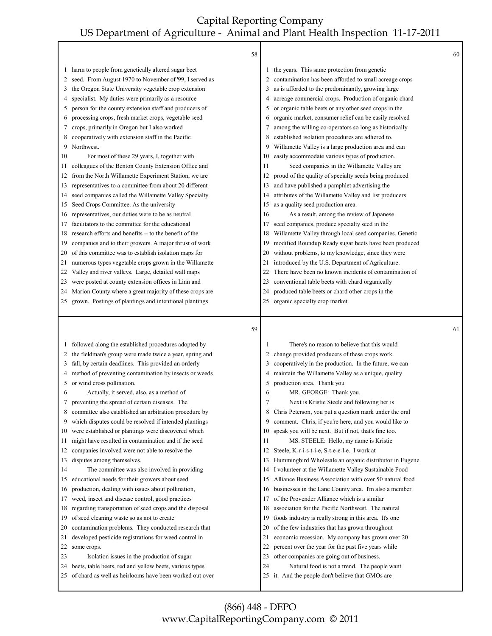|         | 58                                                                                                                    |                |                                                                                                   | 60 |
|---------|-----------------------------------------------------------------------------------------------------------------------|----------------|---------------------------------------------------------------------------------------------------|----|
| $\perp$ | harm to people from genetically altered sugar beet                                                                    | 1              | the years. This same protection from genetic                                                      |    |
| 2       | seed. From August 1970 to November of '99, I served as                                                                | 2              | contamination has been afforded to small acreage crops                                            |    |
| 3       | the Oregon State University vegetable crop extension                                                                  | 3              | as is afforded to the predominantly, growing large                                                |    |
| 4       | specialist. My duties were primarily as a resource                                                                    | 4              | acreage commercial crops. Production of organic chard                                             |    |
| 5       | person for the county extension staff and producers of                                                                | 5              | or organic table beets or any other seed crops in the                                             |    |
| 6       | processing crops, fresh market crops, vegetable seed                                                                  | 6              | organic market, consumer relief can be easily resolved                                            |    |
| 7       | crops, primarily in Oregon but I also worked                                                                          | 7              | among the willing co-operators so long as historically                                            |    |
| 8       | cooperatively with extension staff in the Pacific                                                                     | 8              | established isolation procedures are adhered to.                                                  |    |
| 9       | Northwest.                                                                                                            | 9              | Willamette Valley is a large production area and can                                              |    |
| 10      | For most of these 29 years, I, together with                                                                          | 10             | easily accommodate various types of production.                                                   |    |
| 11      | colleagues of the Benton County Extension Office and                                                                  | 11             | Seed companies in the Willamette Valley are                                                       |    |
| 12      | from the North Willamette Experiment Station, we are                                                                  | 12             | proud of the quality of specialty seeds being produced                                            |    |
| 13      | representatives to a committee from about 20 different                                                                | 13             | and have published a pamphlet advertising the                                                     |    |
| 14      | seed companies called the Willamette Valley Specialty                                                                 | 14             | attributes of the Willamette Valley and list producers                                            |    |
| 15      | Seed Crops Committee. As the university                                                                               | 15             | as a quality seed production area.                                                                |    |
| 16      | representatives, our duties were to be as neutral                                                                     | 16             | As a result, among the review of Japanese                                                         |    |
| 17      | facilitators to the committee for the educational                                                                     | 17             | seed companies, produce specialty seed in the                                                     |    |
| 18      | research efforts and benefits -- to the benefit of the                                                                | 18             | Willamette Valley through local seed companies. Genetic                                           |    |
| 19      | companies and to their growers. A major thrust of work                                                                | 19             | modified Roundup Ready sugar beets have been produced                                             |    |
| 20      | of this committee was to establish isolation maps for                                                                 | 20             | without problems, to my knowledge, since they were                                                |    |
| 21      | numerous types vegetable crops grown in the Willamette                                                                | 21             | introduced by the U.S. Department of Agriculture.                                                 |    |
| 22      | Valley and river valleys. Large, detailed wall maps                                                                   | 22             | There have been no known incidents of contamination of                                            |    |
| 23      | were posted at county extension offices in Linn and                                                                   | 23             | conventional table beets with chard organically                                                   |    |
| 24      | Marion County where a great majority of these crops are                                                               | 24             | produced table beets or chard other crops in the                                                  |    |
| 25      | grown. Postings of plantings and intentional plantings                                                                | 25             | organic specialty crop market.                                                                    |    |
|         |                                                                                                                       |                |                                                                                                   |    |
|         |                                                                                                                       |                |                                                                                                   |    |
|         | 59                                                                                                                    |                |                                                                                                   | 61 |
| $\perp$ | followed along the established procedures adopted by                                                                  |                | There's no reason to believe that this would                                                      |    |
| 2       | the fieldman's group were made twice a year, spring and                                                               | 2              | change provided producers of these crops work                                                     |    |
| 3       | fall, by certain deadlines. This provided an orderly                                                                  | 3              | cooperatively in the production. In the future, we can                                            |    |
| 4       | method of preventing contamination by insects or weeds                                                                | 4              | maintain the Willamette Valley as a unique, quality                                               |    |
| 5       | or wind cross pollination.                                                                                            | 5              | production area. Thank you                                                                        |    |
| 6       | Actually, it served, also, as a method of                                                                             | 6              | MR. GEORGE: Thank you.                                                                            |    |
| 7       | preventing the spread of certain diseases. The                                                                        | $\overline{7}$ | Next is Kristie Steele and following her is                                                       |    |
| 8       | committee also established an arbitration procedure by                                                                | 8              | Chris Peterson, you put a question mark under the oral                                            |    |
| 9       | which disputes could be resolved if intended plantings                                                                | 9              | comment. Chris, if you're here, and you would like to                                             |    |
| 10      | were established or plantings were discovered which                                                                   | 10             | speak you will be next. But if not, that's fine too.                                              |    |
| 11      | might have resulted in contamination and if the seed                                                                  | 11             | MS. STEELE: Hello, my name is Kristie                                                             |    |
| 12      | companies involved were not able to resolve the                                                                       | 12             | Steele, K-r-i-s-t-i-e, S-t-e-e-l-e. I work at                                                     |    |
| 13      | disputes among themselves.                                                                                            | 13             | Hummingbird Wholesale an organic distributor in Eugene.                                           |    |
| 14      | The committee was also involved in providing                                                                          | 14             | I volunteer at the Willamette Valley Sustainable Food                                             |    |
| 15      | educational needs for their growers about seed                                                                        | 15             | Alliance Business Association with over 50 natural food                                           |    |
| 16      | production, dealing with issues about pollination,                                                                    | 16             | businesses in the Lane County area. I'm also a member                                             |    |
| 17      | weed, insect and disease control, good practices                                                                      | 17             | of the Provender Alliance which is a similar                                                      |    |
| 18      | regarding transportation of seed crops and the disposal                                                               | 18             | association for the Pacific Northwest. The natural                                                |    |
| 19      | of seed cleaning waste so as not to create                                                                            | 19             | foods industry is really strong in this area. It's one                                            |    |
| 20      | contamination problems. They conducted research that                                                                  | 20             | of the few industries that has grown throughout                                                   |    |
| 21      | developed pesticide registrations for weed control in                                                                 | 21             | economic recession. My company has grown over 20                                                  |    |
| 22      | some crops.                                                                                                           | 22             | percent over the year for the past five years while                                               |    |
| 23      | Isolation issues in the production of sugar                                                                           | 23             | other companies are going out of business.                                                        |    |
| 24      | beets, table beets, red and yellow beets, various types<br>25 of chard as well as heirlooms have been worked out over | 24             | Natural food is not a trend. The people want<br>25 it. And the people don't believe that GMOs are |    |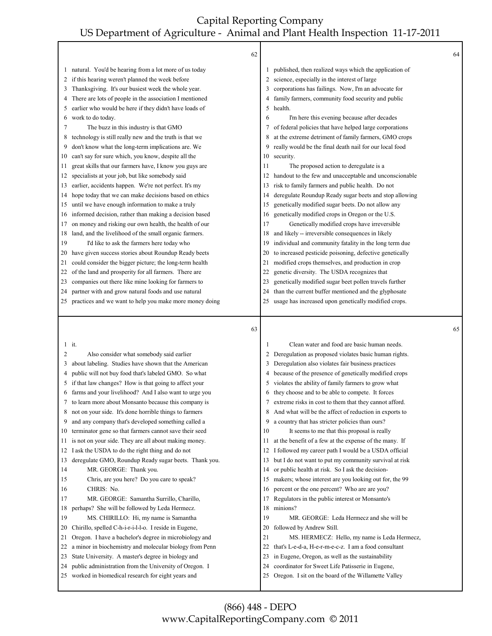|              | 62                                                                                                          |          |                                                                                                                | 64 |
|--------------|-------------------------------------------------------------------------------------------------------------|----------|----------------------------------------------------------------------------------------------------------------|----|
|              | natural. You'd be hearing from a lot more of us today                                                       |          |                                                                                                                |    |
| $\mathbf{I}$ | if this hearing weren't planned the week before                                                             |          | published, then realized ways which the application of<br>science, especially in the interest of large         |    |
| 2<br>3       | Thanksgiving. It's our busiest week the whole year.                                                         | 3        | corporations has failings. Now, I'm an advocate for                                                            |    |
| 4            | There are lots of people in the association I mentioned                                                     | 4        | family farmers, community food security and public                                                             |    |
| 5            | earlier who would be here if they didn't have loads of                                                      | 5        | health.                                                                                                        |    |
| 6            | work to do today.                                                                                           | 6        | I'm here this evening because after decades                                                                    |    |
| 7            | The buzz in this industry is that GMO                                                                       | 7        | of federal policies that have helped large corporations                                                        |    |
| 8            | technology is still really new and the truth is that we                                                     | 8        | at the extreme detriment of family farmers, GMO crops                                                          |    |
| 9            | don't know what the long-term implications are. We                                                          | 9        | really would be the final death nail for our local food                                                        |    |
| 10           | can't say for sure which, you know, despite all the                                                         | 10       | security.                                                                                                      |    |
| 11           | great skills that our farmers have, I know you guys are                                                     | 11       | The proposed action to deregulate is a                                                                         |    |
| 12           | specialists at your job, but like somebody said                                                             | 12       | handout to the few and unacceptable and unconscionable                                                         |    |
| 13           | earlier, accidents happen. We're not perfect. It's my                                                       | 13       | risk to family farmers and public health. Do not                                                               |    |
| 14           | hope today that we can make decisions based on ethics                                                       | 14       | deregulate Roundup Ready sugar beets and stop allowing                                                         |    |
| 15           | until we have enough information to make a truly                                                            | 15       | genetically modified sugar beets. Do not allow any                                                             |    |
| 16           | informed decision, rather than making a decision based                                                      | 16       | genetically modified crops in Oregon or the U.S.                                                               |    |
| 17           | on money and risking our own health, the health of our                                                      | 17       | Genetically modified crops have irreversible                                                                   |    |
| 18           | land, and the livelihood of the small organic farmers.                                                      | 18       | and likely -- irreversible consequences in likely                                                              |    |
| 19           | I'd like to ask the farmers here today who                                                                  | 19       | individual and community fatality in the long term due                                                         |    |
| 20           | have given success stories about Roundup Ready beets                                                        | 20       | to increased pesticide poisoning, defective genetically                                                        |    |
| 21           | could consider the bigger picture; the long-term health                                                     | 21       | modified crops themselves, and production in crop                                                              |    |
| 22           | of the land and prosperity for all farmers. There are                                                       | 22       | genetic diversity. The USDA recognizes that                                                                    |    |
| 23           | companies out there like mine looking for farmers to                                                        | 23       | genetically modified sugar beet pollen travels further                                                         |    |
| 24           | partner with and grow natural foods and use natural                                                         | 24       | than the current buffer mentioned and the glyphosate                                                           |    |
| 25           | practices and we want to help you make more money doing                                                     | 25       | usage has increased upon genetically modified crops.                                                           |    |
|              |                                                                                                             |          |                                                                                                                |    |
|              |                                                                                                             |          |                                                                                                                |    |
|              | 63                                                                                                          |          |                                                                                                                | 65 |
|              | $1$ it.                                                                                                     | 1        | Clean water and food are basic human needs.                                                                    |    |
| 2            | Also consider what somebody said earlier                                                                    | 2        | Deregulation as proposed violates basic human rights.                                                          |    |
| 3            | about labeling. Studies have shown that the American                                                        | 3        | Deregulation also violates fair business practices                                                             |    |
| 4            | public will not buy food that's labeled GMO. So what                                                        | 4        | because of the presence of genetically modified crops                                                          |    |
| 5            | if that law changes? How is that going to affect your                                                       | 5        | violates the ability of family farmers to grow what                                                            |    |
| 6            | farms and your livelihood? And I also want to urge you                                                      | 6        | they choose and to be able to compete. It forces                                                               |    |
|              | to learn more about Monsanto because this company is                                                        | 7        | extreme risks in cost to them that they cannot afford.                                                         |    |
| 8            | not on your side. It's done horrible things to farmers                                                      | 8        | And what will be the affect of reduction in exports to                                                         |    |
| 9<br>10      | and any company that's developed something called a                                                         | 9<br>10  | a country that has stricter policies than ours?                                                                |    |
| 11           | terminator gene so that farmers cannot save their seed                                                      | 11       | It seems to me that this proposal is really                                                                    |    |
| 12           | is not on your side. They are all about making money.                                                       | 12       | at the benefit of a few at the expense of the many. If                                                         |    |
| 13           | I ask the USDA to do the right thing and do not                                                             | 13       | I followed my career path I would be a USDA official<br>but I do not want to put my community survival at risk |    |
| 14           | deregulate GMO, Roundup Ready sugar beets. Thank you.<br>MR. GEORGE: Thank you.                             | 14       | or public health at risk. So I ask the decision-                                                               |    |
| 15           | Chris, are you here? Do you care to speak?                                                                  | 15       | makers; whose interest are you looking out for, the 99                                                         |    |
| 16           | CHRIS: No.                                                                                                  | 16       | percent or the one percent? Who are are you?                                                                   |    |
| 17           | MR. GEORGE: Samantha Surrillo, Charillo,                                                                    | 17       | Regulators in the public interest or Monsanto's                                                                |    |
| 18           | perhaps? She will be followed by Leda Hermecz.                                                              | 18       | minions?                                                                                                       |    |
| 19           | MS. CHIRILLO: Hi, my name is Samantha                                                                       | 19       | MR. GEORGE: Leda Hermecz and she will be                                                                       |    |
| 20           | Chirillo, spelled C-h-i-r-i-l-l-o. I reside in Eugene,                                                      | 20       | followed by Andrew Still.                                                                                      |    |
| 21           | Oregon. I have a bachelor's degree in microbiology and                                                      | 21       | MS. HERMECZ: Hello, my name is Leda Hermecz,                                                                   |    |
| 22           | a minor in biochemistry and molecular biology from Penn                                                     | 22       | that's L-e-d-a, H-e-r-m-e-c-z. I am a food consultant                                                          |    |
| 23           | State University. A master's degree in biology and                                                          | 23       | in Eugene, Oregon, as well as the sustainability                                                               |    |
| 24<br>25     | public administration from the University of Oregon. I<br>worked in biomedical research for eight years and | 24<br>25 | coordinator for Sweet Life Patisserie in Eugene,<br>Oregon. I sit on the board of the Willamette Valley        |    |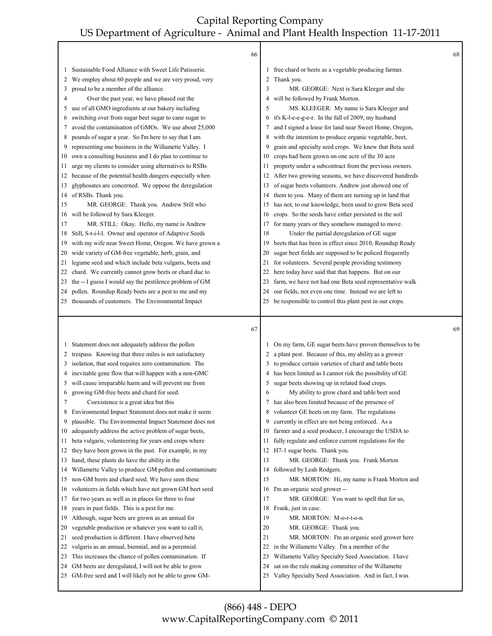|    | 66                                                        |              |                                                         | 68 |
|----|-----------------------------------------------------------|--------------|---------------------------------------------------------|----|
| 1  | Sustainable Food Alliance with Sweet Life Patisserie.     |              | 1 free chard or beets as a vegetable producing farmer.  |    |
| 2  | We employ about 60 people and we are very proud, very     |              | 2 Thank you.                                            |    |
| 3  | proud to be a member of the alliance.                     | 3            | MR. GEORGE: Next is Sara Kleeger and she                |    |
| 4  | Over the past year, we have phased out the                | 4            | will be followed by Frank Morton.                       |    |
| 5  | use of all GMO ingredients at our bakery including        | 5            | MS. KLEEGER: My name is Sara Kleeger and                |    |
| 6  | switching over from sugar beet sugar to cane sugar to     | 6            | it's K-l-e-e-g-e-r. In the fall of 2009, my husband     |    |
| 7  | avoid the contamination of GMOs. We use about 25,000      | 7            | and I signed a lease for land near Sweet Home, Oregon,  |    |
| 8  | pounds of sugar a year. So I'm here to say that I am      | 8            | with the intention to produce organic vegetable, beet,  |    |
| 9  | representing one business in the Willamette Valley. I     | 9            | grain and specialty seed crops. We knew that Beta seed  |    |
| 10 | own a consulting business and I do plan to continue to    | 10           | crops had been grown on one acre of the 30 acre         |    |
| 11 | urge my clients to consider using alternatives to RSBs    | 11           | property under a subcontract from the previous owners.  |    |
| 12 | because of the potential health dangers especially when   | 12           | After two growing seasons, we have discovered hundreds  |    |
| 13 | glyphosates are concerned. We oppose the deregulation     | 13           | of sugar beets volunteers. Andrew just showed one of    |    |
| 14 | of RSBs. Thank you.                                       | 14           | them to you. Many of them are turning up in land that   |    |
| 15 | MR. GEORGE: Thank you. Andrew Still who                   | 15           | has not, to our knowledge, been used to grow Beta seed  |    |
| 16 | will be followed by Sara Kleeger.                         | 16           | crops. So the seeds have either persisted in the soil   |    |
| 17 | MR. STILL: Okay. Hello, my name is Andrew                 | 17           | for many years or they somehow managed to move.         |    |
| 18 | Still, S-t-i-l-l. Owner and operator of Adaptive Seeds    | 18           | Under the partial deregulation of GE sugar              |    |
| 19 | with my wife near Sweet Home, Oregon. We have grown a     | 19           | beets that has been in effect since 2010, Roundup Ready |    |
| 20 | wide variety of GM-free vegetable, herb, grain, and       | 20           | sugar beet fields are supposed to be policed frequently |    |
| 21 | legume seed and which include beta vulgaris, beets and    | 21           | for volunteers. Several people providing testimony      |    |
| 22 | chard. We currently cannot grow beets or chard due to     | 22           | here today have said that that happens. But on our      |    |
| 23 | the -- I guess I would say the pestilence problem of GM   | 23           | farm, we have not had one Beta seed representative walk |    |
| 24 | pollen. Roundup Ready beets are a pest to me and my       | 24           | our fields, not even one time. Instead we are left to   |    |
| 25 | thousands of customers. The Environmental Impact          | 25           | be responsible to control this plant pest in our crops. |    |
|    |                                                           |              |                                                         |    |
|    |                                                           |              |                                                         |    |
|    | 67                                                        |              |                                                         | 69 |
| 1  | Statement does not adequately address the pollen          |              | On my farm, GE sugar beets have proven themselves to be |    |
| 2  | trespass. Knowing that three miles is not satisfactory    | $\mathbf{2}$ | a plant pest. Because of this, my ability as a grower   |    |
| 3  | isolation, that seed requires zero contamination. The     | 3            | to produce certain varieties of chard and table beets   |    |
| 4  | inevitable gene flow that will happen with a non-GMC      | 4            | has been limited as I cannot risk the possibility of GE |    |
| 5  | will cause irreparable harm and will prevent me from      | 5            | sugar beets showing up in related food crops.           |    |
| 6  | growing GM-free beets and chard for seed.                 | 6            | My ability to grow chard and table beet seed            |    |
| 7  | Coexistence is a great idea but this                      | 7            | has also been limited because of the presence of        |    |
| 8  | Environmental Impact Statement does not make it seem      |              | 8 volunteer GE beets on my farm. The regulations        |    |
| 9  | plausible. The Environmental Impact Statement does not    | 9            | currently in effect are not being enforced. As a        |    |
| 10 | adequately address the active problem of sugar beets,     | 10           | farmer and a seed producer, I encourage the USDA to     |    |
| 11 | beta vulgaris, volunteering for years and crops where     | 11           | fully regulate and enforce current regulations for the  |    |
| 12 | they have been grown in the past. For example, in my      |              | 12 H7-1 sugar beets. Thank you.                         |    |
| 13 | hand, these plants do have the ability in the             | 13           | MR. GEORGE: Thank you. Frank Morton                     |    |
| 14 | Willamette Valley to produce GM pollen and contaminate    | 14           | followed by Leah Rodgers.                               |    |
| 15 | non-GM beets and chard seed. We have seen these           | 15           | MR. MORTON: Hi, my name is Frank Morton and             |    |
| 16 | volunteers in fields which have not grown GM beet seed    | 16           | I'm an organic seed grower --                           |    |
| 17 | for two years as well as in places for three to four      | 17           | MR. GEORGE: You want to spell that for us,              |    |
| 18 | years in past fields. This is a pest for me.              | 18           | Frank, just in case.                                    |    |
| 19 | Although, sugar beets are grown as an annual for          | 19           | MR. MORTON: M-o-r-t-o-n.                                |    |
| 20 | vegetable production or whatever you want to call it,     | 20           | MR. GEORGE: Thank you.                                  |    |
| 21 | seed production is different. I have observed beta        | 21           | MR. MORTON: I'm an organic seed grower here             |    |
| 22 | vulgaris as an annual, biennial, and as a perennial.      | 22           | in the Willamette Valley. I'm a member of the           |    |
| 23 | This increases the chance of pollen contamination. If     | 23           | Willamette Valley Specialty Seed Association. I have    |    |
| 24 | GM beets are deregulated, I will not be able to grow      | 24           | sat on the rule making committee of the Willamette      |    |
|    | 25 GM-free seed and I will likely not be able to grow GM- | 25           | Valley Specialty Seed Association. And in fact, I was   |    |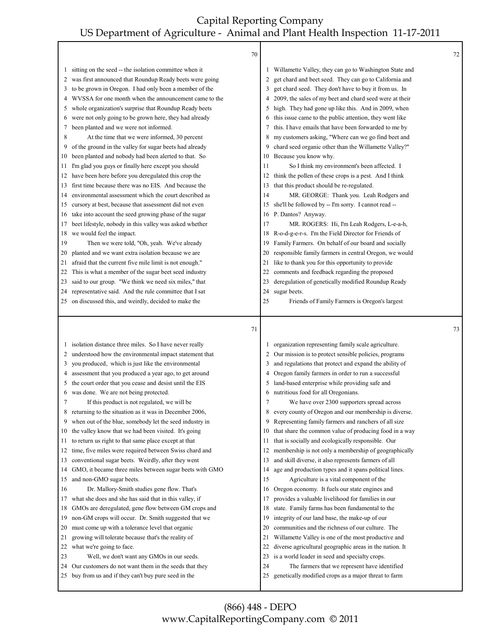|          | 70                                                                                                           |          |                                                                                                                 | 72 |
|----------|--------------------------------------------------------------------------------------------------------------|----------|-----------------------------------------------------------------------------------------------------------------|----|
| 1        | sitting on the seed -- the isolation committee when it                                                       | 1        | Willamette Valley, they can go to Washington State and                                                          |    |
| 2        | was first announced that Roundup Ready beets were going                                                      | 2        | get chard and beet seed. They can go to California and                                                          |    |
| 3        | to be grown in Oregon. I had only been a member of the                                                       | 3        | get chard seed. They don't have to buy it from us. In                                                           |    |
| 4        | WVSSA for one month when the announcement came to the                                                        | 4        | 2009, the sales of my beet and chard seed were at their                                                         |    |
| 5        | whole organization's surprise that Roundup Ready beets                                                       | 5        | high. They had gone up like this. And in 2009, when                                                             |    |
| 6        | were not only going to be grown here, they had already                                                       | 6        | this issue came to the public attention, they went like                                                         |    |
| 7        | been planted and we were not informed.                                                                       | 7        | this. I have emails that have been forwarded to me by                                                           |    |
| 8        | At the time that we were informed, 30 percent                                                                | 8        | my customers asking, "Where can we go find beet and                                                             |    |
| 9        | of the ground in the valley for sugar beets had already                                                      | 9        | chard seed organic other than the Willamette Valley?"                                                           |    |
| 10       | been planted and nobody had been alerted to that. So                                                         | 10       | Because you know why.                                                                                           |    |
| 11       | I'm glad you guys or finally here except you should                                                          | 11       | So I think my environment's been affected. I                                                                    |    |
| 12       | have been here before you deregulated this crop the                                                          | 12       | think the pollen of these crops is a pest. And I think                                                          |    |
| 13       | first time because there was no EIS. And because the                                                         | 13       | that this product should be re-regulated.                                                                       |    |
| 14       | environmental assessment which the court described as                                                        | 14       | MR. GEORGE: Thank you. Leah Rodgers and                                                                         |    |
| 15       | cursory at best, because that assessment did not even                                                        | 15       | she'll be followed by -- I'm sorry. I cannot read --                                                            |    |
| 16       | take into account the seed growing phase of the sugar                                                        | 16       | P. Dantos? Anyway.                                                                                              |    |
| 17       | beet lifestyle, nobody in this valley was asked whether                                                      | 17       | MR. ROGERS: Hi, I'm Leah Rodgers, L-e-a-h,                                                                      |    |
| 18       | we would feel the impact.                                                                                    | 18       | R-o-d-g-e-r-s. I'm the Field Director for Friends of                                                            |    |
| 19       | Then we were told, "Oh, yeah. We've already                                                                  | 19       | Family Farmers. On behalf of our board and socially                                                             |    |
| 20       | planted and we want extra isolation because we are                                                           | 20       | responsible family farmers in central Oregon, we would                                                          |    |
| 21       | afraid that the current five mile limit is not enough."                                                      | 21       | like to thank you for this opportunity to provide                                                               |    |
| 22       | This is what a member of the sugar beet seed industry                                                        | 22       | comments and feedback regarding the proposed                                                                    |    |
| 23       | said to our group. "We think we need six miles," that                                                        | 23       | deregulation of genetically modified Roundup Ready                                                              |    |
| 24       | representative said. And the rule committee that I sat                                                       | 24       | sugar beets.                                                                                                    |    |
| 25       | on discussed this, and weirdly, decided to make the                                                          | 25       | Friends of Family Farmers is Oregon's largest                                                                   |    |
|          |                                                                                                              |          |                                                                                                                 |    |
|          | 71                                                                                                           |          |                                                                                                                 | 73 |
| 1        |                                                                                                              |          |                                                                                                                 |    |
| 2        | isolation distance three miles. So I have never really                                                       | 2        | organization representing family scale agriculture.                                                             |    |
| 3        | understood how the environmental impact statement that<br>you produced, which is just like the environmental | 3        | Our mission is to protect sensible policies, programs<br>and regulations that protect and expand the ability of |    |
| 4        | assessment that you produced a year ago, to get around                                                       | 4        | Oregon family farmers in order to run a successful                                                              |    |
| 5        | the court order that you cease and desist until the EIS                                                      | 5        | land-based enterprise while providing safe and                                                                  |    |
| 6        | was done. We are not being protected.                                                                        | 6        | nutritious food for all Oregonians.                                                                             |    |
| 7        | If this product is not regulated, we will be                                                                 | 7        | We have over 2300 supporters spread across                                                                      |    |
|          | 8 returning to the situation as it was in December 2006,                                                     | 8        | every county of Oregon and our membership is diverse.                                                           |    |
| 9        | when out of the blue, somebody let the seed industry in                                                      | 9        | Representing family farmers and ranchers of all size                                                            |    |
| 10       | the valley know that we had been visited. It's going                                                         | 10       | that share the common value of producing food in a way                                                          |    |
| 11       | to return us right to that same place except at that                                                         | 11       | that is socially and ecologically responsible. Our                                                              |    |
| 12       | time, five miles were required between Swiss chard and                                                       | 12       | membership is not only a membership of geographically                                                           |    |
| 13       | conventional sugar beets. Weirdly, after they went                                                           | 13       | and skill diverse, it also represents farmers of all                                                            |    |
| 14       | GMO, it became three miles between sugar beets with GMO                                                      | 14       | age and production types and it spans political lines.                                                          |    |
| 15       | and non-GMO sugar beets.                                                                                     | 15       | Agriculture is a vital component of the                                                                         |    |
| 16       | Dr. Mallory-Smith studies gene flow. That's                                                                  | 16       | Oregon economy. It fuels our state engines and                                                                  |    |
| 17       | what she does and she has said that in this valley, if                                                       | 17       | provides a valuable livelihood for families in our                                                              |    |
| 18       | GMOs are deregulated, gene flow between GM crops and                                                         | 18       | state. Family farms has been fundamental to the                                                                 |    |
| 19       | non-GM crops will occur. Dr. Smith suggested that we                                                         | 19       | integrity of our land base, the make-up of our                                                                  |    |
| 20       | must come up with a tolerance level that organic                                                             | 20       | communities and the richness of our culture. The                                                                |    |
| 21       | growing will tolerate because that's the reality of                                                          | 21       | Willamette Valley is one of the most productive and                                                             |    |
| 22       | what we're going to face.                                                                                    | 22       | diverse agricultural geographic areas in the nation. It                                                         |    |
| 23       | Well, we don't want any GMOs in our seeds.                                                                   | 23       | is a world leader in seed and specialty crops.                                                                  |    |
| 24<br>25 | Our customers do not want them in the seeds that they<br>buy from us and if they can't buy pure seed in the  | 24<br>25 | The farmers that we represent have identified<br>genetically modified crops as a major threat to farm           |    |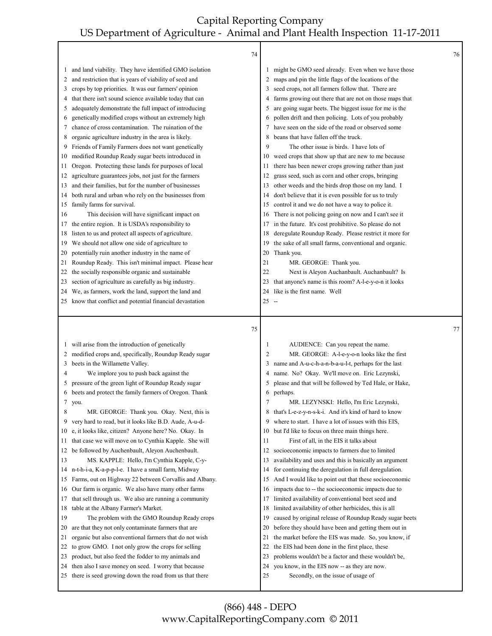|          | 74                                                                                                             |          |                                                                                    | 76 |
|----------|----------------------------------------------------------------------------------------------------------------|----------|------------------------------------------------------------------------------------|----|
| 1        | and land viability. They have identified GMO isolation                                                         |          | might be GMO seed already. Even when we have those                                 |    |
| 2        | and restriction that is years of viability of seed and                                                         | 2        | maps and pin the little flags of the locations of the                              |    |
| 3        | crops by top priorities. It was our farmers' opinion                                                           | 3        | seed crops, not all farmers follow that. There are                                 |    |
| 4        | that there isn't sound science available today that can                                                        |          | farms growing out there that are not on those maps that                            |    |
| 5        | adequately demonstrate the full impact of introducing                                                          | 5        | are going sugar beets. The biggest issue for me is the                             |    |
| 6        | genetically modified crops without an extremely high                                                           | 6        | pollen drift and then policing. Lots of you probably                               |    |
| 7        | chance of cross contamination. The ruination of the                                                            | 7        | have seen on the side of the road or observed some                                 |    |
| 8        | organic agriculture industry in the area is likely.                                                            | 8        | beans that have fallen off the truck.                                              |    |
| 9        | Friends of Family Farmers does not want genetically                                                            | 9        | The other issue is birds. I have lots of                                           |    |
| 10       | modified Roundup Ready sugar beets introduced in                                                               | 10       | weed crops that show up that are new to me because                                 |    |
| 11       | Oregon. Protecting these lands for purposes of local                                                           | 11       | there has been newer crops growing rather than just                                |    |
| 12       | agriculture guarantees jobs, not just for the farmers                                                          | 12       | grass seed, such as corn and other crops, bringing                                 |    |
| 13       | and their families, but for the number of businesses                                                           | 13       | other weeds and the birds drop those on my land. I                                 |    |
| 14       | both rural and urban who rely on the businesses from                                                           | 14       | don't believe that it is even possible for us to truly                             |    |
| 15       | family farms for survival.                                                                                     | 15       | control it and we do not have a way to police it.                                  |    |
| 16       | This decision will have significant impact on                                                                  | 16       | There is not policing going on now and I can't see it                              |    |
| 17       | the entire region. It is USDA's responsibility to                                                              | 17       | in the future. It's cost prohibitive. So please do not                             |    |
| 18       | listen to us and protect all aspects of agriculture.                                                           | 18       | deregulate Roundup Ready. Please restrict it more for                              |    |
| 19       | We should not allow one side of agriculture to                                                                 | 19       | the sake of all small farms, conventional and organic.                             |    |
| 20       | potentially ruin another industry in the name of                                                               | 20       | Thank you.                                                                         |    |
| 21       | Roundup Ready. This isn't minimal impact. Please hear                                                          | 21       | MR. GEORGE: Thank you.                                                             |    |
| 22       | the socially responsible organic and sustainable                                                               | 22       | Next is Aleyon Auchanbault. Auchanbault? Is                                        |    |
| 23       | section of agriculture as carefully as big industry.                                                           | 23       | that anyone's name is this room? A-l-e-y-o-n it looks                              |    |
| 24       | We, as farmers, work the land, support the land and                                                            | 24       | like is the first name. Well                                                       |    |
| 25       | know that conflict and potential financial devastation                                                         | $25 -$   |                                                                                    |    |
|          |                                                                                                                |          |                                                                                    |    |
|          | 75                                                                                                             |          |                                                                                    | 77 |
|          |                                                                                                                |          |                                                                                    |    |
| 1        | will arise from the introduction of genetically                                                                | 1<br>2   | AUDIENCE: Can you repeat the name.                                                 |    |
| 2        | modified crops and, specifically, Roundup Ready sugar                                                          | 3        | MR. GEORGE: A-l-e-y-o-n looks like the first                                       |    |
| 3<br>4   | beets in the Willamette Valley.                                                                                |          | name and A-u-c-h-a-n-b-a-u-l-t, perhaps for the last                               |    |
| 5        | We implore you to push back against the                                                                        |          | name. No? Okay. We'll move on. Eric Lezynski,                                      |    |
| 6        | pressure of the green light of Roundup Ready sugar<br>beets and protect the family farmers of Oregon. Thank    | 6        | please and that will be followed by Ted Hale, or Hake,<br>perhaps.                 |    |
|          | $7$ you.                                                                                                       | 7        | MR. LEZYNSKI: Hello, I'm Eric Lezynski.                                            |    |
| 8        | MR. GEORGE: Thank you. Okay. Next, this is                                                                     | 8        | that's L-e-z-y-n-s-k-i. And it's kind of hard to know                              |    |
| 9        | very hard to read, but it looks like B.D. Aude, A-u-d-                                                         | 9        | where to start. I have a lot of issues with this EIS,                              |    |
| 10       | e, it looks like, citizen? Anyone here? No. Okay. In                                                           | 10       | but I'd like to focus on three main things here.                                   |    |
| 11       | that case we will move on to Cynthia Kapple. She will                                                          | 11       | First of all, in the EIS it talks about                                            |    |
| 12       | be followed by Auchenbault, Aleyon Auchenbault.                                                                | 12       | socioeconomic impacts to farmers due to limited                                    |    |
| 13       | MS. KAPPLE: Hello, I'm Cynthia Kapple, C-y-                                                                    | 13       | availability and uses and this is basically an argument                            |    |
| 14       | n-t-h-i-a, K-a-p-p-l-e. I have a small farm, Midway                                                            | 14       | for continuing the deregulation in full deregulation.                              |    |
| 15       | Farms, out on Highway 22 between Corvallis and Albany.                                                         | 15       | And I would like to point out that these socioeconomic                             |    |
| 16       | Our farm is organic. We also have many other farms                                                             | 16       | impacts due to -- the socioeconomic impacts due to                                 |    |
| 17       | that sell through us. We also are running a community                                                          | 17       | limited availability of conventional beet seed and                                 |    |
| 18       | table at the Albany Farmer's Market.                                                                           | 18       | limited availability of other herbicides, this is all                              |    |
| 19       | The problem with the GMO Roundup Ready crops                                                                   | 19       | caused by original release of Roundup Ready sugar beets                            |    |
| 20       | are that they not only contaminate farmers that are                                                            | 20       | before they should have been and getting them out in                               |    |
| 21       | organic but also conventional farmers that do not wish                                                         | 21       | the market before the EIS was made. So, you know, if                               |    |
| 22       | to grow GMO. I not only grow the crops for selling                                                             | 22       | the EIS had been done in the first place, these                                    |    |
| 23       | product, but also feed the fodder to my animals and                                                            | 23       | problems wouldn't be a factor and these wouldn't be,                               |    |
| 24<br>25 | then also I save money on seed. I worry that because<br>there is seed growing down the road from us that there | 24<br>25 | you know, in the EIS now -- as they are now.<br>Secondly, on the issue of usage of |    |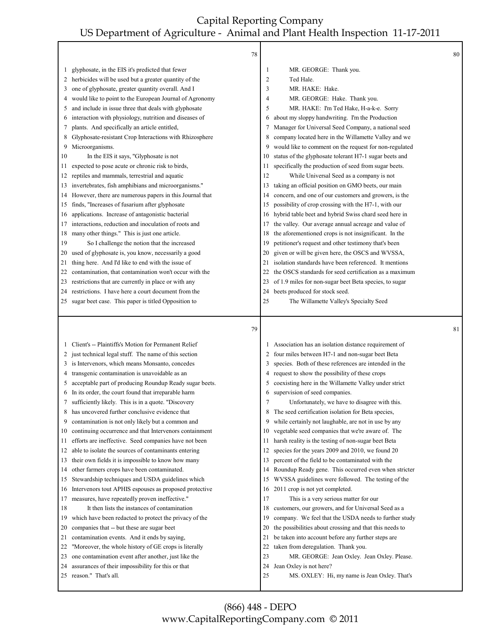|          | 78                                                                         |          |                                                                         | 80 |
|----------|----------------------------------------------------------------------------|----------|-------------------------------------------------------------------------|----|
|          | glyphosate, in the EIS it's predicted that fewer                           | 1        | MR. GEORGE: Thank you.                                                  |    |
| 1<br>2   | herbicides will be used but a greater quantity of the                      | 2        | Ted Hale.                                                               |    |
| 3        | one of glyphosate, greater quantity overall. And I                         | 3        | MR. HAKE: Hake.                                                         |    |
| 4        | would like to point to the European Journal of Agronomy                    | 4        | MR. GEORGE: Hake. Thank you.                                            |    |
| 5        | and include in issue three that deals with glyphosate                      | 5        | MR. HAKE: I'm Ted Hake, H-a-k-e. Sorry                                  |    |
| 6        | interaction with physiology, nutrition and diseases of                     | 6        | about my sloppy handwriting. I'm the Production                         |    |
| 7        | plants. And specifically an article entitled,                              | 7        | Manager for Universal Seed Company, a national seed                     |    |
| 8        | Glyphosate-resistant Crop Interactions with Rhizosphere                    | 8        | company located here in the Willamette Valley and we                    |    |
| 9        | Microorganisms.                                                            | 9        | would like to comment on the request for non-regulated                  |    |
| 10       | In the EIS it says, "Glyphosate is not                                     | 10       | status of the glyphosate tolerant H7-1 sugar beets and                  |    |
| 11       | expected to pose acute or chronic risk to birds,                           | 11       | specifically the production of seed from sugar beets.                   |    |
| 12       | reptiles and mammals, terrestrial and aquatic                              | 12       | While Universal Seed as a company is not                                |    |
| 13       | invertebrates, fish amphibians and microorganisms."                        | 13       | taking an official position on GMO beets, our main                      |    |
| 14       | However, there are numerous papers in this Journal that                    | 14       | concern, and one of our customers and growers, is the                   |    |
| 15       | finds, "Increases of fusarium after glyphosate                             | 15       | possibility of crop crossing with the H7-1, with our                    |    |
| 16       | applications. Increase of antagonistic bacterial                           | 16       | hybrid table beet and hybrid Swiss chard seed here in                   |    |
| 17       | interactions, reduction and inoculation of roots and                       | 17       | the valley. Our average annual acreage and value of                     |    |
| 18       | many other things." This is just one article.                              | 18       | the aforementioned crops is not insignificant. In the                   |    |
| 19       | So I challenge the notion that the increased                               | 19       | petitioner's request and other testimony that's been                    |    |
| 20       | used of glyphosate is, you know, necessarily a good                        | 20       | given or will be given here, the OSCS and WVSSA,                        |    |
| 21       | thing here. And I'd like to end with the issue of                          | 21       | isolation standards have been referenced. It mentions                   |    |
| 22       | contamination, that contamination won't occur with the                     | 22       | the OSCS standards for seed certification as a maximum                  |    |
| 23       | restrictions that are currently in place or with any                       | 23       | of 1.9 miles for non-sugar beet Beta species, to sugar                  |    |
| 24       | restrictions. I have here a court document from the                        | 24       | beets produced for stock seed.                                          |    |
| 25       | sugar beet case. This paper is titled Opposition to                        | 25       | The Willamette Valley's Specialty Seed                                  |    |
|          |                                                                            |          |                                                                         |    |
|          |                                                                            |          |                                                                         |    |
|          |                                                                            |          |                                                                         |    |
|          | 79                                                                         |          |                                                                         | 81 |
| 1        | Client's -- Plaintiffs's Motion for Permanent Relief                       |          | Association has an isolation distance requirement of                    |    |
| 2        | just technical legal stuff. The name of this section                       | 2        | four miles between H7-1 and non-sugar beet Beta                         |    |
| 3        | is Intervenors, which means Monsanto, concedes                             | 3        | species. Both of these references are intended in the                   |    |
| 4        | transgenic contamination is unavoidable as an                              | 4        | request to show the possibility of these crops                          |    |
| 5        | acceptable part of producing Roundup Ready sugar beets.                    | 5        | coexisting here in the Willamette Valley under strict                   |    |
| 6        | In its order, the court found that irreparable harm                        | 6        | supervision of seed companies.                                          |    |
| 7        | sufficiently likely. This is in a quote. "Discovery                        | 7        | Unfortunately, we have to disagree with this.                           |    |
| 8        | has uncovered further conclusive evidence that                             | 8        | The seed certification isolation for Beta species,                      |    |
| 9        | contamination is not only likely but a common and                          | 9        | while certainly not laughable, are not in use by any                    |    |
| 10       | continuing occurrence and that Intervenors containment                     | 10       | vegetable seed companies that we're aware of. The                       |    |
| 11       | efforts are ineffective. Seed companies have not been                      | 11       | harsh reality is the testing of non-sugar beet Beta                     |    |
| 12       | able to isolate the sources of contaminants entering                       | 12       | species for the years 2009 and 2010, we found 20                        |    |
| 13       | their own fields it is impossible to know how many                         | 13       | percent of the field to be contaminated with the                        |    |
| 14       | other farmers crops have been contaminated.                                | 14       | Roundup Ready gene. This occurred even when stricter                    |    |
| 15       | Stewardship techniques and USDA guidelines which                           | 15       | WVSSA guidelines were followed. The testing of the                      |    |
| 16       | Intervenors tout APHIS espouses as proposed protective                     | 16       | 2011 crop is not yet completed.                                         |    |
| 17       | measures, have repeatedly proven ineffective."                             | 17       | This is a very serious matter for our                                   |    |
| 18       | It then lists the instances of contamination                               | 18       | customers, our growers, and for Universal Seed as a                     |    |
| 19       | which have been redacted to protect the privacy of the                     | 19       | company. We feel that the USDA needs to further study                   |    |
| 20       | companies that -- but these are sugar beet                                 | 20       | the possibilities about crossing and that this needs to                 |    |
| 21       | contamination events. And it ends by saying,                               | 21       | be taken into account before any further steps are                      |    |
| 22       | "Moreover, the whole history of GE crops is literally                      | 22       | taken from deregulation. Thank you.                                     |    |
| 23       | one contamination event after another, just like the                       | 23       | MR. GEORGE: Jean Oxley. Jean Oxley. Please.                             |    |
| 24<br>25 | assurances of their impossibility for this or that<br>reason." That's all. | 24<br>25 | Jean Oxley is not here?<br>MS. OXLEY: Hi, my name is Jean Oxley. That's |    |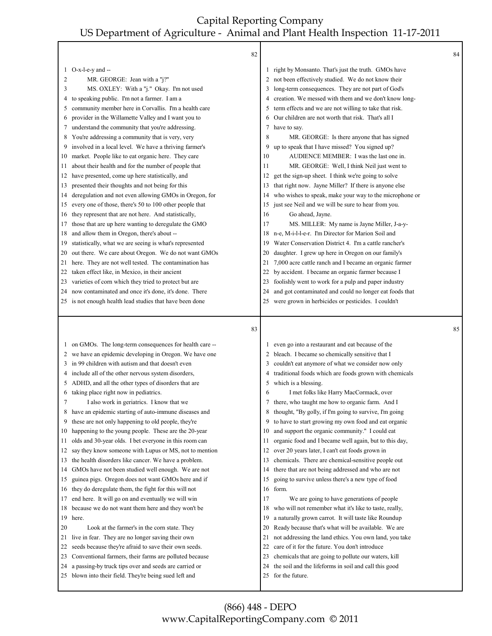|         | 82                                                       |    |                                                         | 84 |
|---------|----------------------------------------------------------|----|---------------------------------------------------------|----|
| $\perp$ | $O-x-l-e-y$ and $-$                                      |    | 1 right by Monsanto. That's just the truth. GMOs have   |    |
| 2       | MR. GEORGE: Jean with a "j?"                             |    | 2 not been effectively studied. We do not know their    |    |
| 3       | MS. OXLEY: With a "j." Okay. I'm not used                | 3  | long-term consequences. They are not part of God's      |    |
| 4       | to speaking public. I'm not a farmer. I am a             | 4  | creation. We messed with them and we don't know long-   |    |
| 5       | community member here in Corvallis. I'm a health care    | 5  | term effects and we are not willing to take that risk.  |    |
| 6       | provider in the Willamette Valley and I want you to      | 6  | Our children are not worth that risk. That's all I      |    |
| 7       | understand the community that you're addressing.         | 7  | have to say.                                            |    |
| 8       | You're addressing a community that is very, very         | 8  | MR. GEORGE: Is there anyone that has signed             |    |
| 9       | involved in a local level. We have a thriving farmer's   | 9  | up to speak that I have missed? You signed up?          |    |
| 10      | market. People like to eat organic here. They care       | 10 | AUDIENCE MEMBER: I was the last one in.                 |    |
| 11      | about their health and for the number of people that     | 11 | MR. GEORGE: Well, I think Neil just went to             |    |
| 12      | have presented, come up here statistically, and          | 12 | get the sign-up sheet. I think we're going to solve     |    |
| 13      | presented their thoughts and not being for this          | 13 | that right now. Jayne Miller? If there is anyone else   |    |
| 14      | deregulation and not even allowing GMOs in Oregon, for   | 14 | who wishes to speak, make your way to the microphone or |    |
| 15      | every one of those, there's 50 to 100 other people that  | 15 | just see Neil and we will be sure to hear from you.     |    |
| 16      | they represent that are not here. And statistically,     | 16 | Go ahead, Jayne.                                        |    |
| 17      | those that are up here wanting to deregulate the GMO     | 17 | MS. MILLER: My name is Jayne Miller, J-a-y-             |    |
| 18      | and allow them in Oregon, there's about --               | 18 | n-e, M-i-l-l-e-r. I'm Director for Marion Soil and      |    |
| 19      | statistically, what we are seeing is what's represented  | 19 | Water Conservation District 4. I'm a cattle rancher's   |    |
| 20      | out there. We care about Oregon. We do not want GMOs     | 20 | daughter. I grew up here in Oregon on our family's      |    |
| 21      | here. They are not well tested. The contamination has    | 21 | 7,000 acre cattle ranch and I became an organic farmer  |    |
| 22      | taken effect like, in Mexico, in their ancient           | 22 | by accident. I became an organic farmer because I       |    |
| 23      | varieties of corn which they tried to protect but are    | 23 | foolishly went to work for a pulp and paper industry    |    |
| 24      | now contaminated and once it's done, it's done. There    | 24 | and got contaminated and could no longer eat foods that |    |
|         | 25 is not enough health lead studies that have been done | 25 | were grown in herbicides or pesticides. I couldn't      |    |
|         |                                                          |    |                                                         |    |
|         |                                                          |    |                                                         |    |
|         | 83                                                       |    |                                                         | 85 |
| $\perp$ | on GMOs. The long-term consequences for health care --   |    | even go into a restaurant and eat because of the        |    |
|         | 2 we have an epidemic developing in Oregon. We have one  |    | 2 bleach. I became so chemically sensitive that I       |    |
| 3       | in 99 children with autism and that doesn't even         | 3  | couldn't eat anymore of what we consider now only       |    |
|         | 4 include all of the other nervous system disorders,     | 4  | traditional foods which are foods grown with chemicals  |    |
| 5       | ADHD, and all the other types of disorders that are      | 5  | which is a blessing.                                    |    |
| 6       | taking place right now in pediatrics.                    | 6  | I met folks like Harry MacCormack, over                 |    |
| 7       | I also work in geriatrics. I know that we                | 7  | there, who taught me how to organic farm. And I         |    |
| 8       | have an epidemic starting of auto-immune diseases and    | 8  | thought, "By golly, if I'm going to survive, I'm going  |    |
| 9       | these are not only happening to old people, they're      | 9  | to have to start growing my own food and eat organic    |    |
| 10      | happening to the young people. These are the 20-year     | 10 | and support the organic community." I could eat         |    |
| 11      | olds and 30-year olds. I bet everyone in this room can   | 11 | organic food and I became well again, but to this day,  |    |
| 12      | say they know someone with Lupus or MS, not to mention   | 12 | over 20 years later, I can't eat foods grown in         |    |
| 13      | the health disorders like cancer. We have a problem.     | 13 | chemicals. There are chemical-sensitive people out      |    |
| 14      | GMOs have not been studied well enough. We are not       | 14 | there that are not being addressed and who are not      |    |
| 15      | guinea pigs. Oregon does not want GMOs here and if       | 15 | going to survive unless there's a new type of food      |    |
| 16      | they do deregulate them, the fight for this will not     | 16 | form.                                                   |    |
| 17      | end here. It will go on and eventually we will win       | 17 | We are going to have generations of people              |    |
| 18      | because we do not want them here and they won't be       | 18 | who will not remember what it's like to taste, really,  |    |
|         | 19 here.                                                 | 19 | a naturally grown carrot. It will taste like Roundup    |    |
| 20      | Look at the farmer's in the corn state. They             | 20 | Ready because that's what will be available. We are     |    |
| 21      | live in fear. They are no longer saving their own        | 21 | not addressing the land ethics. You own land, you take  |    |
| 22      | seeds because they're afraid to save their own seeds.    | 22 | care of it for the future. You don't introduce          |    |
| 23      | Conventional farmers, their farms are polluted because   | 23 | chemicals that are going to pollute our waters, kill    |    |
| 24      | a passing-by truck tips over and seeds are carried or    | 24 | the soil and the lifeforms in soil and call this good   |    |
|         | 25 blown into their field. They're being sued left and   | 25 | for the future.                                         |    |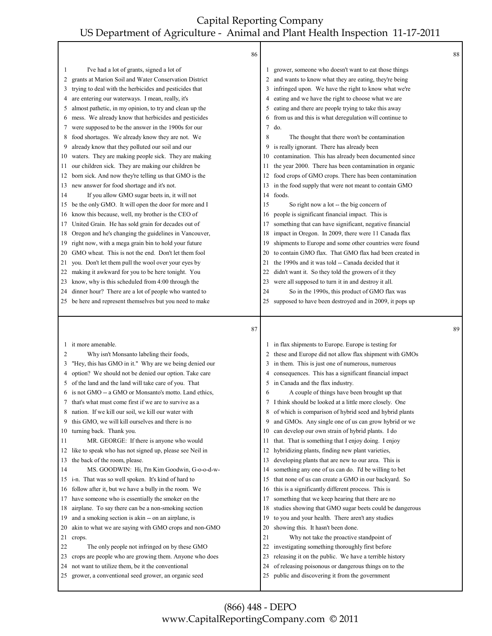┯

|          | 86                                                                                                      |          |                                                                                                       | 88 |
|----------|---------------------------------------------------------------------------------------------------------|----------|-------------------------------------------------------------------------------------------------------|----|
| 1        | I've had a lot of grants, signed a lot of                                                               |          | grower, someone who doesn't want to eat those things                                                  |    |
| 2        | grants at Marion Soil and Water Conservation District                                                   | 2        | and wants to know what they are eating, they're being                                                 |    |
| 3        | trying to deal with the herbicides and pesticides that                                                  | 3        | infringed upon. We have the right to know what we're                                                  |    |
| 4        | are entering our waterways. I mean, really, it's                                                        | 4        | eating and we have the right to choose what we are                                                    |    |
| 5        | almost pathetic, in my opinion, to try and clean up the                                                 | 5        | eating and there are people trying to take this away                                                  |    |
| 6        | mess. We already know that herbicides and pesticides                                                    | 6        | from us and this is what deregulation will continue to                                                |    |
| 7        | were supposed to be the answer in the 1900s for our                                                     | 7        | do.                                                                                                   |    |
| 8        | food shortages. We already know they are not. We                                                        | 8        | The thought that there won't be contamination                                                         |    |
| 9        | already know that they polluted our soil and our                                                        | 9        | is really ignorant. There has already been                                                            |    |
| 10       | waters. They are making people sick. They are making                                                    | 10       | contamination. This has already been documented since                                                 |    |
| 11       | our children sick. They are making our children be                                                      | 11       | the year 2000. There has been contamination in organic                                                |    |
| 12       | born sick. And now they're telling us that GMO is the                                                   | 12       | food crops of GMO crops. There has been contamination                                                 |    |
| 13       | new answer for food shortage and it's not.                                                              | 13       | in the food supply that were not meant to contain GMO                                                 |    |
| 14       | If you allow GMO sugar beets in, it will not                                                            | 14       | foods.                                                                                                |    |
| 15       | be the only GMO. It will open the door for more and I                                                   | 15       | So right now a lot -- the big concern of                                                              |    |
| 16       | know this because, well, my brother is the CEO of                                                       | 16       | people is significant financial impact. This is                                                       |    |
| 17       | United Grain. He has sold grain for decades out of                                                      | 17       | something that can have significant, negative financial                                               |    |
| 18       | Oregon and he's changing the guidelines in Vancouver,                                                   | 18       | impact in Oregon. In 2009, there were 11 Canada flax                                                  |    |
| 19       | right now, with a mega grain bin to hold your future                                                    | 19       | shipments to Europe and some other countries were found                                               |    |
| 20       | GMO wheat. This is not the end. Don't let them fool                                                     | 20       | to contain GMO flax. That GMO flax had been created in                                                |    |
| 21       | you. Don't let them pull the wool over your eyes by                                                     | 21       | the 1990s and it was told -- Canada decided that it                                                   |    |
| 22       | making it awkward for you to be here tonight. You                                                       | 22       | didn't want it. So they told the growers of it they                                                   |    |
| 23       | know, why is this scheduled from 4:00 through the                                                       | 23       | were all supposed to turn it in and destroy it all.                                                   |    |
| 24       | dinner hour? There are a lot of people who wanted to                                                    | 24       | So in the 1990s, this product of GMO flax was                                                         |    |
|          | 25 be here and represent themselves but you need to make                                                | 25       | supposed to have been destroyed and in 2009, it pops up                                               |    |
|          |                                                                                                         |          |                                                                                                       |    |
|          | 87                                                                                                      |          |                                                                                                       | 89 |
| 1        | it more amenable.                                                                                       |          | in flax shipments to Europe. Europe is testing for                                                    |    |
| 2        | Why isn't Monsanto labeling their foods,                                                                | 2        | these and Europe did not allow flax shipment with GMOs                                                |    |
| 3        | "Hey, this has GMO in it." Why are we being denied our                                                  | 3        | in them. This is just one of numerous, numerous                                                       |    |
| 4        | option? We should not be denied our option. Take care                                                   | 4        | consequences. This has a significant financial impact                                                 |    |
| 5        | of the land and the land will take care of you. That                                                    | 5        | in Canada and the flax industry.                                                                      |    |
| 6        | is not GMO -- a GMO or Monsanto's motto. Land ethics,                                                   | 6        | A couple of things have been brought up that                                                          |    |
| 7        | that's what must come first if we are to survive as a                                                   |          | 7 I think should be looked at a little more closely. One                                              |    |
| 8        | nation. If we kill our soil, we kill our water with                                                     | 8        | of which is comparison of hybrid seed and hybrid plants                                               |    |
| 9        | this GMO, we will kill ourselves and there is no                                                        | 9        | and GMOs. Any single one of us can grow hybrid or we                                                  |    |
| 10       | turning back. Thank you.                                                                                | 10       | can develop our own strain of hybrid plants. I do                                                     |    |
| 11       | MR. GEORGE: If there is anyone who would                                                                | 11       | that. That is something that I enjoy doing. I enjoy                                                   |    |
| 12       | like to speak who has not signed up, please see Neil in                                                 | 12       | hybridizing plants, finding new plant varieties,                                                      |    |
| 13       | the back of the room, please.                                                                           | 13       | developing plants that are new to our area. This is                                                   |    |
| 14       | MS. GOODWIN: Hi, I'm Kim Goodwin, G-o-o-d-w-                                                            | 14       | something any one of us can do. I'd be willing to bet                                                 |    |
| 15       | i-n. That was so well spoken. It's kind of hard to                                                      | 15       | that none of us can create a GMO in our backyard. So                                                  |    |
| 16       | follow after it, but we have a bully in the room. We                                                    | 16       | this is a significantly different process. This is                                                    |    |
| 17       | have someone who is essentially the smoker on the                                                       | 17       | something that we keep hearing that there are no                                                      |    |
| 18       | airplane. To say there can be a non-smoking section                                                     | 18       | studies showing that GMO sugar beets could be dangerous                                               |    |
| 19       | and a smoking section is akin -- on an airplane, is                                                     | 19       | to you and your health. There aren't any studies                                                      |    |
| 20       | akin to what we are saying with GMO crops and non-GMO                                                   | 20       | showing this. It hasn't been done.                                                                    |    |
| 21       | crops.                                                                                                  | 21       | Why not take the proactive standpoint of                                                              |    |
| 22       | The only people not infringed on by these GMO                                                           | 22       | investigating something thoroughly first before                                                       |    |
| 23       | crops are people who are growing them. Anyone who does                                                  | 23       | releasing it on the public. We have a terrible history                                                |    |
| 24<br>25 | not want to utilize them, be it the conventional<br>grower, a conventional seed grower, an organic seed | 24<br>25 | of releasing poisonous or dangerous things on to the<br>public and discovering it from the government |    |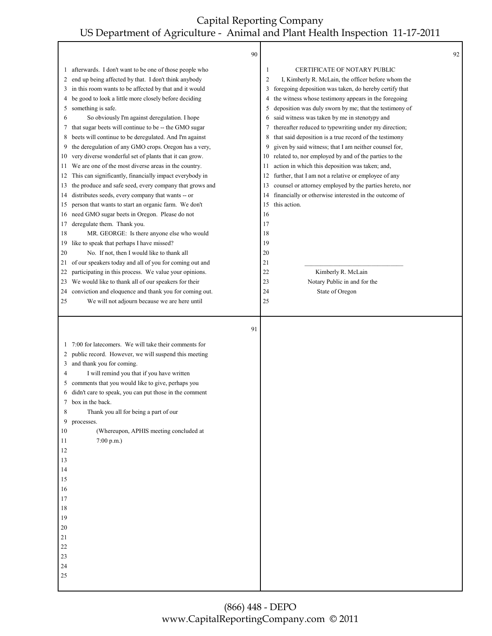|                                                                                                                     | 90                                                                                                                                                                                                                                                                                                                                                                                                                                         |                |                                                         | 92 |
|---------------------------------------------------------------------------------------------------------------------|--------------------------------------------------------------------------------------------------------------------------------------------------------------------------------------------------------------------------------------------------------------------------------------------------------------------------------------------------------------------------------------------------------------------------------------------|----------------|---------------------------------------------------------|----|
|                                                                                                                     | 1 afterwards. I don't want to be one of those people who                                                                                                                                                                                                                                                                                                                                                                                   | 1              | <b>CERTIFICATE OF NOTARY PUBLIC</b>                     |    |
| 2                                                                                                                   | end up being affected by that. I don't think anybody                                                                                                                                                                                                                                                                                                                                                                                       | $\overline{c}$ | I, Kimberly R. McLain, the officer before whom the      |    |
| 3                                                                                                                   | in this room wants to be affected by that and it would                                                                                                                                                                                                                                                                                                                                                                                     | 3              | foregoing deposition was taken, do hereby certify that  |    |
| 4                                                                                                                   | be good to look a little more closely before deciding                                                                                                                                                                                                                                                                                                                                                                                      | 4              | the witness whose testimony appears in the foregoing    |    |
| 5                                                                                                                   | something is safe.                                                                                                                                                                                                                                                                                                                                                                                                                         | 5              | deposition was duly sworn by me; that the testimony of  |    |
| 6                                                                                                                   | So obviously I'm against deregulation. I hope                                                                                                                                                                                                                                                                                                                                                                                              | 6              | said witness was taken by me in stenotypy and           |    |
| 7                                                                                                                   | that sugar beets will continue to be -- the GMO sugar                                                                                                                                                                                                                                                                                                                                                                                      | 7              | thereafter reduced to typewriting under my direction;   |    |
| 8                                                                                                                   | beets will continue to be deregulated. And I'm against                                                                                                                                                                                                                                                                                                                                                                                     | 8              | that said deposition is a true record of the testimony  |    |
| 9                                                                                                                   | the deregulation of any GMO crops. Oregon has a very,                                                                                                                                                                                                                                                                                                                                                                                      | 9              | given by said witness; that I am neither counsel for,   |    |
| 10                                                                                                                  | very diverse wonderful set of plants that it can grow.                                                                                                                                                                                                                                                                                                                                                                                     | 10             | related to, nor employed by and of the parties to the   |    |
| 11                                                                                                                  | We are one of the most diverse areas in the country.                                                                                                                                                                                                                                                                                                                                                                                       | 11             | action in which this deposition was taken; and,         |    |
| 12                                                                                                                  | This can significantly, financially impact everybody in                                                                                                                                                                                                                                                                                                                                                                                    | 12             | further, that I am not a relative or employee of any    |    |
| 13                                                                                                                  | the produce and safe seed, every company that grows and                                                                                                                                                                                                                                                                                                                                                                                    | 13             | counsel or attorney employed by the parties hereto, nor |    |
| 14                                                                                                                  | distributes seeds, every company that wants -- or                                                                                                                                                                                                                                                                                                                                                                                          | 14             | financially or otherwise interested in the outcome of   |    |
| 15                                                                                                                  | person that wants to start an organic farm. We don't                                                                                                                                                                                                                                                                                                                                                                                       | 15             | this action.                                            |    |
| 16                                                                                                                  | need GMO sugar beets in Oregon. Please do not                                                                                                                                                                                                                                                                                                                                                                                              | 16             |                                                         |    |
| 17                                                                                                                  | deregulate them. Thank you.                                                                                                                                                                                                                                                                                                                                                                                                                | 17             |                                                         |    |
| 18                                                                                                                  | MR. GEORGE: Is there anyone else who would                                                                                                                                                                                                                                                                                                                                                                                                 | 18             |                                                         |    |
| 19                                                                                                                  | like to speak that perhaps I have missed?                                                                                                                                                                                                                                                                                                                                                                                                  | 19             |                                                         |    |
| 20                                                                                                                  | No. If not, then I would like to thank all                                                                                                                                                                                                                                                                                                                                                                                                 | 20             |                                                         |    |
| 21                                                                                                                  | of our speakers today and all of you for coming out and                                                                                                                                                                                                                                                                                                                                                                                    | 21             |                                                         |    |
| 22                                                                                                                  | participating in this process. We value your opinions.                                                                                                                                                                                                                                                                                                                                                                                     | 22             | Kimberly R. McLain                                      |    |
| 23                                                                                                                  | We would like to thank all of our speakers for their                                                                                                                                                                                                                                                                                                                                                                                       | 23             | Notary Public in and for the                            |    |
| 24                                                                                                                  | conviction and eloquence and thank you for coming out.                                                                                                                                                                                                                                                                                                                                                                                     | 24             | State of Oregon                                         |    |
| 25                                                                                                                  | We will not adjourn because we are here until                                                                                                                                                                                                                                                                                                                                                                                              | 25             |                                                         |    |
|                                                                                                                     | 91                                                                                                                                                                                                                                                                                                                                                                                                                                         |                |                                                         |    |
| 2<br>3<br>4<br>5<br>6<br>8<br>9<br>10<br>11<br>12<br>13<br>14<br>15<br>16<br>17<br>18<br>19<br>20<br>21<br>22<br>23 | 1 7:00 for latecomers. We will take their comments for<br>public record. However, we will suspend this meeting<br>and thank you for coming.<br>I will remind you that if you have written<br>comments that you would like to give, perhaps you<br>didn't care to speak, you can put those in the comment<br>box in the back.<br>Thank you all for being a part of our<br>processes.<br>(Whereupon, APHIS meeting concluded at<br>7:00 p.m. |                |                                                         |    |
| 24<br>$25\,$                                                                                                        |                                                                                                                                                                                                                                                                                                                                                                                                                                            |                |                                                         |    |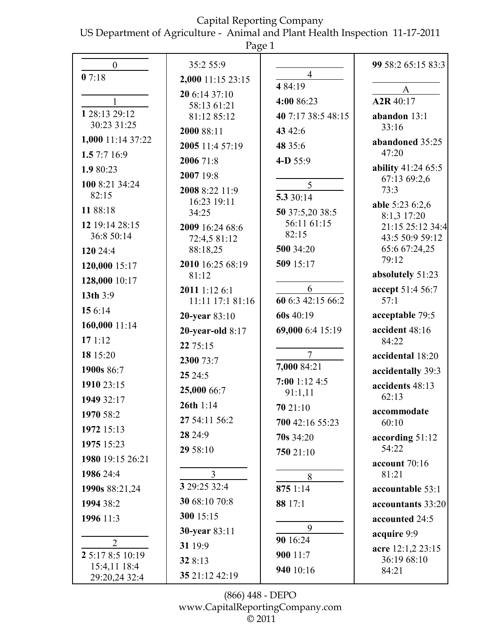US Department of Agriculture - Animal and Plant Health Inspection 11-17-2011

|                       | Page 1                        |                            |                                   |
|-----------------------|-------------------------------|----------------------------|-----------------------------------|
| $\boldsymbol{0}$      | 35:2 55:9                     |                            | 99 58:2 65:15 83:3                |
| 07:18                 | 2,000 11:15 23:15             | $\overline{4}$             |                                   |
|                       | 20 6:14 37:10                 | 4 84:19                    | A                                 |
| 1 28:13 29:12         | 58:13 61:21                   | 4:00 86:23                 | A <sub>2</sub> R <sub>40:17</sub> |
| 30:23 31:25           | 81:12 85:12                   | 40 7:17 38:5 48:15         | abandon $13:1$<br>33:16           |
| 1,000 11:14 37:22     | 2000 88:11                    | 43 42:6                    | abandoned 35:25                   |
| 1.5 7:7 16:9          | 2005 11:4 57:19               | 48 35:6                    | 47:20                             |
| 1.9 80:23             | 2006 71:8                     | 4-D 55:9                   | ability 41:24 65:5                |
| 100 8:21 34:24        | 2007 19:8                     | 5                          | 67:13 69:2,6                      |
| 82:15                 | 2008 8:22 11:9<br>16:23 19:11 | 5.3 30:14                  | 73:3                              |
| 11 88:18              | 34:25                         | 50 37:5,20 38:5            | able 5:23 6:2,6<br>8:1,3 17:20    |
| 12 19:14 28:15        | 2009 16:24 68:6               | 56:11 61:15                | 21:15 25:12 34:4                  |
| 36:8 50:14            | 72:4,5 81:12                  | 82:15                      | 43:5 50:9 59:12                   |
| 120 24:4              | 88:18,25                      | 500 34:20                  | 65:6 67:24,25<br>79:12            |
| 120,000 15:17         | 2010 16:25 68:19<br>81:12     | 509 15:17                  | absolutely 51:23                  |
| 128,000 10:17         | 2011 1:12 6:1                 | 6                          | accept 51:4 56:7                  |
| 13th $3:9$            | 11:11 17:1 81:16              | 60 6:3 42:15 66:2          | 57:1                              |
| 15 6:14               | 20-year 83:10                 | 60s 40:19                  | acceptable 79:5                   |
| 160,000 11:14         | 20-year-old $8:17$            | 69,000 6:4 15:19           | accident 48:16                    |
| 171:12                | 22 75:15                      |                            | 84:22                             |
| 18 15:20              | 2300 73:7                     | $\overline{7}$             | accidental 18:20                  |
| 1900s 86:7            | 25 24:5                       | 7,000 84:21                | accidentally 39:3                 |
| 1910 23:15            | 25,000 66:7                   | $7:00$ 1:12 4:5<br>91:1,11 | accidents 48:13                   |
| 1949 32:17            | 26th $1:14$                   | 70 21:10                   | 62:13                             |
| 1970 58:2             | 27 54:11 56:2                 | 700 42:16 55:23            | accommodate<br>60:10              |
| 1972 15:13            | 28 24:9                       | $70s$ 34:20                | according 51:12                   |
| 1975 15:23            | 29 58:10                      | 750 21:10                  | 54:22                             |
| 1980 19:15 26:21      |                               |                            | account 70:16                     |
| 1986 24:4             | 3                             | 8                          | 81:21                             |
| 1990s 88:21,24        | 3 29:25 32:4                  | 875 1:14                   | accountable 53:1                  |
| 1994 38:2             | 30 68:10 70:8                 | 88 17:1                    | accountants 33:20                 |
| 1996 11:3             | 300 15:15                     |                            | accounted 24:5                    |
|                       | 30-year 83:11                 | 9<br>90 16:24              | acquire 9:9                       |
| 2<br>2 5:17 8:5 10:19 | 31 19:9                       | 900 11:7                   | acre 12:1,2 23:15                 |
| 15:4,11 18:4          | 32 8:13                       | 940 10:16                  | 36:19 68:10                       |
| 29:20,24 32:4         | 35 21:12 42:19                |                            | 84:21                             |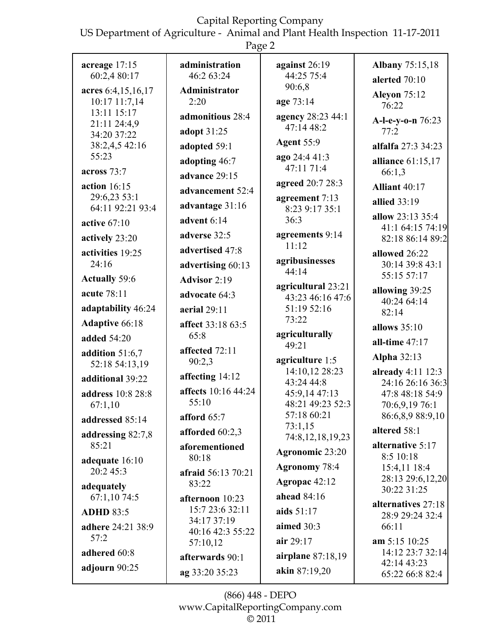US Department of Agriculture - Animal and Plant Health Inspection 11-17-2011

|                                                    | Page 2                                            |                                                                   |                                                                              |
|----------------------------------------------------|---------------------------------------------------|-------------------------------------------------------------------|------------------------------------------------------------------------------|
| acreage 17:15                                      | administration                                    | against 26:19                                                     | <b>Albany</b> 75:15,18                                                       |
| 60:2,4 80:17                                       | 46:2 63:24                                        | 44:25 75:4                                                        | alerted 70:10                                                                |
| acres 6:4,15,16,17                                 | Administrator                                     | 90:6,8                                                            | <b>Aleyon 75:12</b>                                                          |
| 10:17 11:7,14                                      | 2:20                                              | age 73:14                                                         | 76:22                                                                        |
| 13:11 15:17<br>21:11 24:4,9<br>34:20 37:22         | admonitious 28:4<br>adopt 31:25                   | agency 28:23 44:1<br>47:14 48:2                                   | A-l-e-y-o-n 76:23<br>77:2                                                    |
| 38:2,4,5 42:16                                     | adopted 59:1                                      | <b>Agent 55:9</b>                                                 | alfalfa 27:3 34:23                                                           |
| 55:23                                              | adopting 46:7                                     | ago 24:4 41:3                                                     | alliance 61:15,17                                                            |
| across 73:7                                        | advance 29:15                                     | 47:11 71:4                                                        | 66:1,3                                                                       |
| action 16:15                                       | advancement 52:4                                  | agreed 20:7 28:3                                                  | <b>Alliant 40:17</b>                                                         |
| 29:6,23 53:1<br>64:11 92:21 93:4<br>active $67:10$ | advantage 31:16<br>advent 6:14                    | agreement 7:13<br>8:23 9:17 35:1<br>36:3                          | allied 33:19<br>allow 23:13 35:4                                             |
| actively 23:20                                     | adverse 32:5                                      | agreements 9:14                                                   | 41:1 64:15 74:19                                                             |
| activities 19:25                                   | advertised 47:8                                   | 11:12                                                             | 82:18 86:14 89:2                                                             |
| 24:16<br><b>Actually 59:6</b>                      | advertising 60:13<br><b>Advisor 2:19</b>          | agribusinesses<br>44.14                                           | allowed 26:22<br>30:14 39:8 43:1<br>55:15 57:17                              |
| acute 78:11<br>adaptability 46:24                  | advocate 64:3<br>aerial $29:11$                   | agricultural 23:21<br>43:23 46:16 47:6<br>51:19 52:16             | allowing 39:25<br>40:24 64:14                                                |
| <b>Adaptive 66:18</b>                              | affect 33:18 63:5                                 | 73:22                                                             | 82:14                                                                        |
| <b>added</b> 54:20                                 | 65:8                                              | agriculturally                                                    | allows $35:10$                                                               |
| addition 51:6,7                                    | affected 72:11                                    | 49:21                                                             | all-time $47:17$                                                             |
| 52:18 54:13,19                                     | 90:2,3                                            | agriculture 1:5                                                   | <b>Alpha 32:13</b>                                                           |
| additional 39:22<br>address 10:8 28:8<br>67:1,10   | affecting 14:12<br>affects 10:16 44:24<br>55:10   | 14:10,12 28:23<br>43:24 44:8<br>45:9,14 47:13<br>48:21 49:23 52:3 | already $4:11$ 12:3<br>24:16 26:16 36:3<br>47:8 48:18 54:9<br>70:6,9,19 76:1 |
| addressed 85:14                                    | afford 65:7                                       | 57:18 60:21                                                       | 86:6,8,9 88:9,10                                                             |
| addressing 82:7,8                                  | afforded 60:2,3                                   | 73:1,15                                                           | altered 58:1                                                                 |
| 85:21                                              | aforementioned                                    | 74:8, 12, 18, 19, 23                                              | alternative 5:17                                                             |
| adequate 16:10                                     | 80:18                                             | Agronomic 23:20                                                   | 8:5 10:18                                                                    |
| 20:2 45:3<br>adequately                            | <b>afraid</b> 56:13 70:21<br>83:22                | <b>Agronomy 78:4</b><br>Agropac 42:12                             | 15:4,11 18:4<br>28:13 29:6,12,20<br>30:22 31:25                              |
| 67:1,10 74:5<br><b>ADHD 83:5</b>                   | afternoon 10:23<br>15:7 23:6 32:11<br>34:17 37:19 | ahead 84:16<br>aids 51:17                                         | alternatives 27:18<br>28:9 29:24 32:4                                        |
| adhere 24:21 38:9<br>57:2<br>adhered 60:8          | 40:16 42:3 55:22<br>57:10,12                      | aimed 30:3<br>air 29:17                                           | 66:11<br>am 5:15 10:25<br>14:12 23:7 32:14                                   |
| adjourn 90:25                                      | afterwards 90:1                                   | airplane 87:18,19                                                 | 42:14 43:23                                                                  |
|                                                    | ag 33:20 35:23                                    | akin 87:19,20                                                     | 65:22 66:8 82:4                                                              |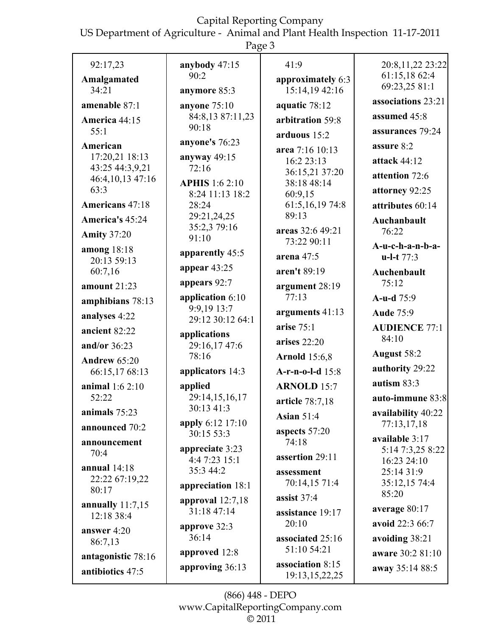US Department of Agriculture - Animal and Plant Health Inspection 11-17-2011

| ао<br>□ |  |
|---------|--|
|---------|--|

| 92:17,23                   | anybody 47:15                   | 41:9                          | 20:8,11,22 23:22       |
|----------------------------|---------------------------------|-------------------------------|------------------------|
| Amalgamated                | 90:2                            | approximately 6:3             | 61:15,18 62:4          |
| 34:21                      | anymore 85:3                    | 15:14,19 42:16                | 69:23,25 81:1          |
| amenable 87:1              | anyone $75:10$                  | aquatic 78:12                 | associations 23:21     |
| America 44:15              | 84:8,13 87:11,23                | arbitration 59:8              | assumed 45:8           |
| 55:1                       | 90:18                           | arduous $15:2$                | assurances 79:24       |
| American                   | anyone's 76:23                  |                               | assure 8:2             |
| 17:20,21 18:13             | anyway $49:15$                  | area 7:16 10:13<br>16:2 23:13 | attack 44:12           |
| 43:25 44:3,9,21            | 72:16                           | 36:15,21 37:20                |                        |
| 46:4,10,13 47:16           | <b>APHIS</b> 1:6 2:10           | 38:18 48:14                   | attention 72:6         |
| 63:3                       | 8:24 11:13 18:2                 | 60:9,15                       | attorney 92:25         |
| Americans 47:18            | 28:24                           | 61:5, 16, 19 74:8             | attributes 60:14       |
| America's 45:24            | 29:21,24,25                     | 89:13                         | Auchanbault            |
| <b>Amity 37:20</b>         | 35:2,3 79:16                    | areas 32:6 49:21              | 76:22                  |
|                            | 91:10                           | 73:22 90:11                   | A-u-c-h-a-n-b-a-       |
| among 18:18<br>20:13 59:13 | apparently 45:5                 | arena $47:5$                  | $u-l-t$ 77:3           |
| 60:7,16                    | appear $43:25$                  | aren't 89:19                  | Auchenbault            |
| amount $21:23$             | appears 92:7                    | argument 28:19                | 75:12                  |
| amphibians 78:13           | application 6:10                | 77:13                         | A-u-d 75:9             |
| analyses 4:22              | 9:9,19 13:7<br>29:12 30:12 64:1 | arguments 41:13               | <b>Aude 75:9</b>       |
| ancient 82:22              |                                 | arise $75:1$                  | <b>AUDIENCE 77:1</b>   |
| and/or $36:23$             | applications<br>29:16,17 47:6   | arises $22:20$                | 84:10                  |
| <b>Andrew 65:20</b>        | 78:16                           | <b>Arnold</b> 15:6,8          | August 58:2            |
| 66:15,17 68:13             | applicators 14:3                | A-r-n-o-l-d 15:8              | authority 29:22        |
| animal 1:6 2:10            | applied                         | <b>ARNOLD 15:7</b>            | autism $83:3$          |
| 52:22                      | 29:14,15,16,17                  | article 78:7,18               | auto-immune 83:8       |
| animals 75:23              | 30:13 41:3                      | <b>Asian 51:4</b>             | availability 40:22     |
| announced 70:2             | apply 6:12 17:10                | aspects 57:20                 | 77:13,17,18            |
| announcement               | 30:15 53:3                      | 74:18                         | available 3:17         |
| 70:4                       | appreciate 3:23                 | assertion 29:11               | 5:14 7:3,25 8:22       |
| annual $14:18$             | 4:4 7:23 15:1                   |                               | 16:23 24:10            |
| 22:22 67:19,22             | 35:3 44:2                       | assessment                    | 25:14 31:9             |
| 80:17                      | appreciation 18:1               | 70:14,15 71:4                 | 35:12,15 74:4<br>85:20 |
| annually $11:7,15$         | approval $12:7,18$              | assist $37:4$                 |                        |
| 12:18 38:4                 | 31:18 47:14                     | assistance 19:17              | average 80:17          |
| answer $4:20$              | approve 32:3                    | 20:10                         | avoid 22:3 66:7        |
| 86:7,13                    | 36:14                           | associated 25:16              | avoiding 38:21         |
| antagonistic 78:16         | approved 12:8                   | 51:10 54:21                   | aware 30:2 81:10       |
| antibiotics 47:5           | approving 36:13                 | association 8:15              | away 35:14 88:5        |
|                            |                                 | 19:13, 15, 22, 25             |                        |

(866) 448 - DEPO www.CapitalReportingCompany.com © 2011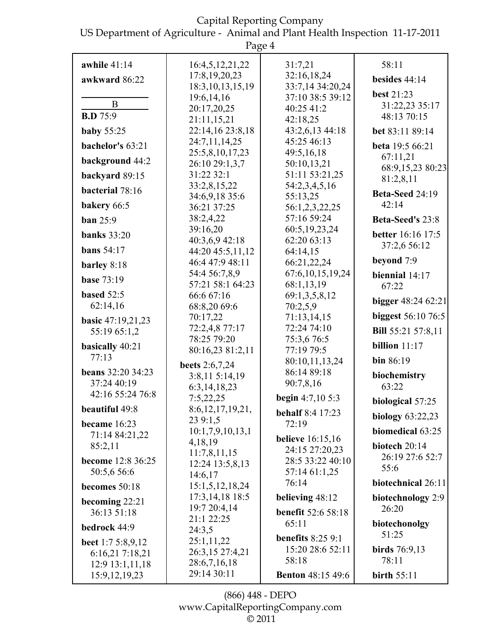US Department of Agriculture - Animal and Plant Health Inspection 11-17-2011

|                                             | Page 4                              |                                      |                           |
|---------------------------------------------|-------------------------------------|--------------------------------------|---------------------------|
| awhile $41:14$<br>awkward 86:22             | 16:4,5,12,21,22<br>17:8, 19, 20, 23 | 31:7,21<br>32:16,18,24               | 58:11<br>besides $44:14$  |
|                                             | 18:3, 10, 13, 15, 19<br>19:6,14,16  | 33:7,14 34:20,24<br>37:10 38:5 39:12 | best 21:23                |
| B                                           | 20:17,20,25                         | 40:25 41:2                           | 31:22,23 35:17            |
| <b>B.D</b> 75:9                             | 21:11,15,21                         | 42:18,25                             | 48:13 70:15               |
| <b>baby</b> 55:25                           | 22:14,16 23:8,18                    | 43:2,6,13 44:18                      | bet 83:11 89:14           |
| bachelor's 63:21                            | 24:7,11,14,25                       | 45:25 46:13                          | beta 19:5 66:21           |
| background 44:2                             | 25:5,8,10,17,23                     | 49:5,16,18                           | 67:11,21                  |
|                                             | 26:10 29:1,3,7                      | 50:10,13,21                          | 68:9,15,23 80:23          |
| backyard 89:15                              | 31:22 32:1<br>33:2,8,15,22          | 51:11 53:21,25<br>54:2,3,4,5,16      | 81:2,8,11                 |
| bacterial 78:16                             | 34:6,9,18 35:6                      | 55:13,25                             | Beta-Seed 24:19           |
| bakery 66:5                                 | 36:21 37:25                         | 56:1,2,3,22,25                       | 42:14                     |
| <b>ban</b> 25:9                             | 38:2,4,22                           | 57:16 59:24                          | <b>Beta-Seed's 23:8</b>   |
|                                             | 39:16,20                            | 60:5, 19, 23, 24                     |                           |
| <b>banks</b> 33:20                          | 40:3,6,9 42:18                      | 62:20 63:13                          | <b>better</b> 16:16 17:5  |
| bans $54:17$                                | 44:20 45:5,11,12                    | 64:14,15                             | 37:2,6 56:12              |
| barley 8:18                                 | 46:4 47:9 48:11                     | 66:21,22,24                          | beyond 7:9                |
| <b>base 73:19</b>                           | 54:4 56:7,8,9                       | 67:6, 10, 15, 19, 24                 | biennial $14:17$          |
|                                             | 57:21 58:1 64:23                    | 68:1,13,19                           | 67:22                     |
| based 52:5                                  | 66:6 67:16                          | 69:1,3,5,8,12                        | bigger 48:24 62:21        |
| 62:14,16                                    | 68:8,20 69:6                        | 70:2,5,9                             |                           |
| basic 47:19,21,23                           | 70:17,22                            | 71:13,14,15                          | <b>biggest</b> 56:10 76:5 |
| 55:19 65:1,2                                | 72:2,4,8 77:17<br>78:25 79:20       | 72:24 74:10                          | <b>Bill</b> 55:21 57:8,11 |
| basically 40:21                             | 80:16,23 81:2,11                    | 75:3,6 76:5<br>77:19 79:5            | billion $11:17$           |
| 77:13                                       |                                     | 80:10,11,13,24                       | bin $86:19$               |
| <b>beans</b> 32:20 34:23                    | beets 2:6,7,24                      | 86:14 89:18                          |                           |
| 37:24 40:19                                 | 3:8,11 5:14,19                      | 90:7,8,16                            | biochemistry              |
| 42:16 55:24 76:8                            | 6:3, 14, 18, 23                     |                                      | 63:22                     |
| beautiful 49:8                              | 7:5,22,25                           | begin $4:7,105:3$                    | biological 57:25          |
| became 16:23                                | 8:6,12,17,19,21,<br>23 9:1,5        | <b>behalf</b> 8:4 17:23<br>72:19     | <b>biology</b> 63:22,23   |
| 71:14 84:21,22                              | 10:1,7,9,10,13,1                    |                                      | biomedical 63:25          |
| 85:2,11                                     | 4,18,19                             | <b>believe</b> 16:15,16              | biotech 20:14             |
|                                             | 11:7,8,11,15                        | 24:15 27:20,23                       | 26:19 27:6 52:7           |
| become 12:8 36:25                           | 12:24 13:5,8,13                     | 28:5 33:22 40:10                     | 55:6                      |
| 50:5,6 56:6                                 | 14:6,17                             | 57:14 61:1,25<br>76:14               | biotechnical 26:11        |
| becomes 50:18                               | 15:1,5,12,18,24                     |                                      |                           |
| becoming 22:21                              | 17:3, 14, 18 18:5                   | believing 48:12                      | biotechnology 2:9         |
| 36:13 51:18                                 | 19:7 20:4,14                        | <b>benefit</b> 52:6 58:18            | 26:20                     |
| bedrock 44:9                                | 21:1 22:25<br>24:3,5                | 65:11                                | biotechonolgy             |
|                                             | 25:1,11,22                          | benefits $8:259:1$                   | 51:25                     |
| <b>beet</b> 1:7 5:8,9,12<br>6:16,21 7:18,21 | 26:3,15 27:4,21                     | 15:20 28:6 52:11                     | birds $76:9,13$           |
| 12:9 13:1,11,18                             | 28:6,7,16,18                        | 58:18                                | 78:11                     |
| 15:9, 12, 19, 23                            | 29:14 30:11                         | <b>Benton 48:15 49:6</b>             | birth $55:11$             |
|                                             |                                     |                                      |                           |

(866) 448 - DEPO www.CapitalReportingCompany.com  $\overline{\circ}$  2011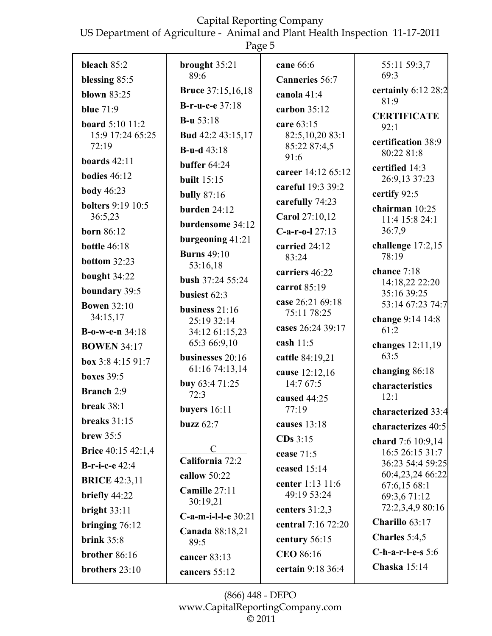US Department of Agriculture - Animal and Plant Health Inspection 11-17-2011

|                                                 | Page 5                                              |                                                   |                                             |
|-------------------------------------------------|-----------------------------------------------------|---------------------------------------------------|---------------------------------------------|
| bleach $85:2$<br>blessing 85:5<br>blown $83:25$ | brought $35:21$<br>89:6<br><b>Bruce</b> 37:15,16,18 | cane 66:6<br><b>Canneries</b> 56:7<br>canola 41:4 | 55:11 59:3,7<br>69:3<br>certainly 6:12 28:2 |
| blue $71:9$                                     | <b>B-r-u-c-e</b> 37:18                              | carbon $35:12$                                    | 81:9                                        |
| <b>board</b> 5:10 11:2                          | <b>B-u</b> $53:18$                                  | care 63:15                                        | <b>CERTIFICATE</b>                          |
| 15:9 17:24 65:25                                | <b>Bud</b> 42:2 43:15,17                            | 82:5,10,20 83:1                                   | 92:1                                        |
| 72:19                                           | <b>B-u-d</b> $43:18$                                | 85:22 87:4,5                                      | certification 38:9<br>80:22 81:8            |
| boards $42:11$                                  | buffer $64:24$                                      | 91:6                                              | certified 14:3                              |
| bodies $46:12$                                  | <b>built</b> 15:15                                  | career 14:12 65:12                                | 26:9,13 37:23                               |
| <b>body</b> 46:23                               | <b>bully</b> 87:16                                  | careful 19:3 39:2                                 | certify 92:5                                |
| <b>bolters</b> 9:19 10:5                        | burden $24:12$                                      | carefully 74:23                                   | chairman 10:25                              |
| 36:5,23                                         | burdensome 34:12                                    | Carol 27:10,12                                    | 11:4 15:8 24:1                              |
| <b>born</b> 86:12                               | burgeoning 41:21                                    | $C-a-r-o-l$ 27:13                                 | 36:7,9                                      |
| <b>bottle 46:18</b>                             | <b>Burns</b> 49:10                                  | carried 24:12<br>83:24                            | challenge 17:2,15<br>78:19                  |
| bottom $32:23$                                  | 53:16,18                                            | carriers 46:22                                    | chance 7:18                                 |
| bought 34:22                                    | bush 37:24 55:24                                    | carrot 85:19                                      | 14:18,22 22:20                              |
| boundary 39:5                                   | busiest 62:3                                        | case 26:21 69:18                                  | 35:16 39:25<br>53:14 67:23 74:7             |
| <b>Bowen</b> 32:10<br>34:15,17                  | business $21:16$                                    | 75:11 78:25                                       | change 9:14 14:8                            |
| <b>B-o-w-e-n</b> $34:18$                        | 25:19 32:14<br>34:12 61:15,23                       | cases 26:24 39:17                                 | 61:2                                        |
| <b>BOWEN 34:17</b>                              | 65:3 66:9,10                                        | cash $11:5$                                       | changes 12:11,19                            |
| box $3:84:1591:7$                               | businesses 20:16                                    | cattle 84:19,21                                   | 63:5                                        |
| boxes $39:5$                                    | 61:16 74:13,14                                      | cause 12:12,16                                    | changing 86:18                              |
| <b>Branch</b> 2:9                               | buy 63:4 71:25<br>72:3                              | 14:767:5                                          | characteristics                             |
| break 38:1                                      | buyers $16:11$                                      | caused 44:25<br>77:19                             | 12:1                                        |
| breaks $31:15$                                  | buzz $62:7$                                         | causes 13:18                                      | characterized 33:4                          |
| brew $35:5$                                     |                                                     | $CDs$ 3:15                                        | characterizes 40:5                          |
| <b>Brice</b> 40:15 42:1,4                       | $\mathcal{C}$                                       | cease 71:5                                        | chard 7:6 10:9,14<br>16:5 26:15 31:7        |
| <b>B-r-i-c-e</b> 42:4                           | California 72:2                                     | ceased 15:14                                      | 36:23 54:4 59:25                            |
| <b>BRICE</b> 42:3,11                            | callow 50:22                                        | center 1:13 11:6                                  | 60:4,23,24 66:22<br>67:6,15 68:1            |
| briefly 44:22                                   | Camille 27:11                                       | 49:19 53:24                                       | 69:3,6 71:12                                |
| bright $33:11$                                  | 30:19,21                                            | centers $31:2,3$                                  | 72:2,3,4,9 80:16                            |
| bringing $76:12$                                | $C-a-m-i-l-e$ 30:21                                 | central 7:16 72:20                                | Charillo 63:17                              |
| brink $35:8$                                    | Canada 88:18,21<br>89:5                             | century 56:15                                     | Charles $5:4,5$                             |
| brother 86:16                                   | cancer 83:13                                        | <b>CEO 86:16</b>                                  | C-h-a-r-l-e-s $5:6$                         |
| brothers 23:10                                  | cancers 55:12                                       | certain 9:18 36:4                                 | Chaska $15:14$                              |

(866) 448 - DEPO www.CapitalReportingCompany.com  $\overline{\circ}$  2011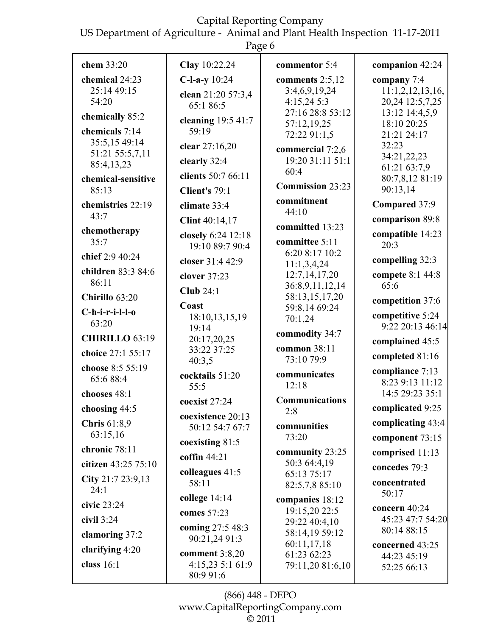US Department of Agriculture - Animal and Plant Health Inspection 11-17-2011

|                             | Page 6                               |                                      |                                     |
|-----------------------------|--------------------------------------|--------------------------------------|-------------------------------------|
| chem 33:20                  | Clay 10:22,24                        | commentor 5:4                        | companion 42:24                     |
| chemical 24:23              | $C$ -l-a-y 10:24                     | comments $2:5,12$                    | company $7:4$                       |
| 25:14 49:15<br>54:20        | clean 21:20 57:3,4                   | 3:4,6,9,19,24<br>4:15,24 5:3         | 11:1,2,12,13,16,<br>20,24 12:5,7,25 |
| chemically 85:2             | 65:1 86:5                            | 27:16 28:8 53:12                     | 13:12 14:4,5,9                      |
| chemicals 7:14              | cleaning $19:541:7$<br>59:19         | 57:12,19,25                          | 18:10 20:25                         |
| 35:5,15 49:14               | clear 27:16,20                       | 72:22 91:1,5                         | 21:21 24:17<br>32:23                |
| 51:21 55:5,7,11             | clearly 32:4                         | commercial 7:2,6<br>19:20 31:11 51:1 | 34:21,22,23                         |
| 85:4,13,23                  | clients 50:7 66:11                   | 60:4                                 | 61:21 63:7,9                        |
| chemical-sensitive<br>85:13 | Client's 79:1                        | <b>Commission 23:23</b>              | 80:7,8,12 81:19<br>90:13,14         |
| chemistries 22:19           | climate 33:4                         | commitment                           | Compared 37:9                       |
| 43:7                        | Clint 40:14,17                       | 44:10                                | comparison 89:8                     |
| chemotherapy                | closely 6:24 12:18                   | committed 13:23                      | compatible 14:23                    |
| 35:7                        | 19:10 89:7 90:4                      | committee 5:11                       | 20:3                                |
| chief 2:9 40:24             | closer 31:4 42:9                     | 6:20 8:17 10:2<br>11:1,3,4,24        | compelling 32:3                     |
| children 83:3 84:6<br>86:11 | clover 37:23                         | 12:7,14,17,20                        | compete 8:1 44:8                    |
|                             | Club $24:1$                          | 36:8,9,11,12,14                      | 65:6                                |
| Chirillo 63:20              | Coast                                | 58:13,15,17,20<br>59:8,14 69:24      | competition 37:6                    |
| $C-h-i-r-i-l-lo$<br>63:20   | 18:10,13,15,19                       | 70:1,24                              | competitive 5:24                    |
| <b>CHIRILLO 63:19</b>       | 19:14<br>20:17,20,25                 | commodity 34:7                       | 9:22 20:13 46:14                    |
| choice 27:1 55:17           | 33:22 37:25                          | common 38:11                         | complained 45:5                     |
| choose 8:5 55:19            | 40:3,5                               | 73:10 79:9                           | completed 81:16                     |
| 65:6 88:4                   | cocktails 51:20                      | communicates                         | compliance 7:13<br>8:23 9:13 11:12  |
| chooses 48:1                | 55:5                                 | 12:18                                | 14:5 29:23 35:1                     |
| choosing 44:5               | coexist 27:24                        | <b>Communications</b><br>2:8         | complicated 9:25                    |
| Chris 61:8,9                | coexistence 20:13<br>50:12 54:7 67:7 | communities                          | complicating 43:4                   |
| 63:15,16                    |                                      | 73:20                                | component 73:15                     |
| chronic 78:11               | coexisting 81:5                      | community 23:25                      | comprised 11:13                     |
| citizen 43:25 75:10         | coffin $44:21$                       | 50:3 64:4,19                         | concedes 79:3                       |
| City $21:723:9,13$          | colleagues 41:5<br>58:11             | 65:13 75:17<br>82:5,7,8 85:10        | concentrated                        |
| 24:1                        | college $14:14$                      | companies 18:12                      | 50:17                               |
| civic 23:24                 | comes 57:23                          | 19:15,20 22:5                        | concern 40:24                       |
| civil $3:24$                | coming 27:5 48:3                     | 29:22 40:4,10                        | 45:23 47:7 54:20                    |
| clamoring 37:2              | 90:21,24 91:3                        | 58:14,19 59:12<br>60:11,17,18        | 80:14 88:15                         |
| clarifying $4:20$           | comment $3:8,20$                     | 61:23 62:23                          | concerned 43:25<br>44:23 45:19      |
| class $16:1$                | 4:15,23 5:1 61:9<br>80:9 91:6        | 79:11,20 81:6,10                     | 52:25 66:13                         |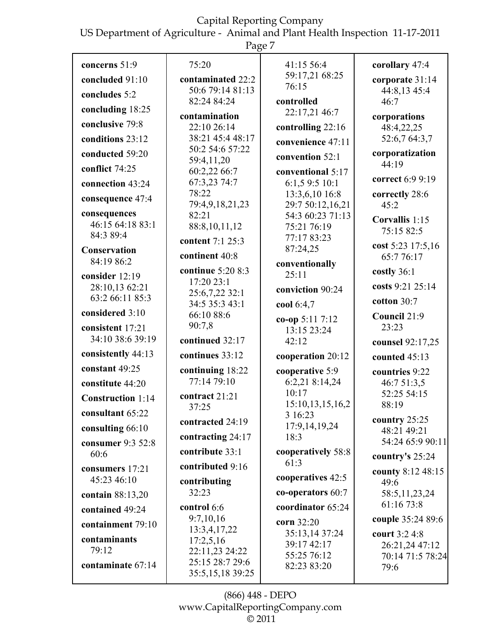US Department of Agriculture - Animal and Plant Health Inspection 11-17-2011

|--|--|

| concerns 51:9                    | 75:20                                  | 41:15 56:4                      | corollary 47:4                  |
|----------------------------------|----------------------------------------|---------------------------------|---------------------------------|
| concluded 91:10                  | contaminated 22:2                      | 59:17,21 68:25                  | corporate 31:14                 |
| concludes 5:2                    | 50:6 79:14 81:13                       | 76:15                           | 44:8,13 45:4                    |
| concluding 18:25                 | 82:24 84:24                            | controlled                      | 46:7                            |
|                                  | contamination                          | 22:17,21 46:7                   | corporations                    |
| conclusive 79:8                  | 22:10 26:14                            | controlling 22:16               | 48:4,22,25                      |
| conditions 23:12                 | 38:21 45:4 48:17                       | convenience 47:11               | 52:6,7 64:3,7                   |
| conducted 59:20                  | 50:2 54:6 57:22<br>59:4,11,20          | convention 52:1                 | corporatization                 |
| conflict 74:25                   | 60:2,22 66:7                           | conventional 5:17               | 44:19                           |
| connection 43:24                 | 67:3,23 74:7                           | 6:1,5 9:5 10:1                  | correct 6:9 9:19                |
| consequence 47:4                 | 78:22                                  | 13:3,6,10 16:8                  | correctly 28:6                  |
|                                  | 79:4,9,18,21,23                        | 29:7 50:12,16,21                | 45:2                            |
| consequences<br>46:15 64:18 83:1 | 82:21                                  | 54:3 60:23 71:13                | Corvallis 1:15                  |
| 84:3 89:4                        | 88:8,10,11,12                          | 75:21 76:19<br>77:17 83:23      | 75:15 82:5                      |
| Conservation                     | content 7:1 25:3                       | 87:24,25                        | cost 5:23 17:5,16               |
| 84:19 86:2                       | continent 40:8                         | conventionally                  | 65:776:17                       |
| consider 12:19                   | continue 5:20 8:3                      | 25:11                           | costly $36:1$                   |
| 28:10,13 62:21                   | 17:20 23:1                             | conviction 90:24                | costs 9:21 25:14                |
| 63:2 66:11 85:3                  | 25:6,7,22 32:1<br>34:5 35:3 43:1       |                                 | cotton $30:7$                   |
| considered 3:10                  | 66:10 88:6                             | cool 6:4,7                      | Council 21:9                    |
| consistent 17:21                 | 90:7,8                                 | $co-op 5:117:12$<br>13:15 23:24 | 23:23                           |
| 34:10 38:6 39:19                 | continued 32:17                        | 42:12                           | counsel 92:17,25                |
| consistently 44:13               | continues 33:12                        | cooperation 20:12               | counted 45:13                   |
| constant 49:25                   | continuing 18:22                       | cooperative 5:9                 | countries 9:22                  |
| constitute 44:20                 | 77:14 79:10                            | 6:2,21 8:14,24                  | 46:7 51:3,5                     |
| Construction 1:14                | contract 21:21                         | 10:17                           | 52:25 54:15                     |
| consultant 65:22                 | 37:25                                  | 15:10,13,15,16,2                | 88:19                           |
|                                  | contracted 24:19                       | 3 16:23                         | country 25:25                   |
| consulting 66:10                 | contracting $24:17$                    | 17:9,14,19,24<br>18:3           | 48:21 49:21                     |
| consumer 9:3 52:8                | contribute 33:1                        | cooperatively 58:8              | 54:24 65:9 90:11                |
| 60:6                             |                                        | 61:3                            | country's $25:24$               |
| consumers 17:21                  | contributed 9:16                       | cooperatives 42:5               | county 8:12 48:15               |
| 45:23 46:10                      | contributing                           |                                 | 49:6                            |
| contain 88:13,20                 | 32:23                                  | co-operators $60:7$             | 58:5, 11, 23, 24<br>61:16 73:8  |
| contained 49:24                  | control 6:6                            | coordinator 65:24               |                                 |
| containment 79:10                | 9:7,10,16<br>13:3,4,17,22              | corn 32:20                      | couple 35:24 89:6               |
| contaminants                     | 17:2,5,16                              | 35:13,14 37:24<br>39:17 42:17   | court 3:2 4:8<br>26:21,24 47:12 |
| 79:12                            | 22:11,23 24:22                         | 55:25 76:12                     | 70:14 71:5 78:24                |
| contaminate 67:14                | 25:15 28:7 29:6<br>35:5, 15, 18 39: 25 | 82:23 83:20                     | 79:6                            |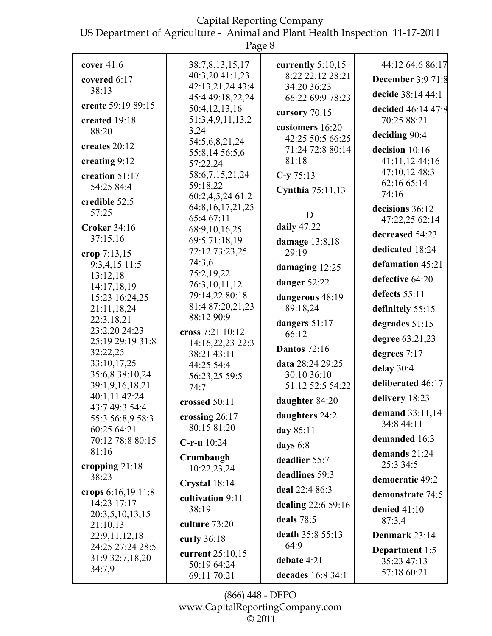US Department of Agriculture - Animal and Plant Health Inspection 11-17-2011

|                                    | Page 8                               |                                      |                                  |
|------------------------------------|--------------------------------------|--------------------------------------|----------------------------------|
| cover $41:6$                       | 38:7,8,13,15,17                      | currently $5:10,15$                  | 44:12 64:6 86:17                 |
| covered 6:17                       | 40:3,20 41:1,23                      | 8:22 22:12 28:21                     | <b>December 3:9 71:8</b>         |
| 38:13                              | 42:13,21,24 43:4<br>45:4 49:18,22,24 | 34:20 36:23<br>66:22 69:9 78:23      | decide 38:14 44:1                |
| create 59:19 89:15                 | 50:4,12,13,16                        |                                      | decided 46:14 47:8               |
| created 19:18                      | 51:3,4,9,11,13,2                     | cursory 70:15                        | 70:25 88:21                      |
| 88:20                              | 3,24                                 | customers 16:20                      | deciding 90:4                    |
| creates 20:12                      | 54:5,6,8,21,24                       | 42:25 50:5 66:25<br>71:24 72:8 80:14 |                                  |
| creating 9:12                      | 55:8,14 56:5,6                       | 81:18                                | decision 10:16<br>41:11,12 44:16 |
|                                    | 57:22,24                             |                                      | 47:10,12 48:3                    |
| creation 51:17<br>54:25 84:4       | 58:6,7,15,21,24<br>59:18,22          | $C-y 75:13$                          | 62:16 65:14                      |
|                                    | 60:2,4,5,24 61:2                     | <b>Cynthia</b> 75:11,13              | 74:16                            |
| credible 52:5                      | 64:8, 16, 17, 21, 25                 |                                      | decisions 36:12                  |
| 57:25                              | 65:4 67:11                           | D                                    | 47:22,25 62:14                   |
| <b>Croker 34:16</b>                | 68:9,10,16,25                        | daily 47:22                          | decreased 54:23                  |
| 37:15,16                           | 69:5 71:18,19                        | damage 13:8,18                       |                                  |
| crop 7:13,15                       | 72:12 73:23,25                       | 29:19                                | dedicated 18:24                  |
| 9:3,4,15 11:5                      | 74:3,6<br>75:2,19,22                 | damaging 12:25                       | defamation 45:21                 |
| 13:12,18                           | 76:3,10,11,12                        | danger 52:22                         | defective 64:20                  |
| 14:17,18,19<br>15:23 16:24,25      | 79:14,22 80:18                       | dangerous 48:19                      | defects 55:11                    |
| 21:11,18,24                        | 81:4 87:20,21,23                     | 89:18,24                             | definitely 55:15                 |
| 22:3,18,21                         | 88:12 90:9                           | dangers 51:17                        |                                  |
| 23:2,20 24:23                      | cross 7:21 10:12                     | 66:12                                | degrades 51:15                   |
| 25:19 29:19 31:8                   | 14:16,22,23 22:3                     |                                      | degree 63:21,23                  |
| 32:22,25                           | 38:21 43:11                          | <b>Dantos</b> 72:16                  | degrees 7:17                     |
| 33:10,17,25                        | 44:25 54:4                           | data 28:24 29:25                     | delay 30:4                       |
| 35:6,8 38:10,24<br>39:1,9,16,18,21 | 56:23,25 59:5                        | 30:10 36:10<br>51:12 52:5 54:22      | deliberated 46:17                |
| 40:1,11 42:24                      | 74:7                                 |                                      |                                  |
| 43:7 49:3 54:4                     | crossed 50:11                        | daughter 84:20                       | delivery 18:23                   |
| 55:3 56:8,9 58:3                   | crossing 26:17                       | daughters 24:2                       | demand 33:11,14                  |
| 60:25 64:21                        | 80:15 81:20                          | day 85:11                            | 34:8 44:11                       |
| 70:12 78:8 80:15                   | $C$ -r-u $10:24$                     | days $6:8$                           | demanded 16:3                    |
| 81:16                              | Crumbaugh                            | deadlier 55:7                        | demands 21:24                    |
| cropping $21:18$                   | 10:22,23,24                          |                                      | 25:3 34:5                        |
| 38:23                              | Crystal 18:14                        | deadlines 59:3                       | democratic 49:2                  |
| crops 6:16,19 11:8                 | cultivation 9:11                     | deal 22:4 86:3                       | demonstrate 74:5                 |
| 14:23 17:17                        | 38:19                                | dealing 22:6 59:16                   | denied $41:10$                   |
| 20:3,5,10,13,15                    |                                      | deals $78:5$                         | 87:3,4                           |
| 21:10,13                           | culture 73:20                        | death 35:8 55:13                     | Denmark 23:14                    |
| 22:9,11,12,18<br>24:25 27:24 28:5  | curly 36:18                          | 64:9                                 |                                  |
| 31:9 32:7,18,20                    | current 25:10,15                     |                                      | Department $1:5$                 |
| 34:7,9                             | 50:19 64:24                          | debate 4:21                          | 35:23 47:13<br>57:18 60:21       |
|                                    | 69:11 70:21                          | decades 16:8 34:1                    |                                  |

(866) 448 - DEPO www.CapitalReportingCompany.com  $\overline{\circ}$  2011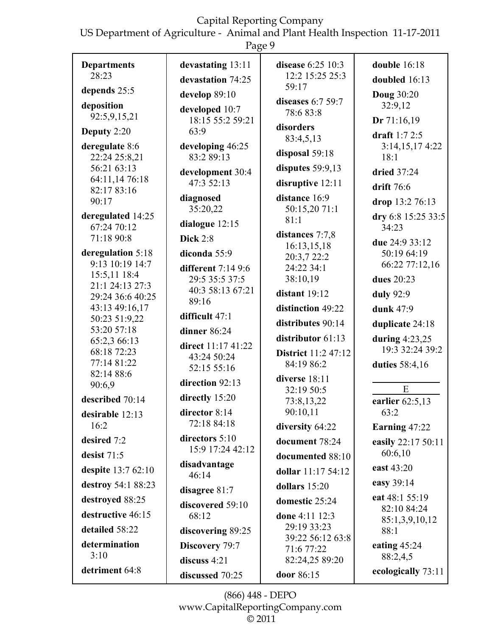US Department of Agriculture - Animal and Plant Health Inspection 11-17-2011

| Page 9                           |                                        |                                           |                                 |
|----------------------------------|----------------------------------------|-------------------------------------------|---------------------------------|
| <b>Departments</b><br>28:23      | devastating 13:11<br>devastation 74:25 | disease $6:25 \; 10:3$<br>12:2 15:25 25:3 | double $16:18$<br>doubled 16:13 |
| depends 25:5                     | develop 89:10                          | 59:17                                     | <b>Doug 30:20</b>               |
| deposition                       | developed 10:7                         | diseases $6:759:7$                        | 32:9,12                         |
| 92:5,9,15,21                     | 18:15 55:2 59:21                       | 78:683:8                                  | Dr $71:16,19$                   |
| Deputy 2:20                      | 63:9                                   | disorders<br>83:4,5,13                    | draft $1:72:5$                  |
| deregulate 8:6                   | developing 46:25                       | disposal 59:18                            | 3:14,15,174:22                  |
| 22:24 25:8,21<br>56:21 63:13     | 83:2 89:13                             | disputes $59:9,13$                        | 18:1                            |
| 64:11,14 76:18                   | development 30:4<br>47:3 52:13         | disruptive 12:11                          | dried 37:24                     |
| 82:17 83:16                      | diagnosed                              | distance 16:9                             | drift 76:6                      |
| 90:17                            | 35:20,22                               | 50:15,20 71:1                             | drop 13:2 76:13                 |
| deregulated 14:25<br>67:24 70:12 | dialogue 12:15                         | 81:1                                      | dry 6:8 15:25 33:5<br>34:23     |
| 71:18 90:8                       | <b>Dick 2:8</b>                        | distances 7:7,8                           | due 24:9 33:12                  |
| deregulation 5:18                | diconda 55:9                           | 16:13,15,18<br>20:3,7 22:2                | 50:19 64:19                     |
| 9:13 10:19 14:7                  | different $7:149:6$                    | 24:22 34:1                                | 66:22 77:12,16                  |
| 15:5,11 18:4<br>21:1 24:13 27:3  | 29:5 35:5 37:5                         | 38:10,19                                  | dues 20:23                      |
| 29:24 36:6 40:25                 | 40:3 58:13 67:21<br>89:16              | distant 19:12                             | duly 92:9                       |
| 43:13 49:16,17                   | difficult 47:1                         | distinction 49:22                         | dunk 47:9                       |
| 50:23 51:9,22<br>53:20 57:18     | dinner 86:24                           | distributes 90:14                         | duplicate 24:18                 |
| 65:2,3 66:13                     |                                        | distributor 61:13                         | during $4:23,25$                |
| 68:18 72:23                      | direct 11:17 41:22<br>43:24 50:24      | <b>District</b> 11:2 47:12                | 19:3 32:24 39:2                 |
| 77:14 81:22<br>82:14 88:6        | 52:15 55:16                            | 84:19 86:2                                | duties 58:4,16                  |
| 90:6,9                           | direction 92:13                        | diverse 18:11                             | E                               |
| described 70:14                  | directly 15:20                         | 32:19 50:5<br>73:8,13,22                  | earlier $62:5,13$               |
| desirable 12:13                  | director 8:14                          | 90:10,11                                  | 63:2                            |
| 16:2                             | 72:18 84:18                            | diversity 64:22                           | Earning 47:22                   |
| desired 7:2                      | directors $5:10$                       | document 78:24                            | easily 22:17 50:11              |
| desist $71:5$                    | 15:9 17:24 42:12                       | documented 88:10                          | 60:6,10                         |
| despite 13:7 62:10               | disadvantage<br>46:14                  | dollar 11:17 54:12                        | east 43:20                      |
| destroy 54:1 88:23               | disagree 81:7                          | dollars $15:20$                           | easy 39:14                      |
| destroyed 88:25                  | discovered 59:10                       | domestic 25:24                            | eat 48:1 55:19                  |
| destructive 46:15                | 68:12                                  | done 4:11 12:3                            | 82:10 84:24<br>85:1,3,9,10,12   |
| detailed 58:22                   | discovering 89:25                      | 29:19 33:23                               | 88:1                            |
| determination                    | Discovery 79:7                         | 39:22 56:12 63:8<br>71:6 77:22            | eating $45:24$                  |
| 3:10                             | discuss 4:21                           | 82:24,25 89:20                            | 88:2,4,5                        |
| detriment 64:8                   | discussed 70:25                        | door 86:15                                | ecologically 73:11              |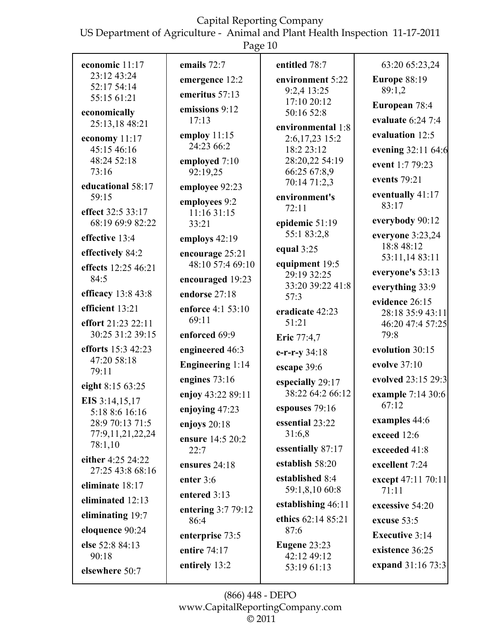US Department of Agriculture - Animal and Plant Health Inspection 11-17-2011

| ◠<br>d. |  |
|---------|--|
|         |  |

| economic 11:17                        | emails 72:7                      | entitled 78:7                 | 63:20 65:23,24                     |
|---------------------------------------|----------------------------------|-------------------------------|------------------------------------|
| 23:12 43:24<br>52:17 54:14            | emergence 12:2                   | environment 5:22              | <b>Europe 88:19</b>                |
| 55:15 61:21                           | emeritus 57:13                   | 9:2,4 13:25<br>17:10 20:12    | 89:1,2                             |
| economically                          | emissions 9:12                   | 50:16 52:8                    | European 78:4                      |
| 25:13,18 48:21                        | 17:13                            | environmental 1:8             | evaluate 6:24 7:4                  |
| economy 11:17                         | employ $11:15$<br>24:23 66:2     | 2:6,17,23 15:2                | evaluation 12:5                    |
| 45:15 46:16<br>48:24 52:18            | employed 7:10                    | 18:2 23:12<br>28:20,22 54:19  | evening 32:11 64:6                 |
| 73:16                                 | 92:19,25                         | 66:25 67:8,9                  | event 1:7 79:23                    |
| educational 58:17                     | employee 92:23                   | 70:14 71:2,3                  | events 79:21                       |
| 59:15                                 | employees 9:2                    | environment's<br>72:11        | eventually 41:17<br>83:17          |
| effect 32:5 33:17<br>68:19 69:9 82:22 | 11:16 31:15                      | epidemic 51:19                | everybody 90:12                    |
| effective 13:4                        | 33:21                            | 55:1 83:2,8                   | everyone 3:23,24                   |
| effectively 84:2                      | employs 42:19<br>encourage 25:21 | equal $3:25$                  | 18:8 48:12                         |
| effects 12:25 46:21                   | 48:10 57:4 69:10                 | equipment 19:5                | 53:11,14 83:11                     |
| 84:5                                  | encouraged 19:23                 | 29:19 32:25                   | everyone's 53:13                   |
| efficacy 13:8 43:8                    | endorse 27:18                    | 33:20 39:22 41:8<br>57:3      | everything 33:9                    |
| efficient 13:21                       | enforce 4:1 53:10                | eradicate 42:23               | evidence 26:15<br>28:18 35:9 43:11 |
| effort 21:23 22:11                    | 69:11                            | 51:21                         | 46:20 47:4 57:25                   |
| 30:25 31:2 39:15                      | enforced 69:9                    | Eric 77:4,7                   | 79:8                               |
| efforts 15:3 42:23                    | engineered 46:3                  | $e-r-r-y$ 34:18               | evolution 30:15                    |
| 47:20 58:18<br>79:11                  | <b>Engineering 1:14</b>          | escape 39:6                   | evolve 37:10                       |
| eight 8:15 63:25                      | engines 73:16                    | especially 29:17              | evolved 23:15 29:3                 |
| EIS 3:14,15,17                        | enjoy 43:22 89:11                | 38:22 64:2 66:12              | example 7:14 30:6<br>67:12         |
| 5:18 8:6 16:16                        | enjoying 47:23                   | espouses 79:16                |                                    |
| 28:9 70:13 71:5<br>77:9,11,21,22,24   | enjoys $20:18$                   | essential 23:22<br>31:6,8     | examples 44:6<br>exceed 12:6       |
| 78:1,10                               | ensure 14:5 20:2<br>22:7         | essentially 87:17             | exceeded 41:8                      |
| either 4:25 24:22                     | ensures 24:18                    | establish 58:20               | excellent 7:24                     |
| 27:25 43:8 68:16                      | enter 3:6                        | established 8:4               | except 47:11 70:11                 |
| eliminate 18:17                       | entered 3:13                     | 59:1,8,10 60:8                | 71:11                              |
| eliminated 12:13                      | entering 3:7 79:12               | establishing 46:11            | excessive 54:20                    |
| eliminating 19:7                      | 86:4                             | ethics 62:14 85:21            | excuse 53:5                        |
| eloquence 90:24                       | enterprise 73:5                  | 87:6                          | <b>Executive 3:14</b>              |
| else 52:8 84:13<br>90:18              | entire 74:17                     | Eugene $23:23$<br>42:12 49:12 | existence 36:25                    |
| elsewhere 50:7                        | entirely 13:2                    | 53:19 61:13                   | expand 31:16 73:3                  |
|                                       |                                  |                               |                                    |

(866) 448 - DEPO www.CapitalReportingCompany.com  $\overline{\circ}$  2011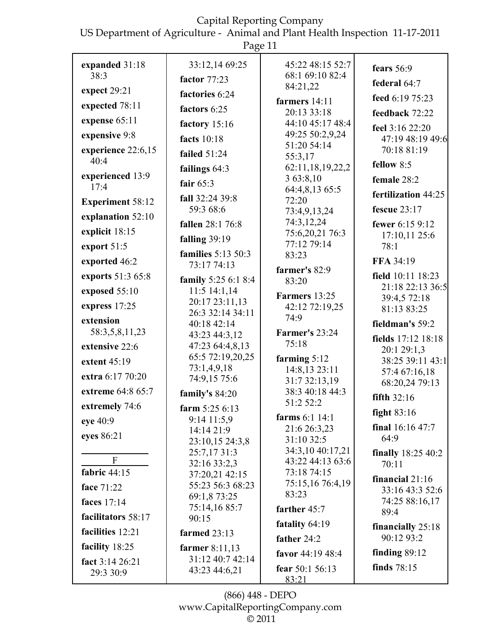US Department of Agriculture - Animal and Plant Health Inspection 11-17-2011

|                                | Page 11                            |                                     |                                   |
|--------------------------------|------------------------------------|-------------------------------------|-----------------------------------|
| expanded 31:18<br>38:3         | 33:12,14 69:25<br>factor 77:23     | 45:22 48:15 52:7<br>68:1 69:10 82:4 | fears 56:9                        |
| expect 29:21                   | factories 6:24                     | 84:21,22                            | federal 64:7                      |
| expected 78:11                 |                                    | farmers 14:11                       | feed 6:19 75:23                   |
|                                | factors 6:25                       | 20:13 33:18                         | feedback 72:22                    |
| expense 65:11                  | factory 15:16                      | 44:10 45:17 48:4                    | feel 3:16 22:20                   |
| expensive 9:8                  | facts $10:18$                      | 49:25 50:2,9,24<br>51:20 54:14      | 47:19 48:19 49:6                  |
| experience 22:6,15<br>40:4     | failed $51:24$                     | 55:3,17                             | 70:18 81:19                       |
|                                | failings $64:3$                    | 62:11,18,19,22,2                    | fellow $8:5$                      |
| experienced 13:9<br>17:4       | fair $65:3$                        | 3 63:8,10<br>64:4,8,13 65:5         | female 28:2                       |
| <b>Experiment 58:12</b>        | fall 32:24 39:8                    | 72:20                               | fertilization 44:25               |
|                                | 59:3 68:6                          | 73:4,9,13,24                        | fescue $23:17$                    |
| explanation 52:10              | <b>fallen</b> 28:1 76:8            | 74:3,12,24                          | fewer 6:15 9:12                   |
| explicit 18:15                 | falling $39:19$                    | 75:6,20,21 76:3                     | 17:10,11 25:6                     |
| export 51:5                    | families 5:13 50:3                 | 77:12 79:14<br>83:23                | 78:1                              |
| exported 46:2                  | 73:17 74:13                        |                                     | FFA 34:19                         |
| exports 51:3 65:8              | family 5:25 6:1 8:4                | farmer's 82:9<br>83:20              | field 10:11 18:23                 |
| exposed 55:10                  | 11:5 14:1,14                       | Farmers 13:25                       | 21:18 22:13 36:5<br>39:4,5 72:18  |
| express 17:25                  | 20:17 23:11,13                     | 42:12 72:19,25                      | 81:13 83:25                       |
| extension                      | 26:3 32:14 34:11<br>40:18 42:14    | 74:9                                | fieldman's 59:2                   |
| 58:3,5,8,11,23                 | 43:23 44:3,12                      | <b>Farmer's 23:24</b>               |                                   |
| extensive 22:6                 | 47:23 64:4,8,13                    | 75:18                               | fields 17:12 18:18<br>20:1 29:1,3 |
| extent 45:19                   | 65:5 72:19,20,25                   | farming $5:12$                      | 38:25 39:11 43:1                  |
| extra 6:17 70:20               | 73:1,4,9,18                        | 14:8,13 23:11                       | 57:4 67:16,18                     |
| extreme 64:8 65:7              | 74:9,15 75:6                       | 31:7 32:13,19<br>38:3 40:18 44:3    | 68:20,24 79:13                    |
|                                | family's 84:20                     | 51:2 52:2                           | fifth $32:16$                     |
| extremely 74:6                 | farm $5:256:13$                    | <b>farms</b> 6:1 14:1               | fight $83:16$                     |
| eye 40:9                       | $9:14$ 11:5,9<br>14:14 21:9        | 21:6 26:3,23                        | final $16:1647:7$                 |
| eyes 86:21                     | 23:10,15 24:3,8                    | 31:10 32:5                          | 64:9                              |
|                                | 25:7,17 31:3                       | 34:3,10 40:17,21                    | finally 18:25 40:2                |
| $\mathbf{F}$<br>fabric $44:15$ | 32:16 33:2,3                       | 43:22 44:13 63:6                    | 70:11                             |
|                                | 37:20,21 42:15<br>55:23 56:3 68:23 | 73:18 74:15<br>75:15,16 76:4,19     | financial $21:16$                 |
| face 71:22                     | 69:1,8 73:25                       | 83:23                               | 33:16 43:3 52:6                   |
| faces 17:14                    | 75:14,16 85:7                      | farther 45:7                        | 74:25 88:16,17<br>89:4            |
| facilitators 58:17             | 90:15                              | fatality 64:19                      |                                   |
| facilities 12:21               | farmed 23:13                       | father 24:2                         | financially $25:18$<br>90:12 93:2 |
| facility 18:25                 | farmer $8:11,13$                   | favor 44:19 48:4                    | finding $89:12$                   |
| fact 3:14 26:21                | 31:12 40:7 42:14                   | fear 50:1 56:13                     | finds $78:15$                     |
| 29:3 30:9                      | 43:23 44:6,21                      | 83:21                               |                                   |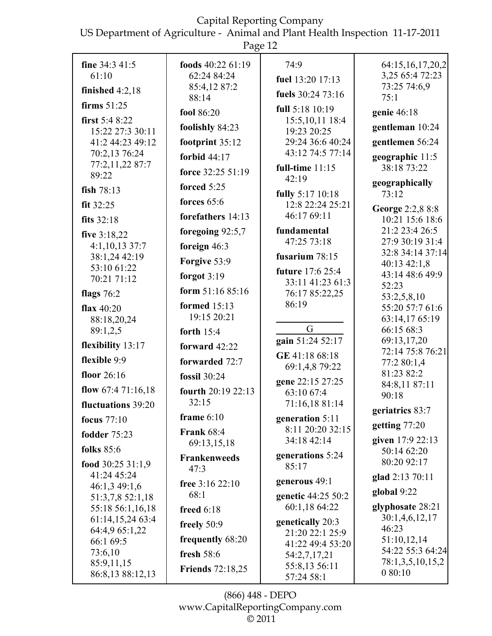US Department of Agriculture - Animal and Plant Health Inspection 11-17-2011

|                                      | Page 12                           |                                     |                                      |
|--------------------------------------|-----------------------------------|-------------------------------------|--------------------------------------|
| fine $34:341:5$<br>61:10             | foods $40:2261:19$<br>62:24 84:24 | 74:9<br>fuel 13:20 17:13            | 64:15,16,17,20,2<br>3,25 65:4 72:23  |
| finished $4:2,18$                    | 85:4,12 87:2<br>88:14             | fuels 30:24 73:16                   | 73:25 74:6,9<br>75:1                 |
| firms $51:25$                        | fool 86:20                        | full 5:18 10:19                     | genie 46:18                          |
| first $5:48:22$                      | foolishly 84:23                   | 15:5, 10, 11 18:4                   | gentleman 10:24                      |
| 15:22 27:3 30:11<br>41:2 44:23 49:12 | footprint 35:12                   | 19:23 20:25<br>29:24 36:6 40:24     | gentlemen 56:24                      |
| 70:2,13 76:24                        | forbid 44:17                      | 43:12 74:5 77:14                    |                                      |
| 77:2,11,22 87:7                      |                                   | full-time $11:15$                   | geographic 11:5<br>38:18 73:22       |
| 89:22                                | force 32:25 51:19                 | 42:19                               | geographically                       |
| fish $78:13$                         | forced $5:25$                     | fully 5:17 10:18                    | 73:12                                |
| fit $32:25$                          | forces $65:6$                     | 12:8 22:24 25:21                    | George 2:2,8 8:8                     |
| fits $32:18$                         | forefathers 14:13                 | 46:17 69:11                         | 10:21 15:6 18:6                      |
| five 3:18,22                         | foregoing 92:5,7                  | fundamental<br>47:25 73:18          | 21:2 23:4 26:5<br>27:9 30:19 31:4    |
| 4:1,10,13 37:7<br>38:1,24 42:19      | foreign $46:3$                    | fusarium $78:15$                    | 32:8 34:14 37:14                     |
| 53:10 61:22                          | Forgive 53:9                      | future 17:6 25:4                    | 40:13 42:1,8                         |
| 70:21 71:12                          | forgot $3:19$                     | 33:11 41:23 61:3                    | 43:14 48:6 49:9<br>52:23             |
| flags $76:2$                         | form $51:1685:16$                 | 76:17 85:22,25                      | 53:2,5,8,10                          |
| flax $40:20$                         | formed $15:13$                    | 86:19                               | 55:20 57:7 61:6                      |
| 88:18,20,24<br>89:1,2,5              | 19:15 20:21                       | G                                   | 63:14,17 65:19<br>66:15 68:3         |
|                                      | forth $15:4$                      | gain 51:24 52:17                    | 69:13,17,20                          |
| flexibility 13:17                    | forward $42:22$                   | GE 41:18 68:18                      | 72:14 75:8 76:21                     |
| flexible 9:9                         | forwarded 72:7                    | 69:1,4,8 79:22                      | 77:2 80:1,4<br>81:23 82:2            |
| floor $26:16$                        | fossil 30:24                      | gene 22:15 27:25                    | 84:8,11 87:11                        |
| flow $67:471:16,18$                  | fourth 20:19 22:13<br>32:15       | 63:10 67:4                          | 90:18                                |
| fluctuations 39:20                   | frame $6:10$                      | 71:16,18 81:14                      | geriatrics 83:7                      |
| focus $77:10$                        | <b>Frank 68:4</b>                 | generation 5:11<br>8:11 20:20 32:15 | getting $77:20$                      |
| <b>fodder</b> 75:23                  | 69:13,15,18                       | 34:18 42:14                         | given 17:9 22:13                     |
| <b>folks</b> 85:6                    | <b>Frankenweeds</b>               | generations 5:24                    | 50:14 62:20                          |
| food $30:2531:1.9$<br>41:24 45:24    | 47:3                              | 85:17                               | 80:20 92:17                          |
| 46:1,3 49:1,6                        | free 3:16 22:10                   | generous 49:1                       | glad 2:13 70:11                      |
| 51:3,7,8 52:1,18                     | 68:1                              | genetic 44:25 50:2                  | global 9:22                          |
| 55:18 56:1,16,18                     | freed $6:18$                      | 60:1,18 64:22                       | glyphosate 28:21<br>30:1,4,6,12,17   |
| 61:14,15,24 63:4<br>64:4,9 65:1,22   | freely 50:9                       | genetically 20:3<br>21:20 22:1 25:9 | 46:23                                |
| 66:1 69:5                            | frequently 68:20                  | 41:22 49:4 53:20                    | 51:10,12,14                          |
| 73:6,10                              | fresh $58:6$                      | 54:2,7,17,21                        | 54:22 55:3 64:24<br>78:1,3,5,10,15,2 |
| 85:9,11,15<br>86:8,13 88:12,13       | <b>Friends</b> 72:18,25           | 55:8,13 56:11<br>57:24 58:1         | 080:10                               |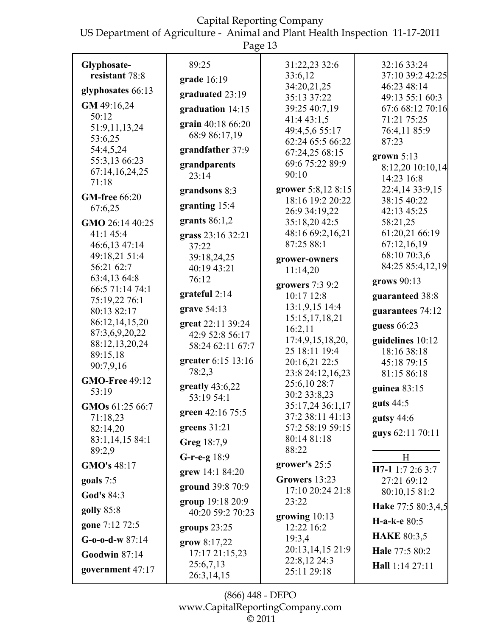US Department of Agriculture - Animal and Plant Health Inspection 11-17-2011

|                                 | ပ                                    |                                      |                    |
|---------------------------------|--------------------------------------|--------------------------------------|--------------------|
| Glyphosate-                     | 89:25                                | 31:22,23 32:6                        | 32:16 33:24        |
| resistant 78:8                  | grade 16:19                          | 33:6,12                              | 37:10 39:2 42:25   |
| glyphosates 66:13               |                                      | 34:20,21,25                          | 46:23 48:14        |
|                                 | graduated 23:19                      | 35:13 37:22                          | 49:13 55:1 60:3    |
| GM 49:16,24                     | graduation 14:15                     | 39:25 40:7,19                        | 67:6 68:12 70:16   |
| 50:12                           | grain 40:18 66:20                    | 41:4 43:1,5                          | 71:21 75:25        |
| 51:9,11,13,24                   | 68:9 86:17,19                        | 49:4,5,6 55:17                       | 76:4,11 85:9       |
| 53:6,25                         |                                      | 62:24 65:5 66:22                     | 87:23              |
| 54:4,5,24                       | grandfather 37:9                     | 67:24,25 68:15                       | grown $5:13$       |
| 55:3,13 66:23<br>67:14,16,24,25 | grandparents                         | 69:6 75:22 89:9                      | 8:12,20 10:10,14   |
| 71:18                           | 23:14                                | 90:10                                | 14:23 16:8         |
|                                 | grandsons 8:3                        | grower 5:8,12 8:15                   | 22:4,14 33:9,15    |
| <b>GM-free</b> 66:20            | granting 15:4                        | 18:16 19:2 20:22                     | 38:15 40:22        |
| 67:6,25                         |                                      | 26:9 34:19,22                        | 42:13 45:25        |
| GMO 26:14 40:25                 | grants $86:1,2$                      | 35:18,20 42:5                        | 58:21,25           |
| 41:1 45:4                       | grass 23:16 32:21                    | 48:16 69:2,16,21                     | 61:20,21 66:19     |
| 46:6,13 47:14                   | 37:22                                | 87:25 88:1                           | 67:12,16,19        |
| 49:18,21 51:4                   | 39:18,24,25                          | grower-owners                        | 68:10 70:3,6       |
| 56:21 62:7                      | 40:19 43:21                          | 11:14,20                             | 84:25 85:4,12,19   |
| 63:4,13 64:8                    | 76:12                                | growers 7:3 9:2                      | grows 90:13        |
| 66:5 71:14 74:1                 | grateful $2:14$                      | 10:17 12:8                           | guaranteed 38:8    |
| 75:19,22 76:1<br>80:13 82:17    | grave 54:13                          | 13:1,9,15 14:4                       | guarantees 74:12   |
| 86:12,14,15,20                  |                                      | 15:15, 17, 18, 21                    |                    |
| 87:3,6,9,20,22                  | great 22:11 39:24<br>42:9 52:8 56:17 | 16:2,11                              | guess 66:23        |
| 88:12,13,20,24                  | 58:24 62:11 67:7                     | 17:4,9,15,18,20,                     | guidelines 10:12   |
| 89:15,18                        |                                      | 25 18:11 19:4                        | 18:16 38:18        |
| 90:7,9,16                       | greater 6:15 13:16                   | 20:16,21 22:5                        | 45:18 79:15        |
| <b>GMO-Free 49:12</b>           | 78:2,3                               | 23:8 24:12,16,23                     | 81:15 86:18        |
| 53:19                           | greatly $43:6,22$                    | 25:6,10 28:7                         | guinea 83:15       |
|                                 | 53:19 54:1                           | 30:2 33:8,23                         | guts 44:5          |
| GMOs 61:25 66:7                 | green 42:16 75:5                     | 35:17,24 36:1,17<br>37:2 38:11 41:13 |                    |
| 71:18,23<br>82:14,20            | greens $31:21$                       | 57:2 58:19 59:15                     | gutsy $44:6$       |
| 83:1,14,15 84:1                 | Greg 18:7,9                          | 80:14 81:18                          | guys 62:11 70:11   |
| 89:2,9                          |                                      | 88:22                                |                    |
| GMO's 48:17                     | $G-r-e-g 18:9$                       | grower's 25:5                        | H                  |
|                                 | grew 14:1 84:20                      |                                      | H7-1 1:7 2:6 3:7   |
| goals 7:5                       | ground 39:8 70:9                     | Growers 13:23                        | 27:21 69:12        |
| God's 84:3                      |                                      | 17:10 20:24 21:8<br>23:22            | 80:10,15 81:2      |
| golly 85:8                      | group 19:18 20:9<br>40:20 59:2 70:23 |                                      | Hake 77:5 80:3,4,5 |
| gone 7:12 72:5                  | groups $23:25$                       | growing 10:13<br>12:22 16:2          | H-a-k-e 80:5       |
| $G$ -0-0-d-w 87:14              | grow $8:17,22$                       | 19:3,4                               | <b>HAKE 80:3,5</b> |
| <b>Goodwin 87:14</b>            | 17:17 21:15,23                       | 20:13,14,15 21:9                     | Hale 77:5 80:2     |
| government 47:17                | 25:6,7,13                            | 22:8,12 24:3                         | Hall 1:14 27:11    |
|                                 | 26:3,14,15                           | 25:11 29:18                          |                    |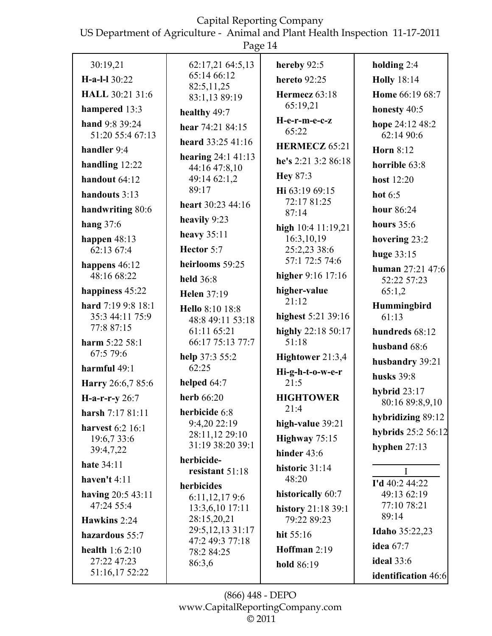US Department of Agriculture - Animal and Plant Health Inspection 11-17-2011

|                                    | rage 14                            |                                   |                                   |
|------------------------------------|------------------------------------|-----------------------------------|-----------------------------------|
| 30:19,21                           | 62:17,21 64:5,13                   | hereby 92:5                       | holding $2:4$                     |
| H-a-l-l 30:22                      | 65:14 66:12                        | <b>hereto</b> 92:25               | <b>Holly</b> 18:14                |
| <b>HALL 30:21 31:6</b>             | 82:5,11,25<br>83:1,13 89:19        | Hermecz 63:18                     | Home 66:19 68:7                   |
| hampered 13:3                      | healthy 49:7                       | 65:19,21                          | honesty 40:5                      |
| hand 9:8 39:24<br>51:20 55:4 67:13 | hear 74:21 84:15                   | H-e-r-m-e-c-z<br>65:22            | hope 24:12 48:2<br>62:14 90:6     |
| handler 9:4                        | heard 33:25 41:16                  | <b>HERMECZ 65:21</b>              | <b>Horn 8:12</b>                  |
| handling $12:22$                   | hearing $24:141:13$                | he's 2:21 3:2 86:18               | horrible 63:8                     |
| handout 64:12                      | 44:16 47:8,10<br>49:14 62:1,2      | <b>Hey 87:3</b>                   | host 12:20                        |
| handouts 3:13                      | 89:17                              | Hi 63:19 69:15                    | hot $6:5$                         |
| handwriting 80:6                   | heart 30:23 44:16                  | 72:17 81:25                       | hour 86:24                        |
| hang $37:6$                        | heavily 9:23                       | 87:14                             | hours $35:6$                      |
| happen $48:13$                     | heavy $35:11$                      | high 10:4 11:19,21<br>16:3,10,19  | hovering 23:2                     |
| 62:13 67:4                         | Hector 5:7                         | 25:2,23 38:6                      | huge 33:15                        |
| happens 46:12                      | heirlooms 59:25                    | 57:1 72:5 74:6                    | human 27:21 47:6                  |
| 48:16 68:22                        | held 36:8                          | higher $9:16$ 17:16               | 52:22 57:23                       |
| happiness 45:22                    | <b>Helen</b> 37:19                 | higher-value                      | 65:1,2                            |
| hard 7:19 9:8 18:1                 | Hello 8:10 18:8                    | 21:12                             | Hummingbird                       |
| 35:3 44:11 75:9<br>77:8 87:15      | 48:8 49:11 53:18                   | highest 5:21 39:16                | 61:13                             |
| harm 5:22 58:1                     | 61:11 65:21<br>66:17 75:13 77:7    | highly 22:18 50:17<br>51:18       | hundreds 68:12                    |
| 67:5 79:6                          | help 37:3 55:2                     | Hightower 21:3,4                  | husband 68:6                      |
| harmful 49:1                       | 62:25                              | Hi-g-h-t-o-w-e-r                  | husbandry 39:21                   |
| Harry 26:6,7 85:6                  | helped 64:7                        | 21:5                              | husks 39:8                        |
| $H-a-r-r-y 26:7$                   | herb 66:20                         | <b>HIGHTOWER</b>                  | hybrid $23:17$<br>80:16 89:8,9,10 |
| harsh 7:17 81:11                   | herbicide 6:8                      | 21:4                              | hybridizing 89:12                 |
| harvest 6:2 16:1                   | 9:4,20 22:19                       | high-value 39:21                  | hybrids 25:2 56:12                |
| 19:6,7 33:6                        | 28:11,12 29:10<br>31:19 38:20 39:1 | Highway $75:15$                   | hyphen $27:13$                    |
| 39:4,7,22                          | herbicide-                         | hinder 43:6                       |                                   |
| <b>hate</b> 34:11                  | resistant 51:18                    | historic 31:14                    |                                   |
| haven't $4:11$                     | herbicides                         | 48:20                             | I'd 40:2 44:22                    |
| having 20:5 43:11<br>47:24 55:4    | 6:11,12,179:6                      | historically 60:7                 | 49:13 62:19<br>77:10 78:21        |
| Hawkins 2:24                       | 13:3,6,10 17:11<br>28:15,20,21     | history 21:18 39:1<br>79:22 89:23 | 89:14                             |
| hazardous 55:7                     | 29:5, 12, 13 31:17                 | hit 55:16                         | <b>Idaho</b> 35:22,23             |
| health $1:62:10$                   | 47:2 49:3 77:18                    | Hoffman 2:19                      | idea 67:7                         |
| 27:22 47:23                        | 78:2 84:25<br>86:3,6               | hold 86:19                        | <b>ideal</b> 33:6                 |
| 51:16,17 52:22                     |                                    |                                   | identification 46:6               |
|                                    |                                    |                                   |                                   |

(866) 448 - DEPO www.CapitalReportingCompany.com  $\overline{\circ}$  2011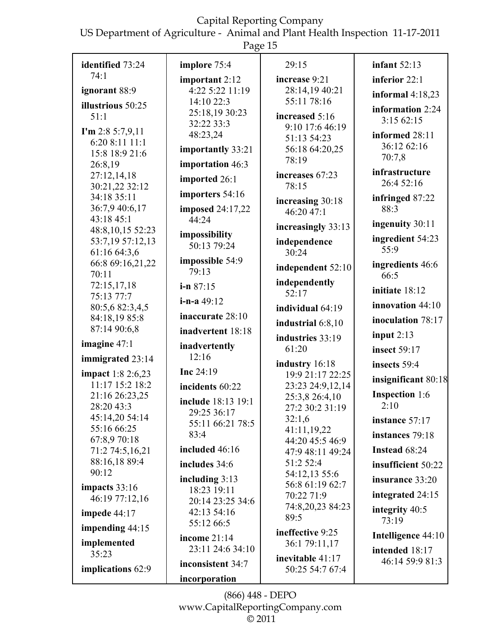US Department of Agriculture - Animal and Plant Health Inspection 11-17-2011 Page  $15$ 

|                                             | r age ro                        |                                      |                               |
|---------------------------------------------|---------------------------------|--------------------------------------|-------------------------------|
| identified 73:24                            | implore 75:4                    | 29:15                                | infant $52:13$                |
| 74:1                                        | important 2:12                  | increase 9:21                        | inferior 22:1                 |
| ignorant 88:9                               | 4:22 5:22 11:19                 | 28:14,19 40:21                       | informal $4:18,23$            |
| illustrious 50:25                           | 14:10 22:3                      | 55:11 78:16                          | information 2:24              |
| 51:1                                        | 25:18,19 30:23                  | increased 5:16                       | 3:15 62:15                    |
| I'm 2:8 5:7,9,11                            | 32:22 33:3                      | 9:10 17:6 46:19                      |                               |
| 6:20 8:11 11:1                              | 48:23,24                        | 51:13 54:23                          | informed 28:11<br>36:12 62:16 |
| 15:8 18:9 21:6                              | importantly 33:21               | 56:18 64:20,25                       | 70:7,8                        |
| 26:8,19                                     | importation 46:3                | 78:19                                |                               |
| 27:12,14,18                                 | imported 26:1                   | increases 67:23                      | infrastructure<br>26:4 52:16  |
| 30:21,22 32:12                              | importers 54:16                 | 78:15                                |                               |
| 34:18 35:11<br>36:7,9 40:6,17               | <b>imposed</b> 24:17,22         | increasing 30:18                     | infringed 87:22<br>88:3       |
| 43:18 45:1                                  | 44:24                           | 46:20 47:1                           |                               |
| 48:8,10,15 52:23                            |                                 | increasingly 33:13                   | ingenuity 30:11               |
| 53:7,19 57:12,13                            | impossibility<br>50:13 79:24    | independence                         | ingredient 54:23              |
| 61:16 64:3,6                                |                                 | 30:24                                | 55:9                          |
| 66:8 69:16,21,22                            | impossible 54:9<br>79:13        | independent 52:10                    | ingredients 46:6              |
| 70:11                                       |                                 | independently                        | 66:5                          |
| 72:15,17,18<br>75:13 77:7                   | $i-n 87:15$                     | 52:17                                | initiate 18:12                |
| 80:5,6 82:3,4,5                             | $i-n-a$ 49:12                   | individual 64:19                     | innovation $44:10$            |
| 84:18,19 85:8                               | inaccurate 28:10                |                                      | inoculation 78:17             |
| 87:14 90:6,8                                | inadvertent 18:18               | industrial 6:8,10                    | input $2:13$                  |
| imagine 47:1                                | inadvertently                   | industries 33:19                     |                               |
| immigrated 23:14                            | 12:16                           | 61:20                                | <b>insect</b> 59:17           |
|                                             | Inc $24:19$                     | industry 16:18                       | insects 59:4                  |
| <b>impact</b> 1:8 2:6,23<br>11:17 15:2 18:2 | incidents 60:22                 | 19:9 21:17 22:25<br>23:23 24:9,12,14 | insignificant 80:18           |
| 21:16 26:23,25                              |                                 | 25:3,8 26:4,10                       | <b>Inspection</b> 1:6         |
| 28:20 43:3                                  | include 18:13 19:1              | 27:2 30:2 31:19                      | 2:10                          |
| 45:14,20 54:14                              | 29:25 36:17<br>55:11 66:21 78:5 | 32:1,6                               | instance 57:17                |
| 55:16 66:25                                 | 83:4                            | 41:11,19,22                          | instances 79:18               |
| 67:8,9 70:18                                | included 46:16                  | 44:20 45:5 46:9                      | Instead 68:24                 |
| 71:2 74:5,16,21<br>88:16,18 89:4            |                                 | 47:9 48:11 49:24<br>51:2 52:4        |                               |
| 90:12                                       | includes 34:6                   | 54:12,13 55:6                        | insufficient 50:22            |
| impacts $33:16$                             | including $3:13$                | 56:8 61:19 62:7                      | insurance 33:20               |
| 46:19 77:12,16                              | 18:23 19:11<br>20:14 23:25 34:6 | 70:22 71:9                           | integrated 24:15              |
| impede $44:17$                              | 42:13 54:16                     | 74:8,20,23 84:23                     | integrity 40:5                |
|                                             | 55:12 66:5                      | 89:5                                 | 73:19                         |
| impending $44:15$                           | income 21:14                    | ineffective 9:25                     | Intelligence 44:10            |
| implemented                                 | 23:11 24:6 34:10                | 36:1 79:11,17                        | intended 18:17                |
| 35:23                                       | inconsistent 34:7               | inevitable 41:17                     | 46:14 59:9 81:3               |
| implications 62:9                           | incorporation                   | 50:25 54:7 67:4                      |                               |
|                                             |                                 |                                      |                               |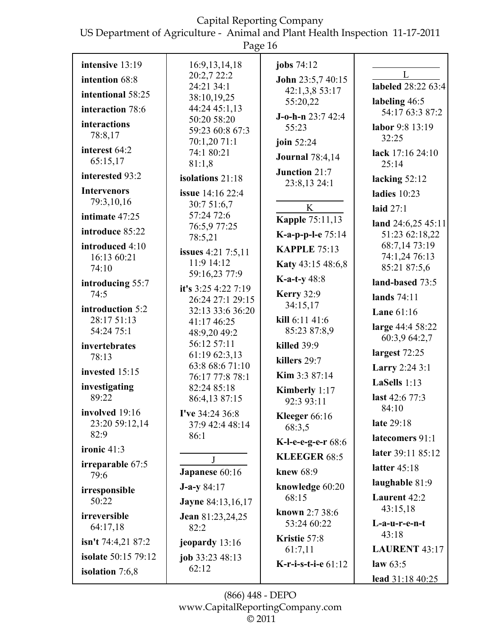US Department of Agriculture - Animal and Plant Health Inspection 11-17-2011

|                                  | Page 16                                 |                                      |                                  |
|----------------------------------|-----------------------------------------|--------------------------------------|----------------------------------|
| intensive 13:19                  | 16:9, 13, 14, 18                        | jobs 74:12                           |                                  |
| intention 68:8                   | 20:2,7 22:2                             | John 23:5,7 40:15                    | L<br>labeled 28:22 63:4          |
| intentional 58:25                | 24:21 34:1<br>38:10,19,25               | 42:1,3,8 53:17                       |                                  |
| interaction 78:6                 | 44:24 45:1,13                           | 55:20,22                             | labeling 46:5<br>54:17 63:3 87:2 |
| interactions<br>78:8,17          | 50:20 58:20<br>59:23 60:8 67:3          | $J$ -o-h-n 23:7 42:4<br>55:23        | labor 9:8 13:19<br>32:25         |
| interest 64:2<br>65:15,17        | 70:1,20 71:1<br>74:1 80:21<br>81:1,8    | join 52:24<br><b>Journal</b> 78:4,14 | lack 17:16 24:10<br>25:14        |
| interested 93:2                  | isolations 21:18                        | Junction 21:7                        | lacking $52:12$                  |
| <b>Intervenors</b>               | issue 14:16 22:4                        | 23:8,13 24:1                         | ladies $10:23$                   |
| 79:3,10,16                       | 30:7 51:6,7                             | K                                    | laid $27:1$                      |
| intimate 47:25                   | 57:24 72:6<br>76:5,9 77:25              | <b>Kapple 75:11,13</b>               | land 24:6,25 45:11               |
| introduce 85:22                  | 78:5,21                                 | K-a-p-p-l-e 75:14                    | 51:23 62:18,22                   |
| introduced 4:10<br>16:13 60:21   | <b>issues</b> 4:21 7:5,11               | <b>KAPPLE 75:13</b>                  | 68:7,14 73:19<br>74:1,24 76:13   |
| 74:10                            | 11:9 14:12                              | Katy 43:15 48:6,8                    | 85:21 87:5,6                     |
| introducing 55:7                 | 59:16,23 77:9                           | <b>K-a-t-y</b> $48:8$                | land-based 73:5                  |
| 74:5                             | it's $3:254:227:19$<br>26:24 27:1 29:15 | <b>Kerry 32:9</b>                    | lands 74:11                      |
| introduction 5:2                 | 32:13 33:6 36:20                        | 34:15,17                             | Lane $61:16$                     |
| 28:17 51:13<br>54:24 75:1        | 41:17 46:25<br>48:9,20 49:2             | kill 6:11 41:6<br>85:23 87:8,9       | large 44:4 58:22                 |
| invertebrates                    | 56:12 57:11                             | killed 39:9                          | 60:3,9 64:2,7                    |
| 78:13                            | 61:19 62:3,13                           | killers 29:7                         | largest 72:25                    |
| invested 15:15                   | 63:8 68:6 71:10<br>76:17 77:8 78:1      | Kim 3:3 87:14                        | Larry 2:24 3:1                   |
| investigating                    | 82:24 85:18                             | Kimberly 1:17                        | LaSells $1:13$                   |
| 89:22                            | 86:4,13 87:15                           | 92:3 93:11                           | last 42:6 77:3                   |
| involved 19:16<br>23:20 59:12,14 | I've 34:24 36:8<br>37:9 42:4 48:14      | Kleeger 66:16<br>68:3,5              | 84:10<br>late 29:18              |
| 82:9                             | 86:1                                    | K-l-e-e-g-e-r 68:6                   | latecomers 91:1                  |
| ironic 41:3                      | J                                       | <b>KLEEGER 68:5</b>                  | later 39:11 85:12                |
| irreparable 67:5<br>79:6         | Japanese 60:16                          | knew 68:9                            | latter 45:18                     |
| irresponsible                    | $J-a-y 84:17$                           | knowledge 60:20                      | laughable 81:9                   |
| 50:22                            | <b>Jayne 84:13,16,17</b>                | 68:15                                | Laurent 42:2<br>43:15,18         |
| irreversible<br>64:17,18         | <b>Jean</b> 81:23,24,25<br>82:2         | known 2:7 38:6<br>53:24 60:22        | L-a-u-r-e-n-t                    |
| isn't $74:4,2187:2$              | jeopardy 13:16                          | Kristie 57:8                         | 43:18                            |
| <b>isolate</b> 50:15 79:12       | job $33:2348:13$                        | 61:7,11                              | <b>LAURENT 43:17</b>             |
| isolation $7:6,8$                | 62:12                                   | K-r-i-s-t-i-e 61:12                  | law $63:5$<br>lead $31.1840.25$  |

(866) 448 - DEPO www.CapitalReportingCompany.com  $\overline{\circ}$  2011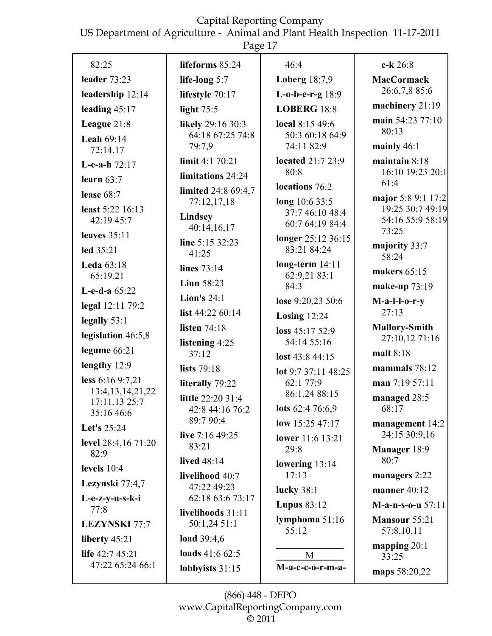US Department of Agriculture - Animal and Plant Health Inspection 11-17-2011

| 82:25                                 | lifeforms 85:24           | 46:4                              | c-k 26:8                          |
|---------------------------------------|---------------------------|-----------------------------------|-----------------------------------|
| leader $73:23$                        | life-long 5:7             | <b>Loberg</b> 18:7,9              | <b>MacCormack</b>                 |
| leadership 12:14                      | lifestyle 70:17           | L-o-b-e-r-g 18:9                  | 26:6,7,8 85:6                     |
| leading $45:17$                       | light $75:5$              | <b>LOBERG 18:8</b>                | machinery 21:19                   |
| League 21:8                           | likely 29:16 30:3         | local 8:15 49:6                   | main 54:23 77:10                  |
| <b>Leah 69:14</b>                     | 64:18 67:25 74:8          | 50:3 60:18 64:9                   | 80:13                             |
| 72:14,17                              | 79:7,9                    | 74:11 82:9                        | mainly $46:1$                     |
| L-e-a-h $72:17$                       | limit 4:1 70:21           | <b>located 21:7 23:9</b><br>80:8  | maintain 8:18<br>16:10 19:23 20:1 |
| learn $63:7$                          | limitations 24:24         | locations 76:2                    | 61:4                              |
| lease $68:7$                          | limited 24:8 69:4,7       |                                   | major 5:8 9:1 17:2                |
| least 5:22 16:13                      | 77:12,17,18               | long 10:6 33:5<br>37:7 46:10 48:4 | 19:25 30:7 49:19                  |
| 42:19 45:7                            | Lindsey<br>40:14,16,17    | 60:7 64:19 84:4                   | 54:16 55:9 58:19                  |
| leaves 35:11                          | line 5:15 32:23           | longer 25:12 36:15                | 73:25                             |
| led 35:21                             | 41:25                     | 83:21 84:24                       | majority 33:7<br>58:24            |
| <b>Leda</b> 63:18                     | lines 73:14               | $long-term 14:11$                 | makers 65:15                      |
| 65:19,21                              | Linn $58:23$              | 62:9,21 83:1<br>84:3              | make-up 73:19                     |
| L-e-d-a 65:22                         | Lion's $24:1$             | lose 9:20,23 50:6                 | $M-a-l-l-o-r-y$                   |
| legal 12:11 79:2                      | list 44:22 60:14          | Losing $12:24$                    | 27:13                             |
| legally $53:1$                        | listen $74:18$            | loss 45:17 52:9                   | <b>Mallory-Smith</b>              |
| legislation 46:5,8                    | listening 4:25            | 54:14 55:16                       | 27:10,12 71:16                    |
| legume $66:21$                        | 37:12                     | lost 43:8 44:15                   | malt 8:18                         |
| lengthy 12:9                          | lists 79:18               | lot 9:7 37:11 48:25               | mammals $78:12$                   |
| less 6:16 9:7,21                      | literally 79:22           | 62:1 77:9                         | man 7:19 57:11                    |
| 13:4, 13, 14, 21, 22<br>17:11,13 25:7 | little 22:20 31:4         | 86:1,24 88:15                     | managed 28:5                      |
| 35:16 46:6                            | 42:8 44:16 76:2           | lots 62:4 76:6,9                  | 68:17                             |
| Let's 25:24                           | 89:7 90:4                 | low 15:25 47:17                   | management 14:2                   |
| level 28:4,16 71:20                   | live $7:1649:25$<br>83:21 | <b>lower</b> 11:6 13:21           | 24:15 30:9,16                     |
| 82:9                                  | <b>lived</b> 48:14        | 29:8                              | Manager 18:9<br>80:7              |
| levels $10:4$                         | livelihood 40:7           | lowering $13:14$<br>17:13         | managers 2:22                     |
| Lezynski 77:4,7                       | 47:22 49:23               | lucky 38:1                        | manner $40:12$                    |
| L-e-z-y-n-s-k-i                       | 62:18 63:6 73:17          | <b>Lupus 83:12</b>                | <b>M-a-n-s-o-u</b> $57:11$        |
| 77:8                                  | livelihoods 31:11         | lymphoma $51:16$                  | Mansour 55:21                     |
| <b>LEZYNSKI</b> 77:7                  | 50:1,24 51:1              | 55:12                             | 57:8,10,11                        |
| liberty $45:21$                       | load $39:4,6$             |                                   | mapping $20:1$                    |
| life $42:745:21$                      | loads 41:6 62:5           | M                                 | 33:25                             |
| 47:22 65:24 66:1                      | lobbyists $31:15$         | M-a-c-c-o-r-m-a-                  | maps 58:20,22                     |
|                                       |                           |                                   |                                   |

(866) 448 - DEPO www.CapitalReportingCompany.com  $\overline{\circ}$  2011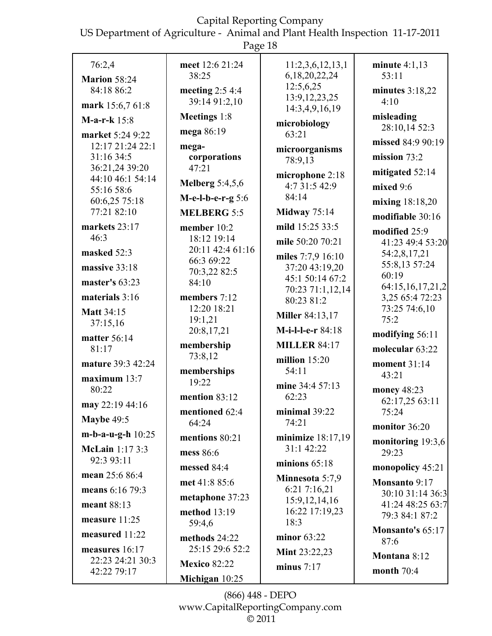US Department of Agriculture - Animal and Plant Health Inspection 11-17-2011

Page 18

|                             | $\circ$                     |                                    |                                   |
|-----------------------------|-----------------------------|------------------------------------|-----------------------------------|
| 76:2,4                      | meet 12:6 21:24             | 11:2,3,6,12,13,1                   | minute $4:1,13$                   |
| <b>Marion 58:24</b>         | 38:25                       | 6,18,20,22,24                      | 53:11                             |
| 84:18 86:2                  | meeting $2:54:4$            | 12:5,6,25                          | minutes $3:18,22$                 |
| mark 15:6,7 61:8            | 39:14 91:2,10               | 13:9, 12, 23, 25<br>14:3,4,9,16,19 | 4:10                              |
| M-a-r-k $15:8$              | Meetings 1:8                | microbiology                       | misleading                        |
| market 5:24 9:22            | mega 86:19                  | 63:21                              | 28:10,14 52:3                     |
| 12:17 21:24 22:1            | mega-                       | microorganisms                     | missed 84:9 90:19                 |
| 31:16 34:5                  | corporations                | 78:9,13                            | mission $73:2$                    |
| 36:21,24 39:20              | 47:21                       | microphone 2:18                    | mitigated 52:14                   |
| 44:10 46:1 54:14            | Melberg $5:4,5,6$           | 4:7 31:5 42:9                      | mixed 9:6                         |
| 55:16 58:6<br>60:6,25 75:18 | M-e-l-b-e-r-g 5:6           | 84:14                              | mixing $18:18,20$                 |
| 77:21 82:10                 | <b>MELBERG 5:5</b>          | <b>Midway</b> 75:14                | modifiable 30:16                  |
| markets 23:17               | member 10:2                 | mild 15:25 33:5                    |                                   |
| 46:3                        | 18:12 19:14                 | mile 50:20 70:21                   | modified 25:9<br>41:23 49:4 53:20 |
| masked 52:3                 | 20:11 42:4 61:16            | miles 7:7,9 16:10                  | 54:2,8,17,21                      |
| massive 33:18               | 66:3 69:22                  | 37:20 43:19,20                     | 55:8,13 57:24                     |
| master's $63:23$            | 70:3,22 82:5<br>84:10       | 45:1 50:14 67:2                    | 60:19                             |
|                             |                             | 70:23 71:1,12,14                   | 64:15,16,17,21,2                  |
| materials 3:16              | members 7:12<br>12:20 18:21 | 80:23 81:2                         | 3,25 65:4 72:23<br>73:25 74:6,10  |
| <b>Matt 34:15</b>           | 19:1,21                     | <b>Miller</b> 84:13,17             | 75:2                              |
| 37:15,16                    | 20:8,17,21                  | M-i-l-l-e-r 84:18                  | modifying 56:11                   |
| matter 56:14<br>81:17       | membership                  | <b>MILLER 84:17</b>                | molecular 63:22                   |
| mature 39:3 42:24           | 73:8,12                     | million $15:20$                    | moment 31:14                      |
|                             | memberships                 | 54:11                              | 43:21                             |
| maximum $13:7$<br>80:22     | 19:22                       | mine 34:4 57:13                    | money 48:23                       |
|                             | mention 83:12               | 62:23                              | 62:17,25 63:11                    |
| may 22:19 44:16             | mentioned 62:4              | minimal 39:22                      | 75:24                             |
| <b>Maybe 49:5</b>           | 64:24                       | 74:21                              | monitor 36:20                     |
| m-b-a-u-g-h $10:25$         | mentions 80:21              | minimize $18:17,19$                | monitoring 19:3,6                 |
| <b>McLain</b> 1:17 3:3      | mess 86:6                   | 31:1 42:22                         | 29:23                             |
| 92:3 93:11                  | messed 84:4                 | minions $65:18$                    | monopolicy 45:21                  |
| mean 25:6 86:4              | met 41:8 85:6               | Minnesota 5:7,9                    | Monsanto 9:17                     |
| means 6:16 79:3             | metaphone 37:23             | 6:21 7:16,21<br>15:9, 12, 14, 16   | 30:10 31:14 36:3                  |
| meant 88:13                 | method 13:19                | 16:22 17:19,23                     | 41:24 48:25 63:7                  |
| measure $11:25$             | 59:4,6                      | 18:3                               | 79:3 84:1 87:2                    |
| measured 11:22              | methods 24:22               | minor 63:22                        | <b>Monsanto's 65:17</b><br>87:6   |
| measures 16:17              | 25:15 29:6 52:2             | Mint 23:22,23                      | Montana 8:12                      |
| 22:23 24:21 30:3            | <b>Mexico 82:22</b>         | minus $7:17$                       | month $70:4$                      |
| 42:22 79:17                 | Michigan 10:25              |                                    |                                   |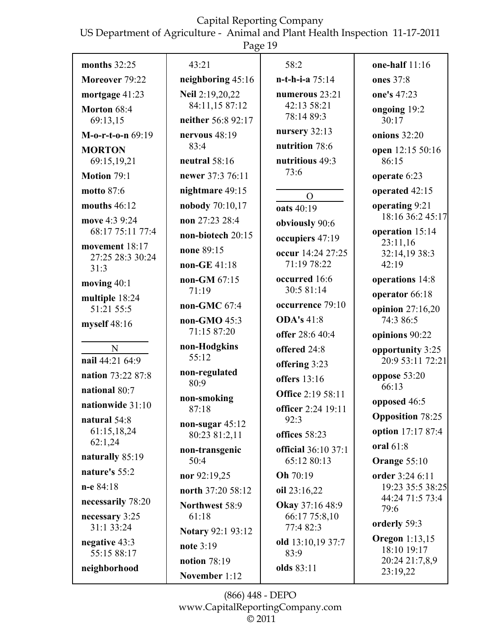US Department of Agriculture - Animal and Plant Health Inspection 11-17-2011

|                              | Page 19                            |                            |                                      |
|------------------------------|------------------------------------|----------------------------|--------------------------------------|
| months $32:25$               | 43:21                              | 58:2                       | one-half $11:16$                     |
| Moreover 79:22               | neighboring 45:16                  | $n-t-h-i-a$ 75:14          | ones 37:8                            |
| mortgage 41:23               | Neil 2:19,20,22                    | numerous 23:21             | one's 47:23                          |
| Morton 68:4                  | 84:11,15 87:12                     | 42:13 58:21<br>78:14 89:3  | ongoing 19:2                         |
| 69:13,15                     | neither 56:8 92:17                 | nursery 32:13              | 30:17                                |
| $M-0-r-t-0-n$ 69:19          | nervous $48:19$<br>83:4            | nutrition 78:6             | onions $32:20$                       |
| <b>MORTON</b><br>69:15,19,21 | neutral $58:16$                    | nutritious 49:3            | open 12:15 50:16<br>86:15            |
| Motion 79:1                  | newer 37:3 76:11                   | 73:6                       | operate 6:23                         |
| <b>motto 87:6</b>            | nightmare 49:15                    |                            | operated 42:15                       |
| mouths $46:12$               | nobody 70:10,17                    | $\Omega$<br>oats 40:19     | operating 9:21                       |
| move 4:3 9:24                | non 27:23 28:4                     | obviously 90:6             | 18:16 36:2 45:17                     |
| 68:17 75:11 77:4             | non-biotech 20:15                  | occupiers 47:19            | operation 15:14                      |
| movement 18:17               | none 89:15                         | occur 14:24 27:25          | 23:11,16<br>32:14,19 38:3            |
| 27:25 28:3 30:24<br>31:3     | non-GE $41:18$                     | 71:19 78:22                | 42:19                                |
| moving 40:1                  | non-GM 67:15                       | occurred 16:6              | operations 14:8                      |
| multiple 18:24               | 71:19                              | 30:5 81:14                 | operator 66:18                       |
| 51:21 55:5                   | non-GMC 67:4                       | occurrence 79:10           | opinion $27:16,20$                   |
| myself 48:16                 | non-GMO 45:3<br>71:15 87:20        | <b>ODA's 41:8</b>          | 74:3 86:5                            |
|                              | non-Hodgkins                       | offer 28:6 40:4            | opinions 90:22                       |
| N<br>nail 44:21 64:9         | 55:12                              | offered 24:8               | opportunity 3:25<br>20:9 53:11 72:21 |
| nation 73:22 87:8            | non-regulated                      | offering 3:23              | oppose $53:20$                       |
| national 80:7                | 80:9                               | <b>offers</b> 13:16        | 66:13                                |
| nationwide 31:10             | non-smoking                        | <b>Office 2:19 58:11</b>   | opposed 46:5                         |
| natural 54:8                 | 87:18                              | officer 2:24 19:11<br>92:3 | <b>Opposition</b> 78:25              |
| 61:15,18,24                  | non-sugar $45:12$<br>80:23 81:2,11 | offices 58:23              | option 17:17 87:4                    |
| 62:1,24                      | non-transgenic                     | official 36:10 37:1        | oral 61:8                            |
| naturally 85:19              | 50:4                               | 65:12 80:13                | Orange 55:10                         |
| nature's 55:2                | nor 92:19,25                       | Oh 70:19                   | order 3:24 6:11                      |
| $n-e 84:18$                  | north 37:20 58:12                  | oil 23:16,22               | 19:23 35:5 38:25<br>44:24 71:5 73:4  |
| necessarily 78:20            | Northwest 58:9                     | Okay 37:16 48:9            | 79:6                                 |
| necessary 3:25<br>31:1 33:24 | 61:18                              | 66:17 75:8,10<br>77:4 82:3 | orderly 59:3                         |
| negative 43:3                | <b>Notary 92:1 93:12</b>           | old 13:10,19 37:7          | <b>Oregon</b> 1:13,15                |
| 55:15 88:17                  | note 3:19                          | 83:9                       | 18:10 19:17                          |
| neighborhood                 | notion 78:19<br>November $1.12$    | olds 83:11                 | 20:24 21:7,8,9<br>23:19,22           |

(866) 448 - DEPO www.CapitalReportingCompany.com  $@2011$ 

November 1:12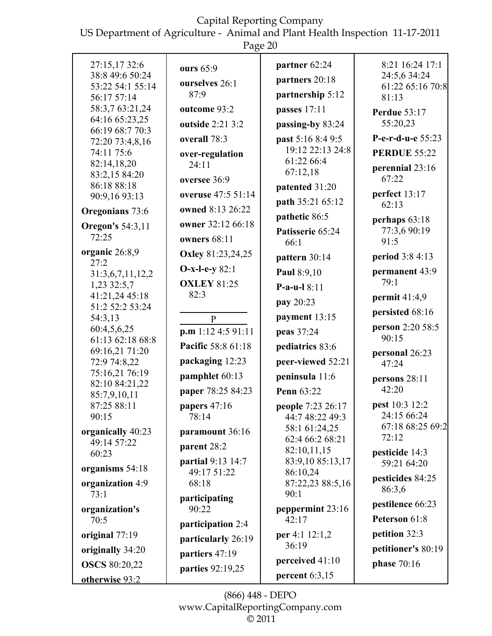US Department of Agriculture - Animal and Plant Health Inspection 11-17-2011

Page 20

|                                     | $\circ$                    |                                  |                                  |
|-------------------------------------|----------------------------|----------------------------------|----------------------------------|
| 27:15,1732:6                        | ours 65:9                  | partner 62:24                    | 8:21 16:24 17:1                  |
| 38:8 49:6 50:24<br>53:22 54:1 55:14 | ourselves 26:1             | partners 20:18                   | 24:5,6 34:24<br>61:22 65:16 70:8 |
| 56:17 57:14                         | 87:9                       | partnership 5:12                 | 81:13                            |
| 58:3,7 63:21,24                     | outcome 93:2               | passes 17:11                     | <b>Perdue 53:17</b>              |
| 64:16 65:23,25                      | outside 2:21 3:2           | passing-by 83:24                 | 55:20,23                         |
| 66:19 68:7 70:3<br>72:20 73:4,8,16  | overall 78:3               | past 5:16 8:4 9:5                | P-e-r-d-u-e 55:23                |
| 74:11 75:6                          | over-regulation            | 19:12 22:13 24:8                 | <b>PERDUE 55:22</b>              |
| 82:14,18,20                         | 24:11                      | 61:22 66:4                       | perennial 23:16                  |
| 83:2,15 84:20                       | oversee 36:9               | 67:12,18                         | 67:22                            |
| 86:18 88:18<br>90:9,16 93:13        | overuse 47:5 51:14         | patented 31:20                   | perfect 13:17                    |
| Oregonians 73:6                     | owned 8:13 26:22           | path 35:21 65:12                 | 62:13                            |
|                                     | owner 32:12 66:18          | pathetic 86:5                    | perhaps 63:18                    |
| <b>Oregon's 54:3,11</b><br>72:25    | owners $68:11$             | Patisserie 65:24                 | 77:3,6 90:19                     |
| organic 26:8,9                      |                            | 66:1                             | 91:5                             |
| 27:2                                | <b>Oxley</b> 81:23,24,25   | pattern 30:14                    | period 3:8 4:13                  |
| 31:3,6,7,11,12,2                    | $O-x-l-e-y82:1$            | Paul 8:9,10                      | permanent 43:9<br>79:1           |
| 1,23 32:5,7<br>41:21,24 45:18       | <b>OXLEY 81:25</b><br>82:3 | P-a-u-l $8:11$                   |                                  |
| 51:2 52:2 53:24                     |                            | pay 20:23                        | permit $41:4,9$                  |
| 54:3,13                             | $\mathbf{p}$               | payment 13:15                    | persisted 68:16                  |
| 60:4,5,6,25                         | p.m 1:12 4:5 91:11         | peas 37:24                       | person 2:20 58:5<br>90:15        |
| 61:13 62:18 68:8<br>69:16,21 71:20  | Pacific 58:8 61:18         | pediatrics 83:6                  | personal 26:23                   |
| 72:9 74:8,22                        | packaging 12:23            | peer-viewed 52:21                | 47:24                            |
| 75:16,21 76:19                      | pamphlet 60:13             | peninsula 11:6                   | persons 28:11                    |
| 82:10 84:21,22<br>85:7,9,10,11      | paper 78:25 84:23          | <b>Penn</b> 63:22                | 42:20                            |
| 87:25 88:11                         | papers $47:16$             | people 7:23 26:17                | pest 10:3 12:2                   |
| 90:15                               | 78:14                      | 44:7 48:22 49:3                  | 24:15 66:24                      |
| organically 40:23                   | paramount 36:16            | 58:1 61:24,25<br>62:4 66:2 68:21 | 67:18 68:25 69:2<br>72:12        |
| 49:14 57:22<br>60:23                | parent 28:2                | 82:10,11,15                      | pesticide 14:3                   |
|                                     | partial 9:13 14:7          | 83:9,10 85:13,17                 | 59:21 64:20                      |
| organisms 54:18                     | 49:17 51:22                | 86:10,24                         | pesticides 84:25                 |
| organization 4:9<br>73:1            | 68:18                      | 87:22,23 88:5,16<br>90:1         | 86:3,6                           |
| organization's                      | participating<br>90:22     | peppermint 23:16                 | pestilence 66:23                 |
| 70:5                                |                            | 42:17                            | Peterson 61:8                    |
| original 77:19                      | participation 2:4          | per 4:1 12:1,2                   | petition 32:3                    |
| originally 34:20                    | particularly 26:19         | 36:19                            | petitioner's 80:19               |
| <b>OSCS 80:20,22</b>                | partiers 47:19             | perceived 41:10                  | phase 70:16                      |
| otherwise 93:2                      | parties 92:19,25           | percent $6:3,15$                 |                                  |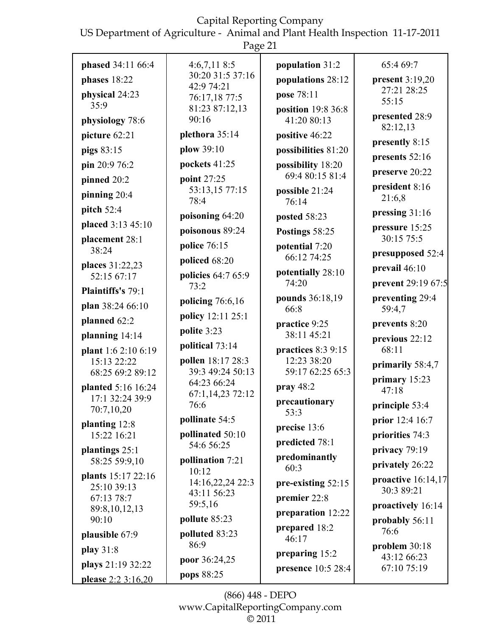US Department of Agriculture - Animal and Plant Health Inspection 11-17-2011  $P_{\text{A}}$ ge 21

|                                       | r age $21$                      |                                      |                           |
|---------------------------------------|---------------------------------|--------------------------------------|---------------------------|
| phased 34:11 66:4                     | 4:6,7,118:5                     | population 31:2                      | 65:4 69:7                 |
| phases 18:22                          | 30:20 31:5 37:16<br>42:9 74:21  | populations 28:12                    | present 3:19,20           |
| physical 24:23                        | 76:17,18 77:5                   | pose 78:11                           | 27:21 28:25<br>55:15      |
| 35:9                                  | 81:23 87:12,13                  | position 19:8 36:8                   | presented 28:9            |
| physiology 78:6                       | 90:16                           | 41:20 80:13                          | 82:12,13                  |
| picture 62:21                         | plethora 35:14                  | positive 46:22                       | presently 8:15            |
| pigs 83:15                            | plow 39:10                      | possibilities 81:20                  | presents 52:16            |
| pin 20:9 76:2                         | pockets 41:25                   | possibility 18:20<br>69:4 80:15 81:4 | preserve 20:22            |
| pinned 20:2                           | point 27:25<br>53:13,15 77:15   |                                      | president 8:16            |
| pinning 20:4                          | 78:4                            | possible 21:24<br>76:14              | 21:6,8                    |
| pitch 52:4                            | poisoning 64:20                 | posted 58:23                         | pressing 31:16            |
| placed 3:13 45:10                     | poisonous 89:24                 | Postings 58:25                       | pressure 15:25            |
| placement 28:1                        | police 76:15                    | potential 7:20                       | 30:15 75:5                |
| 38:24                                 | policed 68:20                   | 66:12 74:25                          | presupposed 52:4          |
| places 31:22,23<br>52:15 67:17        | policies 64:7 65:9              | potentially 28:10                    | prevail 46:10             |
| Plaintiffs's 79:1                     | 73:2                            | 74:20                                | prevent 29:19 67:5        |
| plan 38:24 66:10                      | policing $76:6,16$              | pounds 36:18,19<br>66:8              | preventing 29:4<br>59:4,7 |
| planned 62:2                          | policy 12:11 25:1               | practice 9:25                        | prevents 8:20             |
| planning 14:14                        | polite 3:23                     | 38:11 45:21                          | previous 22:12            |
| plant 1:6 2:10 6:19                   | political 73:14                 | practices $8:39:15$                  | 68:11                     |
| 15:13 22:22                           | pollen 18:17 28:3               | 12:23 38:20                          | primarily 58:4,7          |
| 68:25 69:2 89:12                      | 39:3 49:24 50:13<br>64:23 66:24 | 59:17 62:25 65:3                     | primary 15:23             |
| planted 5:16 16:24<br>17:1 32:24 39:9 | 67:1,14,23 72:12                | pray $48:2$                          | 47:18                     |
| 70:7,10,20                            | 76:6                            | precautionary<br>53:3                | principle 53:4            |
| planting 12:8                         | pollinate 54:5                  | precise 13:6                         | prior 12:4 16:7           |
| 15:22 16:21                           | pollinated 50:10                | predicted 78:1                       | priorities 74:3           |
| plantings 25:1                        | 54:6 56:25                      | predominantly                        | privacy 79:19             |
| 58:25 59:9,10                         | pollination 7:21<br>10:12       | 60:3                                 | privately 26:22           |
| plants 15:17 22:16<br>25:10 39:13     | 14:16,22,24 22:3                | pre-existing 52:15                   | proactive 16:14,17        |
| 67:13 78:7                            | 43:11 56:23                     | premier 22:8                         | 30:3 89:21                |
| 89:8, 10, 12, 13                      | 59:5,16                         | preparation 12:22                    | proactively 16:14         |
| 90:10                                 | pollute 85:23                   | prepared 18:2                        | probably 56:11<br>76:6    |
| plausible 67:9                        | polluted 83:23<br>86:9          | 46:17                                | problem $30:18$           |
| play 31:8                             | poor 36:24,25                   | preparing 15:2                       | 43:12 66:23               |
| plays 21:19 32:22                     | pops 88:25                      | presence 10:5 28:4                   | 67:10 75:19               |
| please 2:2 3:16,20                    |                                 |                                      |                           |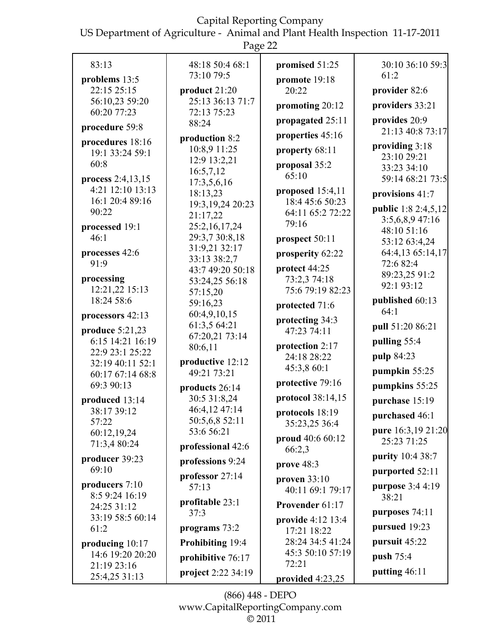US Department of Agriculture - Animal and Plant Health Inspection 11-17-2011

|                                 | Page 22                       |                           |                               |
|---------------------------------|-------------------------------|---------------------------|-------------------------------|
| 83:13                           | 48:18 50:4 68:1<br>73:10 79:5 | promised 51:25            | 30:10 36:10 59:3<br>61:2      |
| problems 13:5                   |                               | promote 19:18             |                               |
| 22:15 25:15                     | product 21:20                 | 20:22                     | provider 82:6                 |
| 56:10,23 59:20                  | 25:13 36:13 71:7              | promoting 20:12           | providers 33:21               |
| 60:20 77:23                     | 72:13 75:23                   | propagated 25:11          | provides 20:9                 |
| procedure 59:8                  | 88:24                         |                           | 21:13 40:8 73:17              |
| procedures 18:16                | production 8:2                | properties 45:16          |                               |
| 19:1 33:24 59:1                 | 10:8,9 11:25                  | property 68:11            | providing 3:18<br>23:10 29:21 |
| 60:8                            | 12:9 13:2,21                  | proposal 35:2             | 33:23 34:10                   |
| process 2:4,13,15               | 16:5,7,12                     | 65:10                     | 59:14 68:21 73:5              |
| 4:21 12:10 13:13                | 17:3,5,6,16                   | proposed $15:4,11$        |                               |
| 16:1 20:4 89:16                 | 18:13,23                      | 18:4 45:6 50:23           | provisions 41:7               |
| 90:22                           | 19:3, 19, 24 20: 23           | 64:11 65:2 72:22          | <b>public</b> 1:8 2:4,5,12    |
|                                 | 21:17,22                      | 79:16                     | 3:5,6,8,9 47:16               |
| processed 19:1                  | 25:2,16,17,24                 |                           | 48:10 51:16                   |
| 46:1                            | 29:3,7 30:8,18                | prospect 50:11            | 53:12 63:4,24                 |
| processes 42:6<br>91:9          | 31:9,21 32:17<br>33:13 38:2,7 | prosperity 62:22          | 64:4,13 65:14,17<br>72:6 82:4 |
|                                 | 43:7 49:20 50:18              | protect 44:25             | 89:23,25 91:2                 |
| processing                      | 53:24,25 56:18                | 73:2,3 74:18              | 92:1 93:12                    |
| 12:21,22 15:13                  | 57:15,20                      | 75:6 79:19 82:23          |                               |
| 18:24 58:6                      | 59:16,23                      | protected 71:6            | published 60:13               |
| processors 42:13                | 60:4,9,10,15                  | protecting 34:3           | 64:1                          |
| produce 5:21,23                 | 61:3,5 64:21                  | 47:23 74:11               | pull 51:20 86:21              |
| 6:15 14:21 16:19                | 67:20,21 73:14                |                           | pulling 55:4                  |
| 22:9 23:1 25:22                 | 80:6,11                       | protection 2:17           |                               |
| 32:19 40:11 52:1                | productive 12:12              | 24:18 28:22               | pulp 84:23                    |
| 60:17 67:14 68:8                | 49:21 73:21                   | 45:3,8 60:1               | pumpkin 55:25                 |
| 69:3 90:13                      | products 26:14                | protective 79:16          | pumpkins 55:25                |
| produced 13:14                  | 30:5 31:8,24                  | protocol 38:14,15         | purchase 15:19                |
| 38:17 39:12                     | 46:4,12 47:14                 | protocols 18:19           | purchased 46:1                |
| 57:22                           | 50:5,6,8 52:11                | 35:23,25 36:4             |                               |
| 60:12,19,24                     | 53:6 56:21                    | proud 40:6 60:12          | pure 16:3,19 21:20            |
| 71:3,4 80:24                    | professional 42:6             | 66:2,3                    | 25:23 71:25                   |
| producer 39:23                  | professions 9:24              | prove 48:3                | purity 10:4 38:7              |
| 69:10                           | professor 27:14               |                           | purported 52:11               |
| producers $7:10$                | 57:13                         | proven $33:10$            | purpose 3:4 4:19              |
| 8:5 9:24 16:19                  |                               | 40:11 69:1 79:17          | 38:21                         |
| 24:25 31:12                     | profitable 23:1               | Provender 61:17           |                               |
| 33:19 58:5 60:14                | 37:3                          | provide 4:12 13:4         | purposes 74:11                |
| 61:2                            | programs 73:2                 | 17:21 18:22               | pursued 19:23                 |
| producing $10:17$               | Prohibiting 19:4              | 28:24 34:5 41:24          | pursuit 45:22                 |
| 14:6 19:20 20:20<br>21:19 23:16 | prohibitive 76:17             | 45:3 50:10 57:19<br>72:21 | push 75:4                     |
| 25:4,25 31:13                   | project 2:22 34:19            |                           | putting 46:11                 |
|                                 |                               | provided 4:23,25          |                               |

(866) 448 - DEPO www.CapitalReportingCompany.com  $\overline{\circ}$  2011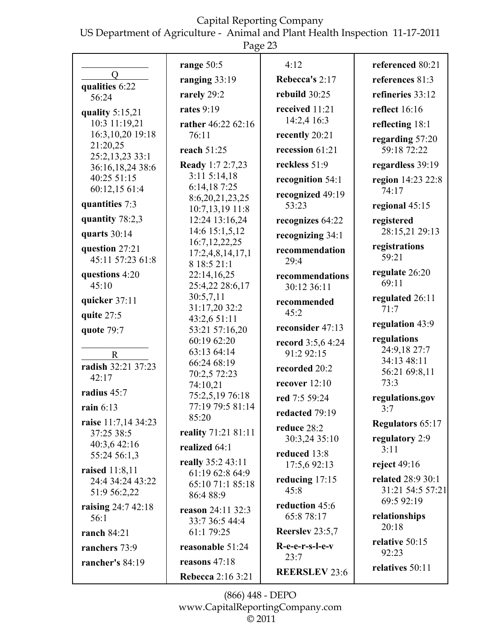US Department of Agriculture - Animal and Plant Health Inspection 11-17-2011

|                                    | Page 23                            |                                |                             |  |  |
|------------------------------------|------------------------------------|--------------------------------|-----------------------------|--|--|
|                                    | range 50:5                         | 4:12                           | referenced 80:21            |  |  |
| $\overline{Q}$<br>qualities 6:22   | ranging 33:19                      | Rebecca's 2:17                 | references 81:3             |  |  |
| 56:24                              | rarely 29:2                        | rebuild 30:25                  | refineries 33:12            |  |  |
| quality $5:15,21$                  | rates $9:19$                       | received 11:21                 | <b>reflect</b> 16:16        |  |  |
| 10:3 11:19,21                      | rather 46:22 62:16                 | 14:2,4 16:3                    | reflecting 18:1             |  |  |
| 16:3, 10, 20 19:18                 | 76:11                              | recently 20:21                 | regarding 57:20             |  |  |
| 21:20,25<br>25:2,13,23 33:1        | reach 51:25                        | recession $61:21$              | 59:18 72:22                 |  |  |
| 36:16,18,24 38:6                   | <b>Ready</b> 1:7 2:7,23            | reckless 51:9                  | regardless 39:19            |  |  |
| 40:25 51:15                        | 3:115:14,18                        | recognition 54:1               | region 14:23 22:8           |  |  |
| 60:12,15 61:4                      | 6:14,187:25                        | recognized 49:19               | 74:17                       |  |  |
| quantities 7:3                     | 8:6,20,21,23,25<br>10:7,13,19 11:8 | 53:23                          | regional 45:15              |  |  |
| quantity 78:2,3                    | 12:24 13:16,24                     | recognizes 64:22               | registered                  |  |  |
| quarts 30:14                       | 14:6 15:1,5,12                     | recognizing 34:1               | 28:15,21 29:13              |  |  |
|                                    | 16:7, 12, 22, 25                   |                                | registrations               |  |  |
| question 27:21<br>45:11 57:23 61:8 | 17:2,4,8,14,17,1                   | recommendation<br>29:4         | 59:21                       |  |  |
|                                    | 8 18:5 21:1                        |                                | regulate 26:20              |  |  |
| questions 4:20<br>45:10            | 22:14,16,25<br>25:4,22 28:6,17     | recommendations<br>30:12 36:11 | 69:11                       |  |  |
|                                    | 30:5,7,11                          |                                | regulated 26:11             |  |  |
| quicker 37:11                      | 31:17,20 32:2                      | recommended                    | 71:7                        |  |  |
| quite 27:5                         | 43:2,6 51:11                       | 45:2                           | regulation 43:9             |  |  |
| quote 79:7                         | 53:21 57:16,20                     | reconsider 47:13               |                             |  |  |
|                                    | 60:19 62:20                        | record 3:5,6 4:24              | regulations<br>24:9,18 27:7 |  |  |
| $\mathbf R$                        | 63:13 64:14                        | 91:2 92:15                     | 34:13 48:11                 |  |  |
| radish 32:21 37:23                 | 66:24 68:19<br>70:2,5 72:23        | recorded 20:2                  | 56:21 69:8,11               |  |  |
| 42:17                              | 74:10,21                           | recover $12:10$                | 73:3                        |  |  |
| radius 45:7                        | 75:2,5,19 76:18                    | red 7:5 59:24                  | regulations.gov             |  |  |
| rain $6:13$                        | 77:19 79:5 81:14                   | redacted 79:19                 | 3:7                         |  |  |
| raise 11:7,14 34:23                | 85:20                              | reduce 28:2                    | <b>Regulators 65:17</b>     |  |  |
| 37:25 38:5                         | reality 71:21 81:11                | 30:3,24 35:10                  | regulatory 2:9              |  |  |
| 40:3,6 42:16                       | realized 64:1                      | reduced 13:8                   | 3:11                        |  |  |
| 55:24 56:1,3                       | really 35:2 43:11                  | 17:5,6 92:13                   | reject $49:16$              |  |  |
| <b>raised</b> 11:8,11              | 61:19 62:8 64:9                    | reducing $17:15$               | <b>related 28:9 30:1</b>    |  |  |
| 24:4 34:24 43:22<br>51:9 56:2,22   | 65:10 71:1 85:18                   | 45:8                           | 31:21 54:5 57:21            |  |  |
|                                    | 86:4 88:9                          | reduction 45:6                 | 69:5 92:19                  |  |  |
| raising 24:7 42:18<br>56:1         | reason 24:11 32:3                  | 65:8 78:17                     | relationships               |  |  |
|                                    | 33:7 36:5 44:4                     |                                | 20:18                       |  |  |
| ranch 84:21                        | 61:1 79:25                         | Reerslev 23:5,7                | relative 50:15              |  |  |
| ranchers 73:9                      | reasonable 51:24                   | R-e-e-r-s-l-e-v<br>23:7        | 92:23                       |  |  |
| rancher's 84:19                    | reasons $47:18$                    |                                | relatives 50:11             |  |  |
|                                    | <b>Rebecca</b> 2:16 3:21           | <b>REERSLEV 23:6</b>           |                             |  |  |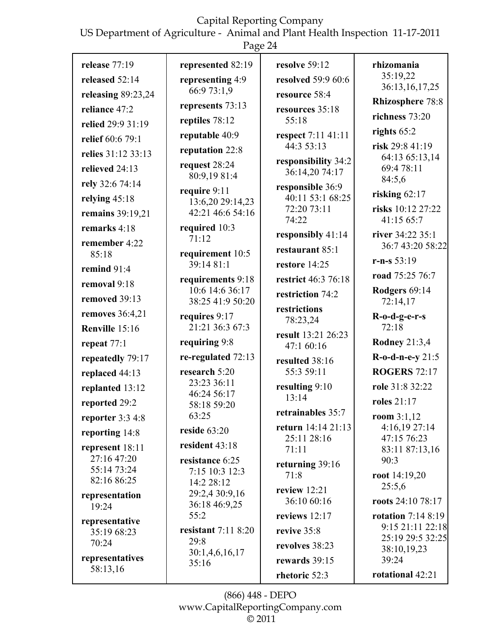US Department of Agriculture - Animal and Plant Health Inspection 11-17-2011

Page 24

| release 77:19               | represented 82:19                    | resolve 59:12                         | rhizomania                              |
|-----------------------------|--------------------------------------|---------------------------------------|-----------------------------------------|
| released 52:14              | representing 4:9                     | resolved 59:9 60:6                    | 35:19.22<br>36:13,16,17,25              |
| releasing 89:23,24          | 66:9 73:1,9                          | resource 58:4                         |                                         |
| reliance 47:2               | represents 73:13                     | resources 35:18                       | <b>Rhizosphere 78:8</b>                 |
| relied 29:9 31:19           | reptiles 78:12                       | 55:18                                 | richness 73:20                          |
| relief 60:6 79:1            | reputable 40:9                       | respect 7:11 41:11                    | rights $65:2$                           |
| relies 31:12 33:13          | reputation 22:8                      | 44:3 53:13                            | risk 29:8 41:19<br>64:13 65:13,14       |
| relieved 24:13              | request 28:24                        | responsibility 34:2<br>36:14,20 74:17 | 69:4 78:11                              |
| rely 32:6 74:14             | 80:9,19 81:4                         | responsible 36:9                      | 84:5,6                                  |
| relying $45:18$             | require 9:11<br>13:6,20 29:14,23     | 40:11 53:1 68:25                      | risking $62:17$                         |
| remains 39:19,21            | 42:21 46:6 54:16                     | 72:20 73:11                           | risks 10:12 27:22                       |
| remarks 4:18                | required 10:3                        | 74:22                                 | 41:15 65:7                              |
| remember 4:22               | 71:12                                | responsibly 41:14                     | river 34:22 35:1<br>36:7 43:20 58:22    |
| 85:18                       | requirement 10:5                     | restaurant 85:1                       | $r-n-s 53:19$                           |
| remind 91:4                 | 39:14 81:1                           | restore 14:25                         | road 75:25 76:7                         |
| removal 9:18                | requirements 9:18<br>10:6 14:6 36:17 | restrict 46:3 76:18                   | Rodgers 69:14                           |
| removed 39:13               | 38:25 41:9 50:20                     | restriction 74:2                      | 72:14,17                                |
| removes $36:4,21$           | requires 9:17                        | restrictions<br>78:23,24              | $R$ -o-d-g-e-r-s                        |
| Renville 15:16              | 21:21 36:3 67:3                      | result 13:21 26:23                    | 72:18                                   |
| repeat $77:1$               | requiring 9:8                        | 47:1 60:16                            | <b>Rodney 21:3,4</b>                    |
| repeatedly 79:17            | re-regulated 72:13                   | resulted 38:16                        | R-o-d-n-e-y 21:5                        |
| replaced 44:13              | research 5:20                        | 55:3 59:11                            | <b>ROGERS 72:17</b>                     |
| replanted 13:12             | 23:23 36:11<br>46:24 56:17           | resulting 9:10                        | role 31:8 32:22                         |
| reported 29:2               | 58:18 59:20                          | 13:14                                 | <b>roles</b> 21:17                      |
| reporter 3:3 4:8            | 63:25                                | retrainables 35:7                     | room $3:1,12$                           |
| reporting 14:8              | reside $63:20$                       | return 14:14 21:13<br>25:11 28:16     | 4:16,19 27:14<br>47:15 76:23            |
| represent 18:11             | resident 43:18                       | 71:11                                 | 83:11 87:13,16                          |
| 27:16 47:20<br>55:14 73:24  | resistance 6:25                      | returning 39:16                       | 90:3                                    |
| 82:16 86:25                 | 7:15 10:3 12:3<br>14:2 28:12         | 71:8                                  | root $14:19,20$                         |
| representation              | 29:2,4 30:9,16                       | review $12:21$                        | 25:5,6                                  |
| 19:24                       | 36:18 46:9,25                        | 36:10 60:16                           | roots 24:10 78:17                       |
| representative              | 55:2                                 | reviews $12:17$                       | rotation $7:148:19$<br>9:15 21:11 22:18 |
| 35:19 68:23                 | resistant $7:118:20$<br>29:8         | revive 35:8                           | 25:19 29:5 32:25                        |
| 70:24                       | 30:1,4,6,16,17                       | revolves 38:23                        | 38:10,19,23                             |
| representatives<br>58:13,16 | 35:16                                | rewards 39:15                         | 39:24                                   |
|                             |                                      | rhetoric 52:3                         | rotational 42:21                        |

(866) 448 - DEPO www.CapitalReportingCompany.com  $\overline{\circ}$  2011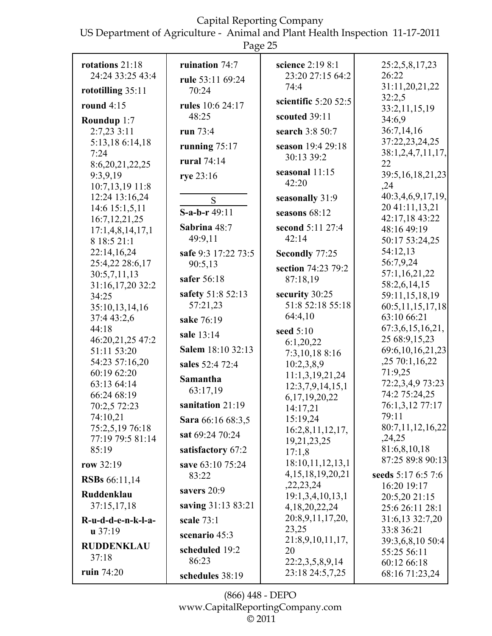US Department of Agriculture - Animal and Plant Health Inspection 11-17-2011 Page 25

| rotations 21:18                 | ruination $74:7$    | science 2:19 8:1                    | 25:2,5,8,17,23                        |
|---------------------------------|---------------------|-------------------------------------|---------------------------------------|
| 24:24 33:25 43:4                | rule 53:11 69:24    | 23:20 27:15 64:2                    | 26:22                                 |
| rototilling $35:11$             | 70:24               | 74:4                                | 31:11,20,21,22                        |
| round $4:15$                    | rules 10:6 24:17    | scientific $5:20$ 52:5              | 32:2,5                                |
|                                 | 48:25               | scouted 39:11                       | 33:2,11,15,19                         |
| Roundup 1:7                     |                     |                                     | 34:6,9<br>36:7,14,16                  |
| 2:7,23 3:11                     | run 73:4            | search 3:8 50:7                     | 37:22,23,24,25                        |
| 5:13,18 6:14,18<br>7:24         | running $75:17$     | season 19:4 29:18                   | 38:1,2,4,7,11,17,                     |
| 8:6,20,21,22,25                 | <b>rural</b> 74:14  | 30:13 39:2                          | 22                                    |
| 9:3,9,19                        | rye 23:16           | seasonal 11:15                      | 39:5, 16, 18, 21, 23                  |
| 10:7,13,19 11:8                 |                     | 42:20                               | , 24                                  |
| 12:24 13:16,24                  | S                   | seasonally 31:9                     | 40:3,4,6,9,17,19,                     |
| 14:6 15:1,5,11                  | S-a-b-r 49:11       | seasons $68:12$                     | 20 41:11,13,21                        |
| 16:7, 12, 21, 25                | Sabrina 48:7        | second 5:11 27:4                    | 42:17,18 43:22<br>48:16 49:19         |
| 17:1,4,8,14,17,1<br>8 18:5 21:1 | 49:9,11             | 42:14                               | 50:17 53:24,25                        |
| 22:14,16,24                     | safe 9:3 17:22 73:5 |                                     | 54:12,13                              |
| 25:4,22 28:6,17                 | 90:5,13             | Secondly 77:25                      | 56:7,9,24                             |
| 30:5,7,11,13                    |                     | section 74:23 79:2                  | 57:1,16,21,22                         |
| 31:16,17,20 32:2                | safer 56:18         | 87:18,19                            | 58:2,6,14,15                          |
| 34:25                           | safety 51:8 52:13   | security 30:25                      | 59:11,15,18,19                        |
| 35:10,13,14,16                  | 57:21,23            | 51:8 52:18 55:18                    | 60:5,11,15,17,18                      |
| 37:4 43:2,6                     | sake 76:19          | 64:4,10                             | 63:10 66:21                           |
| 44:18                           | sale 13:14          | seed 5:10                           | 67:3,6,15,16,21,                      |
| 46:20,21,25 47:2<br>51:11 53:20 | Salem 18:10 32:13   | 6:1,20,22                           | 25 68:9,15,23<br>69:6, 10, 16, 21, 23 |
| 54:23 57:16,20                  |                     | 7:3,10,18 8:16                      | ,25 70:1,16,22                        |
| 60:19 62:20                     | sales 52:4 72:4     | 10:2,3,8,9                          | 71:9,25                               |
| 63:13 64:14                     | Samantha            | 11:1,3,19,21,24<br>12:3,7,9,14,15,1 | 72:2,3,4,9 73:23                      |
| 66:24 68:19                     | 63:17,19            | 6,17,19,20,22                       | 74:2 75:24,25                         |
| 70:2,5 72:23                    | sanitation 21:19    | 14:17,21                            | 76:1,3,12 77:17                       |
| 74:10,21                        | Sara 66:16 68:3,5   | 15:19,24                            | 79:11                                 |
| 75:2,5,19 76:18                 | sat 69:24 70:24     | 16:2,8,11,12,17,                    | 80:7,11,12,16,22                      |
| 77:19 79:5 81:14<br>85:19       |                     | 19,21,23,25                         | ,24,25<br>81:6,8,10,18                |
|                                 | satisfactory 67:2   | 17:1,8                              | 87:25 89:8 90:13                      |
| row 32:19                       | save 63:10 75:24    | 18:10,11,12,13,1                    |                                       |
| <b>RSBs</b> 66:11,14            | 83:22               | 4, 15, 18, 19, 20, 21<br>,22,23,24  | seeds 5:17 6:5 7:6<br>16:20 19:17     |
| Ruddenklau                      | savers $20:9$       | 19:1,3,4,10,13,1                    | 20:5,20 21:15                         |
| 37:15,17,18                     | saving 31:13 83:21  | 4, 18, 20, 22, 24                   | 25:6 26:11 28:1                       |
| R-u-d-d-e-n-k-l-a-              | scale $73:1$        | 20:8,9,11,17,20,                    | 31:6,13 32:7,20                       |
| $u$ 37:19                       | scenario 45:3       | 23,25                               | 33:8 36:21                            |
| <b>RUDDENKLAU</b>               |                     | 21:8,9,10,11,17,                    | 39:3,6,8,10 50:4                      |
| 37:18                           | scheduled 19:2      | 20                                  | 55:25 56:11                           |
|                                 | 86:23               | 22:2,3,5,8,9,14                     | 60:12 66:18                           |
| ruin $74:20$                    | schedules 38:19     | 23:18 24:5,7,25                     | 68:16 71:23,24                        |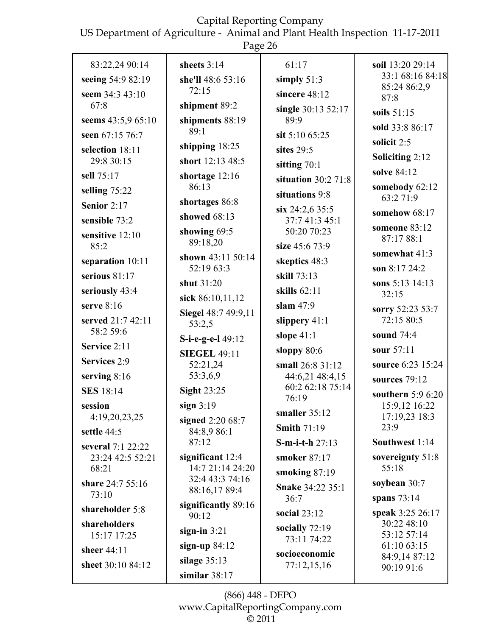US Department of Agriculture - Animal and Plant Health Inspection 11-17-2011

|                                | Page 26                          |                                     |                                      |
|--------------------------------|----------------------------------|-------------------------------------|--------------------------------------|
| 83:22,24 90:14                 | sheets $3:14$                    | 61:17                               | soil 13:20 29:14<br>33:1 68:16 84:18 |
| seeing 54:9 82:19              | she'll 48:6 53:16<br>72:15       | simply $51:3$                       | 85:24 86:2,9                         |
| seem 34:3 43:10<br>67:8        |                                  | sincere 48:12                       | 87:8                                 |
|                                | shipment 89:2                    | single 30:13 52:17                  | soils $51:15$                        |
| seems 43:5,9 65:10             | shipments 88:19<br>89:1          | 89:9                                | sold 33:8 86:17                      |
| seen 67:15 76:7                | shipping 18:25                   | sit 5:10 65:25                      | solicit 2:5                          |
| selection 18:11<br>29:8 30:15  | short 12:13 48:5                 | sites $29:5$                        | <b>Soliciting 2:12</b>               |
| sell 75:17                     | shortage $12:16$                 | sitting 70:1                        | solve 84:12                          |
|                                | 86:13                            | situation $30:2$ 71:8               | somebody 62:12                       |
| selling $75:22$                | shortages 86:8                   | situations 9:8                      | 63:2 71:9                            |
| Senior $2:17$                  | showed $68:13$                   | $\sin 24:2,635:5$                   | somehow 68:17                        |
| sensible 73:2                  | showing 69:5                     | 37:7 41:3 45:1<br>50:20 70:23       | someone 83:12                        |
| sensitive 12:10<br>85:2        | 89:18,20                         | size 45:6 73:9                      | 87:17 88:1                           |
| separation 10:11               | shown 43:11 50:14                | skeptics 48:3                       | somewhat 41:3                        |
| serious $81:17$                | 52:19 63:3                       | skill 73:13                         | son 8:17 24:2                        |
| seriously 43:4                 | shut 31:20                       | skills $62:11$                      | sons 5:13 14:13                      |
| serve $8:16$                   | sick 86:10,11,12                 | slam $47:9$                         | 32:15                                |
|                                | Siegel 48:7 49:9,11              |                                     | sorry 52:23 53:7<br>72:15 80:5       |
| served 21:7 42:11<br>58:2 59:6 | 53:2,5                           | slippery 41:1                       |                                      |
| Service 2:11                   | S-i-e-g-e-l 49:12                | slope $41:1$                        | sound 74:4                           |
| Services 2:9                   | <b>SIEGEL 49:11</b>              | sloppy $80:6$                       | sour 57:11                           |
| serving $8:16$                 | 52:21,24<br>53:3,6,9             | small 26:8 31:12<br>44:6,21 48:4,15 | source 6:23 15:24                    |
| <b>SES</b> 18:14               | <b>Sight 23:25</b>               | 60:2 62:18 75:14                    | sources 79:12                        |
|                                |                                  | 76:19                               | southern $5:96:20$                   |
| session<br>4:19,20,23,25       | sign $3:19$                      | smaller 35:12                       | 15:9,12 16:22<br>17:19,23 18:3       |
| settle 44:5                    | signed 2:20 68:7<br>84:8,9 86:1  | <b>Smith 71:19</b>                  | 23:9                                 |
| several 7:1 22:22              | 87:12                            | $S$ -m-i-t-h 27:13                  | Southwest 1:14                       |
| 23:24 42:5 52:21               | significant $12:4$               | smoker 87:17                        | sovereignty 51:8                     |
| 68:21                          | 14:7 21:14 24:20                 | smoking $87:19$                     | 55:18                                |
| share 24:7 55:16               | 32:4 43:3 74:16<br>88:16,17 89:4 | <b>Snake 34:22 35:1</b>             | soybean $30:7$                       |
| 73:10                          |                                  | 36:7                                | spans $73:14$                        |
| shareholder 5:8                | significantly 89:16<br>90:12     | social $23:12$                      | speak 3:25 26:17                     |
| shareholders                   | sign-in $3:21$                   | socially $72:19$                    | 30:22 48:10                          |
| 15:17 17:25                    | sign-up $84:12$                  | 73:11 74:22                         | 53:12 57:14<br>61:10 63:15           |
| sheer 44:11                    | silage $35:13$                   | socioeconomic                       | 84:9,14 87:12                        |
| sheet 30:10 84:12              | similar $38:17$                  | 77:12,15,16                         | 90:19 91:6                           |
|                                |                                  |                                     |                                      |

(866) 448 - DEPO www.CapitalReportingCompany.com  $\overline{\circ}$  2011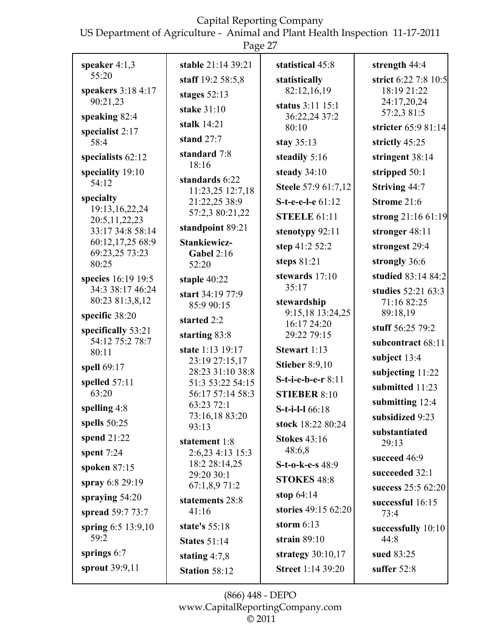US Department of Agriculture - Animal and Plant Health Inspection 11-17-2011

|                                       | Page 27                            |                                 |                                      |
|---------------------------------------|------------------------------------|---------------------------------|--------------------------------------|
| speaker $4:1,3$                       | stable 21:14 39:21                 | statistical 45:8                | strength 44:4                        |
| 55:20                                 | staff 19:2 58:5,8                  | statistically                   | strict 6:22 7:8 10:5                 |
| speakers 3:18 4:17                    | stages $52:13$                     | 82:12,16,19                     | 18:19 21:22                          |
| 90:21,23                              | stake 31:10                        | status 3:11 15:1                | 24:17,20,24<br>57:2,3 81:5           |
| speaking $82:4$                       | stalk 14:21                        | 36:22,24 37:2<br>80:10          | stricter 65:9 81:14                  |
| specialist 2:17<br>58:4               | stand $27:7$                       | stay $35:13$                    | strictly 45:25                       |
| specialists $62:12$                   | standard 7:8                       | steadily 5:16                   | stringent 38:14                      |
| speciality 19:10                      | 18:16                              | steady 34:10                    | stripped 50:1                        |
| 54:12                                 | standards 6:22<br>11:23,25 12:7,18 | Steele 57:9 61:7,12             | <b>Striving 44:7</b>                 |
| specialty                             | 21:22,25 38:9                      | S-t-e-e-l-e 61:12               | Strome 21:6                          |
| 19:13, 16, 22, 24<br>20:5, 11, 22, 23 | 57:2,3 80:21,22                    | <b>STEELE 61:11</b>             | strong 21:16 61:19                   |
| 33:17 34:8 58:14                      | standpoint 89:21                   | stenotypy 92:11                 | stronger 48:11                       |
| 60:12,17,25 68:9                      | <b>Stankiewicz-</b>                | step 41:2 52:2                  | strongest 29:4                       |
| 69:23,25 73:23<br>80:25               | <b>Gabel 2:16</b><br>52:20         | steps $81:21$                   | strongly 36:6                        |
| species 16:19 19:5                    | staple 40:22                       | stewards 17:10                  | studied 83:14 84:2                   |
| 34:3 38:17 46:24                      | start 34:19 77:9                   | 35:17                           | studies 52:21 63:3                   |
| 80:23 81:3,8,12                       | 85:9 90:15                         | stewardship                     | 71:16 82:25                          |
| specific 38:20                        | started 2:2                        | 9:15,18 13:24,25<br>16:17 24:20 | 89:18,19                             |
| specifically 53:21<br>54:12 75:2 78:7 | starting 83:8                      | 29:22 79:15                     | stuff 56:25 79:2                     |
| 80:11                                 | state 1:13 19:17                   | Stewart 1:13                    | subcontract 68:11                    |
| spell 69:17                           | 23:19 27:15,17<br>28:23 31:10 38:8 | <b>Stieber 8:9,10</b>           | subject 13:4<br>subjecting 11:22     |
| spelled $57:11$                       | 51:3 53:22 54:15                   | S-t-i-e-b-e-r 8:11              | submitted 11:23                      |
| 63:20                                 | 56:17 57:14 58:3                   | <b>STIEBER 8:10</b>             |                                      |
| spelling 4:8                          | 63:23 72:1<br>73:16,18 83:20       | S-t-i-l-1 66:18                 | submitting $12:4$<br>subsidized 9:23 |
| spells $50:25$                        | 93:13                              | stock 18:22 80:24               | substantiated                        |
| spend $21:22$                         | statement 1:8                      | <b>Stokes</b> 43:16             | 29:13                                |
| spent $7:24$                          | 2:6,23 4:13 15:3                   | 48:6,8                          | succeed 46:9                         |
| spoken $87:15$                        | 18:2 28:14,25<br>29:20 30:1        | S-t-o-k-e-s 48:9                | succeeded 32:1                       |
| spray 6:8 29:19                       | 67:1,8,9 71:2                      | <b>STOKES 48:8</b>              | success 25:5 62:20                   |
| spraying $54:20$                      | statements 28:8                    | stop $64:14$                    | successful 16:15                     |
| spread 59:7 73:7                      | 41:16                              | stories 49:15 62:20             | 73:4                                 |
| spring 6:5 13:9,10                    | state's 55:18                      | storm $6:13$                    | successfully 10:10                   |
| 59:2                                  | <b>States 51:14</b>                | strain $89:10$                  | 44:8                                 |
| springs $6:7$                         | stating $4:7,8$                    | strategy $30:10,17$             | sued 83:25                           |
| sprout 39:9,11                        | <b>Station 58:12</b>               | <b>Street 1:14 39:20</b>        | suffer $52:8$                        |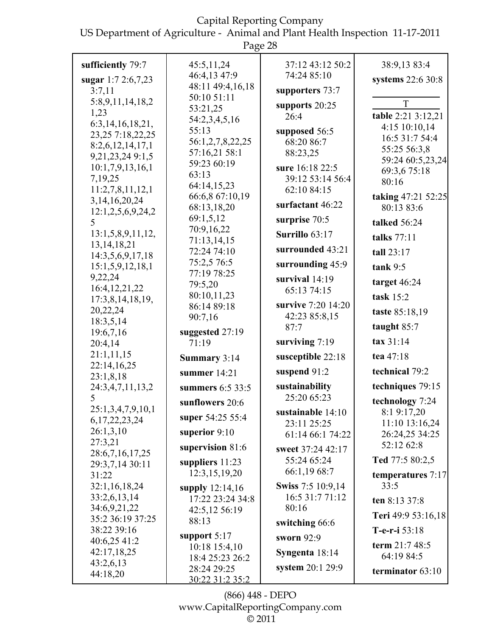US Department of Agriculture - Animal and Plant Health Inspection 11-17-2011

|                                        | Page 28                         |                                     |                              |
|----------------------------------------|---------------------------------|-------------------------------------|------------------------------|
| sufficiently 79:7                      | 45:5,11,24                      | 37:12 43:12 50:2                    | 38:9,13 83:4                 |
| sugar $1:72:6,7,23$                    | 46:4,13 47:9                    | 74:24 85:10                         | systems 22:6 30:8            |
| 3:7,11                                 | 48:11 49:4,16,18                | supporters 73:7                     |                              |
| 5:8,9,11,14,18,2                       | 50:10 51:11                     | supports 20:25                      | T                            |
| 1,23                                   | 53:21,25                        | 26:4                                | table 2:21 3:12,21           |
| 6:3, 14, 16, 18, 21,                   | 54:2,3,4,5,16                   |                                     | 4:15 10:10,14                |
| 23,25 7:18,22,25                       | 55:13                           | supposed 56:5                       | 16:5 31:7 54:4               |
| 8:2,6,12,14,17,1                       | 56:1,2,7,8,22,25                | 68:20 86:7                          | 55:25 56:3,8                 |
| 9,21,23,24 9:1,5                       | 57:16,21 58:1<br>59:23 60:19    | 88:23,25                            | 59:24 60:5,23,24             |
| 10:1,7,9,13,16,1                       | 63:13                           | sure 16:18 22:5                     | 69:3,6 75:18                 |
| 7,19,25                                | 64:14,15,23                     | 39:12 53:14 56:4                    | 80:16                        |
| 11:2,7,8,11,12,1                       | 66:6,8 67:10,19                 | 62:10 84:15                         | taking 47:21 52:25           |
| 3, 14, 16, 20, 24                      | 68:13,18,20                     | surfactant 46:22                    | 80:13 83:6                   |
| 12:1,2,5,6,9,24,2<br>5                 | 69:1,5,12                       | surprise 70:5                       | talked 56:24                 |
| 13:1,5,8,9,11,12,                      | 70:9,16,22                      | Surrillo $63:17$                    |                              |
| 13, 14, 18, 21                         | 71:13,14,15                     | surrounded 43:21                    | talks 77:11                  |
| 14:3,5,6,9,17,18                       | 72:24 74:10<br>75:2,5 76:5      |                                     | tall 23:17                   |
| 15:1,5,9,12,18,1                       | 77:19 78:25                     | surrounding $45:9$                  | tank 9:5                     |
| 9,22,24<br>16:4, 12, 21, 22            | 79:5,20                         | survival $14:19$<br>65:13 74:15     | target $46:24$               |
| 17:3,8,14,18,19,                       | 80:10,11,23                     |                                     | task $15:2$                  |
| 20,22,24                               | 86:14 89:18                     | survive 7:20 14:20<br>42:23 85:8,15 | taste 85:18,19               |
| 18:3,5,14                              | 90:7,16                         | 87:7                                | taught $85:7$                |
| 19:6,7,16                              | suggested 27:19                 |                                     | tax 31:14                    |
| 20:4,14<br>21:1,11,15                  | 71:19                           | surviving $7:19$                    |                              |
| 22:14,16,25                            | Summary 3:14                    | susceptible 22:18                   | tea 47:18                    |
| 23:1,8,18                              | summer $14:21$                  | suspend 91:2                        | technical 79:2               |
| 24:3,4,7,11,13,2                       | summers 6:5 33:5                | sustainability                      | techniques 79:15             |
| $5^{\circ}$                            | sunflowers $20:6$               | 25:20 65:23                         | technology 7:24              |
| 25:1,3,4,7,9,10,1<br>6, 17, 22, 23, 24 | super 54:25 55:4                | sustainable 14:10                   | 8:1 9:17,20                  |
| 26:1,3,10                              | superior $9:10$                 | 23:11 25:25                         | 11:10 13:16,24               |
| 27:3,21                                |                                 | 61:14 66:1 74:22                    | 26:24,25 34:25<br>52:12 62:8 |
| 28:6,7,16,17,25                        | supervision 81:6                | sweet 37:24 42:17                   |                              |
| 29:3,7,14 30:11                        | suppliers $11:23$               | 55:24 65:24                         | Ted 77:5 80:2,5              |
| 31:22                                  | 12:3,15,19,20                   | 66:1,19 68:7                        | temperatures 7:17            |
| 32:1,16,18,24                          | supply 12:14,16                 | <b>Swiss</b> 7:5 10:9,14            | 33:5                         |
| 33:2,6,13,14                           | 17:22 23:24 34:8                | 16:5 31:7 71:12                     | ten 8:13 37:8                |
| 34:6,9,21,22<br>35:2 36:19 37:25       | 42:5,12 56:19<br>88:13          | 80:16                               | Teri 49:9 53:16,18           |
| 38:22 39:16                            |                                 | switching 66:6                      | T-e-r-i $53:18$              |
| 40:6,25 41:2                           | support $5:17$<br>10:18 15:4,10 | sworn 92:9                          | term 21:7 48:5               |
| 42:17,18,25                            | 18:4 25:23 26:2                 | Syngenta 18:14                      | 64:19 84:5                   |
| 43:2,6,13                              | 28:24 29:25                     | system $20:1$ 29:9                  | terminator $63:10$           |
| 44:18,20                               | <u>30:22 31:2 35:2</u>          |                                     |                              |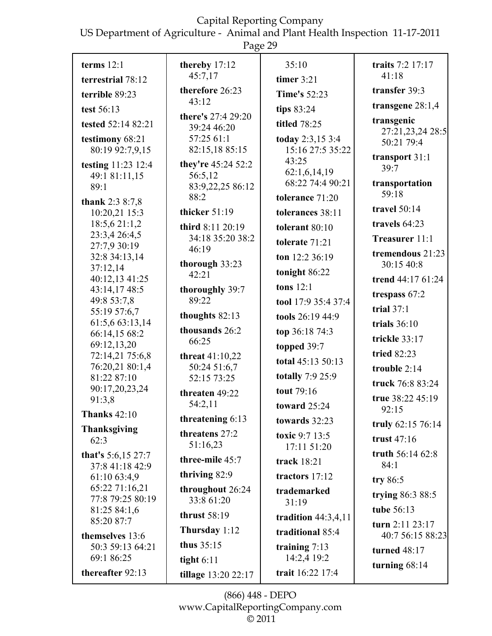US Department of Agriculture - Animal and Plant Health Inspection 11-17-2011

|                                             | Page 29                                           |                                           |                                          |
|---------------------------------------------|---------------------------------------------------|-------------------------------------------|------------------------------------------|
| terms $12:1$<br>terrestrial 78:12           | thereby 17:12<br>45:7,17                          | 35:10<br>timer $3:21$                     | traits 7:2 17:17<br>41:18                |
| terrible 89:23                              | therefore 26:23                                   | <b>Time's 52:23</b>                       | transfer 39:3                            |
| test 56:13                                  | 43:12                                             | tips 83:24                                | transgene $28:1,4$                       |
| tested 52:14 82:21                          | there's 27:4 29:20<br>39:24 46:20                 | titled 78:25                              | transgenic<br>27:21,23,24 28:5           |
| testimony 68:21<br>80:19 92:7,9,15          | 57:25 61:1<br>82:15,18 85:15                      | today 2:3,15 3:4<br>15:16 27:5 35:22      | 50:21 79:4                               |
| testing 11:23 12:4<br>49:1 81:11,15<br>89:1 | they're 45:24 52:2<br>56:5,12<br>83:9,22,25 86:12 | 43:25<br>62:1,6,14,19<br>68:22 74:4 90:21 | transport 31:1<br>39:7<br>transportation |
| thank $2:38:7,8$                            | 88:2                                              | tolerance 71:20                           | 59:18                                    |
| 10:20,21 15:3                               | thicker 51:19                                     | tolerances 38:11                          | travel $50:14$                           |
| 18:5,6 21:1,2<br>23:3,4 26:4,5              | third 8:11 20:19                                  | tolerant 80:10                            | travels 64:23                            |
| 27:7,9 30:19                                | 34:18 35:20 38:2<br>46:19                         | tolerate 71:21                            | Treasurer 11:1                           |
| 32:8 34:13,14<br>37:12,14                   | thorough 33:23                                    | ton $12:236:19$<br>tonight 86:22          | tremendous 21:23<br>30:15 40:8           |
| 40:12,13 41:25                              | 42:21                                             | tons $12:1$                               | trend 44:17 61:24                        |
| 43:14,17 48:5<br>49:8 53:7,8                | thoroughly 39:7<br>89:22                          | tool 17:9 35:4 37:4                       | trespass 67:2                            |
| 55:19 57:6,7                                | thoughts 82:13                                    | tools 26:19 44:9                          | trial $37:1$                             |
| 61:5,6 63:13,14                             | thousands 26:2                                    | top 36:18 74:3                            | trials $36:10$                           |
| 66:14,15 68:2<br>69:12,13,20                | 66:25                                             | topped $39:7$                             | trickle 33:17                            |
| 72:14,21 75:6,8                             | threat $41:10,22$                                 | total 45:13 50:13                         | tried 82:23                              |
| 76:20,21 80:1,4                             | 50:24 51:6,7                                      | totally 7:9 25:9                          | trouble $2:14$                           |
| 81:22 87:10<br>90:17,20,23,24               | 52:15 73:25                                       | tout 79:16                                | truck 76:8 83:24                         |
| 91:3.8                                      | threaten 49:22<br>54:2,11                         | toward $25:24$                            | true 38:22 45:19<br>92:15                |
| <b>Thanks 42:10</b>                         | threatening $6:13$                                | towards 32:23                             | truly 62:15 76:14                        |
| <b>Thanksgiving</b><br>62:3                 | threatens 27:2<br>51:16,23                        | toxic 9:7 13:5<br>17:11 51:20             | trust $47:16$                            |
| that's $5:6,15$ 27:7<br>37:8 41:18 42:9     | three-mile 45:7                                   | track 18:21                               | truth 56:14 62:8<br>84:1                 |
| 61:10 63:4,9                                | thriving 82:9                                     | tractors $17:12$                          | try 86:5                                 |
| 65:22 71:16,21<br>77:8 79:25 80:19          | throughout 26:24<br>33:8 61:20                    | trademarked<br>31:19                      | trying 86:3 88:5                         |
| 81:25 84:1,6<br>85:20 87:7                  | thrust $58:19$                                    | tradition $44:3,4,11$                     | tube 56:13                               |
| themselves 13:6                             | Thursday 1:12                                     | traditional 85:4                          | turn $2:11$ $23:17$<br>40:7 56:15 88:23  |
| 50:3 59:13 64:21                            | thus $35:15$                                      | training $7:13$                           | <b>turned</b> 48:17                      |
| 69:1 86:25                                  | tight $6:11$                                      | 14:2,4 19:2                               | turning $68:14$                          |
| thereafter 92:13                            | tillage 13:20 22:17                               | trait 16:22 17:4                          |                                          |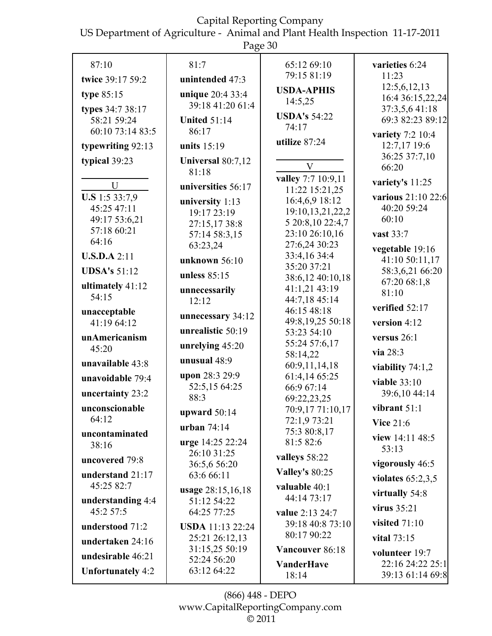US Department of Agriculture - Animal and Plant Health Inspection 11-17-2011

Page 30

|                           | $1 \mu$ ge oo                 |                                      |                     |
|---------------------------|-------------------------------|--------------------------------------|---------------------|
| 87:10                     | 81:7                          | 65:12 69:10                          | varieties 6:24      |
| twice 39:17 59:2          | unintended 47:3               | 79:15 81:19                          | 11:23               |
|                           |                               | <b>USDA-APHIS</b>                    | 12:5,6,12,13        |
| type $85:15$              | unique 20:4 33:4              | 14:5,25                              | 16:4 36:15,22,24    |
| types 34:7 38:17          | 39:18 41:20 61:4              |                                      | 37:3,5,6 41:18      |
| 58:21 59:24               | <b>United 51:14</b>           | <b>USDA's 54:22</b>                  | 69:3 82:23 89:12    |
| 60:10 73:14 83:5          | 86:17                         | 74:17                                | variety 7:2 10:4    |
| typewriting 92:13         | units $15:19$                 | utilize 87:24                        | 12:7,17 19:6        |
| typical 39:23             | Universal 80:7,12             |                                      | 36:25 37:7,10       |
|                           | 81:18                         | V                                    | 66:20               |
| U                         | universities 56:17            | valley 7:7 10:9,11<br>11:22 15:21,25 | variety's 11:25     |
| <b>U.S</b> 1:5 33:7,9     | university 1:13               | 16:4,6,9 18:12                       | various 21:10 22:6  |
| 45:25 47:11               | 19:17 23:19                   | 19:10,13,21,22,2                     | 40:20 59:24         |
| 49:17 53:6,21             | 27:15,17 38:8                 | 5 20:8,10 22:4,7                     | 60:10               |
| 57:18 60:21               | 57:14 58:3,15                 | 23:10 26:10,16                       | vast 33:7           |
| 64:16                     | 63:23,24                      | 27:6,24 30:23                        | vegetable 19:16     |
| U.S.D.A 2:11              | unknown 56:10                 | 33:4,16 34:4                         | 41:10 50:11,17      |
| <b>UDSA's 51:12</b>       |                               | 35:20 37:21                          | 58:3,6,21 66:20     |
|                           | unless $85:15$                | 38:6,12 40:10,18                     | 67:20 68:1,8        |
| ultimately 41:12<br>54:15 | unnecessarily                 | 41:1,21 43:19                        | 81:10               |
|                           | 12:12                         | 44:7,18 45:14                        | verified 52:17      |
| unacceptable              | unnecessary 34:12             | 46:15 48:18<br>49:8,19,25 50:18      |                     |
| 41:19 64:12               | unrealistic 50:19             | 53:23 54:10                          | version 4:12        |
| unAmericanism             |                               | 55:24 57:6,17                        | versus $26:1$       |
| 45:20                     | unrelying $45:20$             | 58:14,22                             | via 28:3            |
| unavailable 43:8          | unusual $48:9$                | 60:9,11,14,18                        | viability $74:1,2$  |
| unavoidable 79:4          | upon 28:3 29:9                | 61:4,14 65:25                        | viable $33:10$      |
| uncertainty 23:2          | 52:5,15 64:25                 | 66:9 67:14                           | 39:6,10 44:14       |
| unconscionable            | 88:3                          | 69:22,23,25                          | vibrant $51:1$      |
| 64:12                     | upward 50:14                  | 70:9,17 71:10,17<br>72:1,9 73:21     |                     |
|                           | urban $74:14$                 | 75:3 80:8,17                         | <b>Vice 21:6</b>    |
| uncontaminated<br>38:16   | <b>urge</b> 14:25 22:24       | 81:5 82:6                            | view 14:11 48:5     |
|                           | 26:10 31:25                   | valleys 58:22                        | 53:13               |
| uncovered 79:8            | 36:5,6 56:20                  |                                      | vigorously 46:5     |
| understand 21:17          | 63:6 66:11                    | <b>Valley's 80:25</b>                | violates $65:2,3,5$ |
| 45:25 82:7                | usage 28:15,16,18             | valuable 40:1                        | virtually 54:8      |
| understanding 4:4         | 51:12 54:22                   | 44:14 73:17                          |                     |
| 45:2 57:5                 | 64:25 77:25                   | value 2:13 24:7                      | virus $35:21$       |
| understood 71:2           | <b>USDA</b> 11:13 22:24       | 39:18 40:8 73:10                     | visited $71:10$     |
| undertaken 24:16          | 25:21 26:12,13                | 80:17 90:22                          | vital 73:15         |
| undesirable 46:21         | 31:15,25 50:19<br>52:24 56:20 | Vancouver 86:18                      | volunteer 19:7      |
| <b>Unfortunately 4:2</b>  | 63:12 64:22                   | <b>VanderHave</b>                    | 22:16 24:22 25:1    |
|                           |                               | 18:14                                | 39:13 61:14 69:8    |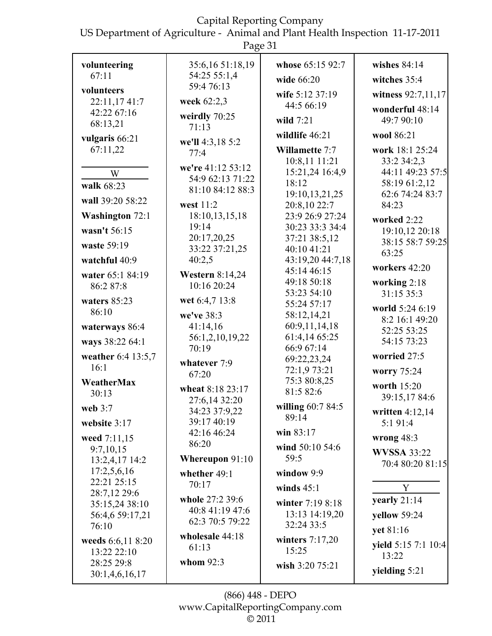US Department of Agriculture - Animal and Plant Health Inspection 11-17-2011

|                                | Page 31                  |                                  |                                   |
|--------------------------------|--------------------------|----------------------------------|-----------------------------------|
| volunteering                   | 35:6,16 51:18,19         | whose 65:15 92:7                 | wishes $84:14$                    |
| 67:11                          | 54:25 55:1,4             | wide 66:20                       | witches 35:4                      |
| volunteers                     | 59:4 76:13               | wife 5:12 37:19                  | witness 92:7,11,17                |
| 22:11,1741:7                   | week 62:2,3              | 44:5 66:19                       | wonderful 48:14                   |
| 42:22 67:16<br>68:13,21        | weirdly 70:25<br>71:13   | wild $7:21$                      | 49:7 90:10                        |
| vulgaris 66:21                 |                          | wildlife 46:21                   | wool 86:21                        |
| 67:11,22                       | we'll 4:3,18 5:2<br>77:4 | Willamette 7:7                   | work 18:1 25:24                   |
|                                | we're 41:12 53:12        | 10:8,11 11:21<br>15:21,24 16:4,9 | 33:2 34:2,3<br>44:11 49:23 57:5   |
| W                              | 54:9 62:13 71:22         | 18:12                            | 58:19 61:2,12                     |
| walk 68:23                     | 81:10 84:12 88:3         | 19:10, 13, 21, 25                | 62:6 74:24 83:7                   |
| wall 39:20 58:22               | west 11:2                | 20:8,10 22:7                     | 84:23                             |
| Washington 72:1                | 18:10, 13, 15, 18        | 23:9 26:9 27:24                  | worked 2:22                       |
| wasn't 56:15                   | 19:14                    | 30:23 33:3 34:4                  | 19:10,12 20:18                    |
| waste 59:19                    | 20:17,20,25              | 37:21 38:5,12                    | 38:15 58:7 59:25                  |
|                                | 33:22 37:21,25           | 40:10 41:21                      | 63:25                             |
| watchful 40:9                  | 40:2,5                   | 43:19,20 44:7,18                 | workers $42:20$                   |
| water 65:1 84:19               | <b>Western 8:14,24</b>   | 45:14 46:15<br>49:18 50:18       |                                   |
| 86:2 87:8                      | 10:16 20:24              | 53:23 54:10                      | working 2:18<br>31:15 35:3        |
| waters $85:23$                 | wet 6:4,7 13:8           | 55:24 57:17                      |                                   |
| 86:10                          | we've 38:3               | 58:12,14,21                      | world 5:24 6:19<br>8:2 16:1 49:20 |
| waterways 86:4                 | 41:14,16                 | 60:9,11,14,18                    | 52:25 53:25                       |
| ways 38:22 64:1                | 56:1,2,10,19,22          | 61:4,14 65:25                    | 54:15 73:23                       |
|                                | 70:19                    | 66:9 67:14                       | worried 27:5                      |
| weather 6:4 13:5,7<br>16:1     | whatever 7:9             | 69:22,23,24                      |                                   |
|                                | 67:20                    | 72:1,9 73:21                     | worry 75:24                       |
| WeatherMax                     | wheat 8:18 23:17         | 75:3 80:8,25<br>81:5 82:6        | worth 15:20                       |
| 30:13                          | 27:6,14 32:20            |                                  | 39:15,17 84:6                     |
| web $3:7$                      | 34:23 37:9,22            | willing 60:7 84:5                | written $4:12,14$                 |
| website 3:17                   | 39:17 40:19              | 89:14                            | 5:191:4                           |
| weed 7:11,15                   | 42:16 46:24              | win 83:17                        | wrong $48:3$                      |
| 9:7,10,15                      | 86:20                    | wind 50:10 54:6                  | <b>WVSSA 33:22</b>                |
| 13:2,4,17 14:2                 | Whereupon 91:10          | 59:5                             | 70:4 80:20 81:15                  |
| 17:2,5,6,16                    | whether 49:1             | window 9:9                       |                                   |
| 22:21 25:15                    | 70:17                    | winds $45:1$                     | Y                                 |
| 28:7,12 29:6<br>35:15,24 38:10 | whole 27:2 39:6          | winter 7:19 8:18                 | yearly 21:14                      |
| 56:4,6 59:17,21                | 40:8 41:19 47:6          | 13:13 14:19,20                   | yellow 59:24                      |
| 76:10                          | 62:3 70:5 79:22          | 32:24 33:5                       |                                   |
| weeds 6:6,11 8:20              | wholesale 44:18          | winters $7:17,20$                | yet 81:16                         |
| 13:22 22:10                    | 61:13                    | 15:25                            | yield 5:15 7:1 10:4<br>13:22      |
| 28:25 29:8                     | whom $92:3$              | wish 3:20 75:21                  |                                   |
| 30:1,4,6,16,17                 |                          |                                  | yielding $5:21$                   |